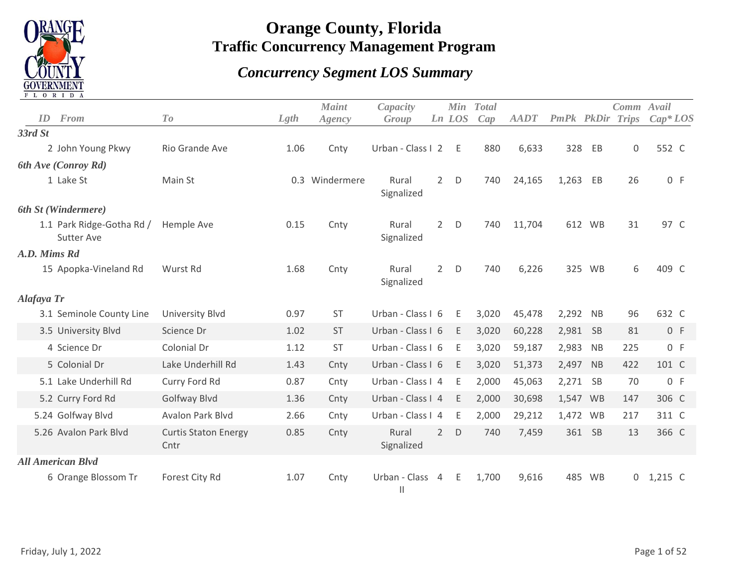

## **Orange County, Florida Traffic Concurrency Management Program**

## *Concurrency Segment LOS Summary*

|              | T T O V I D V                                  |                                     |      |                        |                                 |                |               |                     |             |                  |           |                     |            |
|--------------|------------------------------------------------|-------------------------------------|------|------------------------|---------------------------------|----------------|---------------|---------------------|-------------|------------------|-----------|---------------------|------------|
| ID           | <b>From</b>                                    | To                                  | Lgth | <b>Maint</b><br>Agency | Capacity<br>Group               |                | Min<br>Ln LOS | <b>Total</b><br>Cap | <b>AADT</b> | PmPk PkDir Trips |           | Comm Avail          | $Cap^*LOS$ |
| 33rd St      |                                                |                                     |      |                        |                                 |                |               |                     |             |                  |           |                     |            |
|              | 2 John Young Pkwy                              | Rio Grande Ave                      | 1.06 | Cnty                   | Urban - Class I 2               |                | - E           | 880                 | 6,633       | 328              | EB        | $\mathsf{O}\xspace$ | 552 C      |
|              | 6th Ave (Conroy Rd)                            |                                     |      |                        |                                 |                |               |                     |             |                  |           |                     |            |
|              | 1 Lake St                                      | Main St                             |      | 0.3 Windermere         | Rural<br>Signalized             | $2^{\circ}$    | D             | 740                 | 24,165      | 1,263            | EB        | 26                  | 0 F        |
|              | 6th St (Windermere)                            |                                     |      |                        |                                 |                |               |                     |             |                  |           |                     |            |
|              | 1.1 Park Ridge-Gotha Rd /<br><b>Sutter Ave</b> | Hemple Ave                          | 0.15 | Cnty                   | Rural<br>Signalized             | $2^{\circ}$    | D             | 740                 | 11,704      |                  | 612 WB    | 31                  | 97 C       |
| A.D. Mims Rd |                                                |                                     |      |                        |                                 |                |               |                     |             |                  |           |                     |            |
|              | 15 Apopka-Vineland Rd                          | Wurst Rd                            | 1.68 | Cnty                   | Rural<br>Signalized             | $\overline{2}$ | D             | 740                 | 6,226       |                  | 325 WB    | 6                   | 409 C      |
| Alafaya Tr   |                                                |                                     |      |                        |                                 |                |               |                     |             |                  |           |                     |            |
|              | 3.1 Seminole County Line                       | University Blvd                     | 0.97 | <b>ST</b>              | Urban - Class I 6               |                | Ε             | 3,020               | 45,478      | 2,292            | <b>NB</b> | 96                  | 632 C      |
|              | 3.5 University Blvd                            | Science Dr                          | 1.02 | <b>ST</b>              | Urban - Class I 6               |                | E             | 3,020               | 60,228      | 2,981 SB         |           | 81                  | 0 F        |
|              | 4 Science Dr                                   | Colonial Dr                         | 1.12 | <b>ST</b>              | Urban - Class I 6               |                | Ε             | 3,020               | 59,187      | 2,983            | <b>NB</b> | 225                 | 0 F        |
|              | 5 Colonial Dr                                  | Lake Underhill Rd                   | 1.43 | Cnty                   | Urban - Class I 6               |                | E             | 3,020               | 51,373      | 2,497            | NB        | 422                 | 101 C      |
|              | 5.1 Lake Underhill Rd                          | Curry Ford Rd                       | 0.87 | Cnty                   | Urban - Class I 4               |                | Ε             | 2,000               | 45,063      | 2,271 SB         |           | 70                  | 0 F        |
|              | 5.2 Curry Ford Rd                              | Golfway Blvd                        | 1.36 | Cnty                   | Urban - Class I 4               |                | E             | 2,000               | 30,698      |                  | 1,547 WB  | 147                 | 306 C      |
|              | 5.24 Golfway Blvd                              | Avalon Park Blvd                    | 2.66 | Cnty                   | Urban - Class I 4               |                | E             | 2,000               | 29,212      |                  | 1,472 WB  | 217                 | 311 C      |
|              | 5.26 Avalon Park Blvd                          | <b>Curtis Staton Energy</b><br>Cntr | 0.85 | Cnty                   | Rural<br>Signalized             | $2^{\circ}$    | D             | 740                 | 7,459       |                  | 361 SB    | 13                  | 366 C      |
|              | <b>All American Blvd</b>                       |                                     |      |                        |                                 |                |               |                     |             |                  |           |                     |            |
|              | 6 Orange Blossom Tr                            | Forest City Rd                      | 1.07 | Cnty                   | Urban - Class 4<br>$\mathbf{H}$ |                | E             | 1,700               | 9,616       | 485              | <b>WB</b> | $\mathsf{O}$        | $1,215$ C  |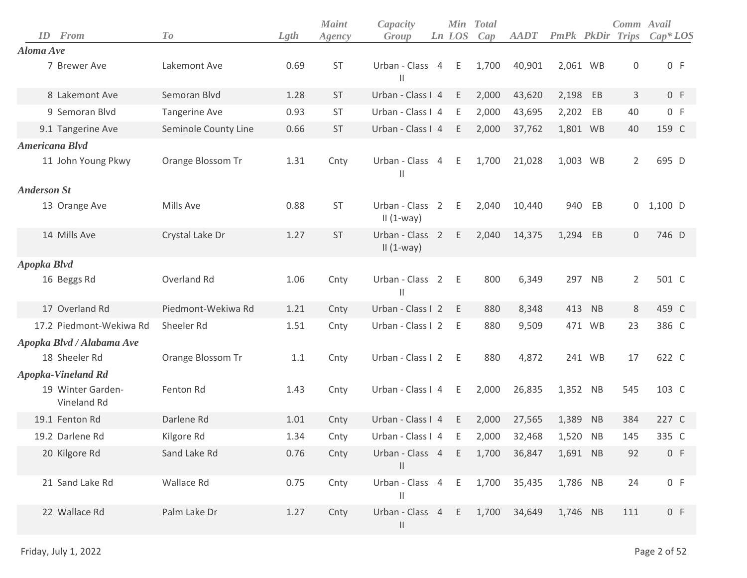| ID                 | From                             | To                   | Lgth | <b>Maint</b><br>Agency | Capacity<br>Group               |                | <b>Min</b><br>Ln LOS | <b>Total</b><br>Cap | <b>AADT</b> | PmPk PkDir |           | Comm Avail<br>Trips | $Cap^*LOS$ |
|--------------------|----------------------------------|----------------------|------|------------------------|---------------------------------|----------------|----------------------|---------------------|-------------|------------|-----------|---------------------|------------|
| Aloma Ave          |                                  |                      |      |                        |                                 |                |                      |                     |             |            |           |                     |            |
|                    | 7 Brewer Ave                     | Lakemont Ave         | 0.69 | <b>ST</b>              | Urban - Class 4<br>Ш            |                | E                    | 1,700               | 40,901      | 2,061 WB   |           | $\boldsymbol{0}$    | 0 F        |
|                    | 8 Lakemont Ave                   | Semoran Blvd         | 1.28 | <b>ST</b>              | Urban - Class I 4               |                | E                    | 2,000               | 43,620      | 2,198      | EB        | 3                   | 0 F        |
|                    | 9 Semoran Blvd                   | <b>Tangerine Ave</b> | 0.93 | <b>ST</b>              | Urban - Class I 4               |                | Ε                    | 2,000               | 43,695      | 2,202      | EB        | 40                  | 0 F        |
|                    | 9.1 Tangerine Ave                | Seminole County Line | 0.66 | <b>ST</b>              | Urban - Class I 4               |                | Ε                    | 2,000               | 37,762      | 1,801 WB   |           | 40                  | 159 C      |
|                    | Americana Blvd                   |                      |      |                        |                                 |                |                      |                     |             |            |           |                     |            |
|                    | 11 John Young Pkwy               | Orange Blossom Tr    | 1.31 | Cnty                   | Urban - Class<br>$\mathbf{H}$   | $\overline{4}$ | Ε                    | 1,700               | 21,028      | 1,003 WB   |           | $\overline{2}$      | 695 D      |
| <b>Anderson St</b> |                                  |                      |      |                        |                                 |                |                      |                     |             |            |           |                     |            |
|                    | 13 Orange Ave                    | Mills Ave            | 0.88 | <b>ST</b>              | Urban - Class 2<br>$II(1-way)$  |                | Ε                    | 2,040               | 10,440      | 940        | EB        | 0                   | $1,100$ D  |
|                    | 14 Mills Ave                     | Crystal Lake Dr      | 1.27 | <b>ST</b>              | Urban - Class 2<br>$II(1-way)$  |                | E                    | 2,040               | 14,375      | 1,294      | EB        | $\mathbf 0$         | 746 D      |
| Apopka Blvd        |                                  |                      |      |                        |                                 |                |                      |                     |             |            |           |                     |            |
|                    | 16 Beggs Rd                      | Overland Rd          | 1.06 | Cnty                   | Urban - Class 2<br>$\mathbf{H}$ |                | E                    | 800                 | 6,349       |            | 297 NB    | $\overline{2}$      | 501 C      |
|                    | 17 Overland Rd                   | Piedmont-Wekiwa Rd   | 1.21 | Cnty                   | Urban - Class I 2               |                | E                    | 880                 | 8,348       |            | 413 NB    | 8                   | 459 C      |
|                    | 17.2 Piedmont-Wekiwa Rd          | Sheeler Rd           | 1.51 | Cnty                   | Urban - Class I 2               |                | Ε                    | 880                 | 9,509       |            | 471 WB    | 23                  | 386 C      |
|                    | Apopka Blvd / Alabama Ave        |                      |      |                        |                                 |                |                      |                     |             |            |           |                     |            |
|                    | 18 Sheeler Rd                    | Orange Blossom Tr    | 1.1  | Cnty                   | Urban - Class I 2               |                | Ε                    | 880                 | 4,872       |            | 241 WB    | 17                  | 622 C      |
|                    | <b>Apopka-Vineland Rd</b>        |                      |      |                        |                                 |                |                      |                     |             |            |           |                     |            |
|                    | 19 Winter Garden-<br>Vineland Rd | Fenton Rd            | 1.43 | Cnty                   | Urban - Class I 4               |                | Ε                    | 2,000               | 26,835      | 1,352 NB   |           | 545                 | 103 C      |
|                    | 19.1 Fenton Rd                   | Darlene Rd           | 1.01 | Cnty                   | Urban - Class I 4               |                | Ε                    | 2,000               | 27,565      | 1,389 NB   |           | 384                 | 227 C      |
|                    | 19.2 Darlene Rd                  | Kilgore Rd           | 1.34 | Cnty                   | Urban - Class I 4               |                | Ε                    | 2,000               | 32,468      | 1,520      | <b>NB</b> | 145                 | 335 C      |
|                    | 20 Kilgore Rd                    | Sand Lake Rd         | 0.76 | Cnty                   | Urban - Class 4<br>$\mathbf{H}$ |                | E                    | 1,700               | 36,847      | 1,691 NB   |           | 92                  | 0 F        |
|                    | 21 Sand Lake Rd                  | Wallace Rd           | 0.75 | Cnty                   | Urban - Class 4<br>$\mathbf{H}$ |                | E                    | 1,700               | 35,435      | 1,786 NB   |           | 24                  | 0 F        |
|                    | 22 Wallace Rd                    | Palm Lake Dr         | 1.27 | Cnty                   | Urban - Class 4<br>$\mathbf{H}$ |                | E                    | 1,700               | 34,649      | 1,746 NB   |           | 111                 | 0 F        |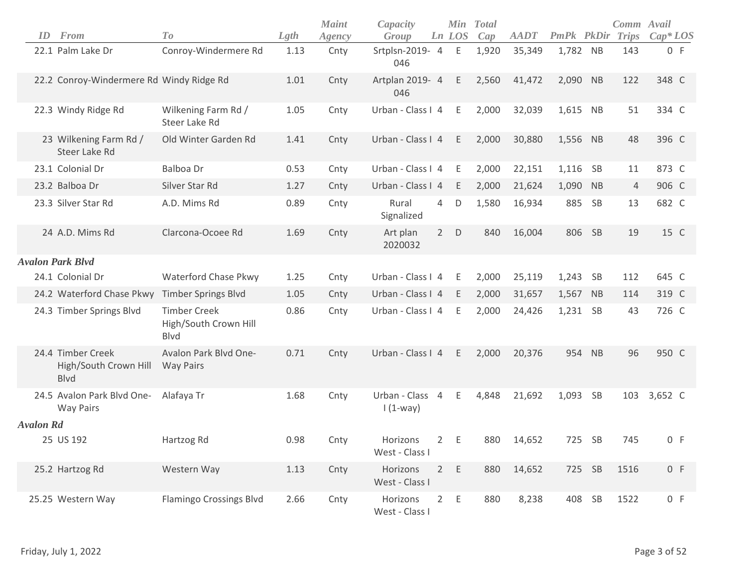| ID               | <b>From</b>                                               | To                                                          | Lgth | <b>Maint</b><br>Agency | Capacity<br>Group             |                | <b>Min</b><br>Ln LOS | <b>Total</b><br>Cap | <b>AADT</b> | <b>PmPk</b> PkDir |           | Comm Avail<br><b>Trips</b> | $Cap^*LOS$ |
|------------------|-----------------------------------------------------------|-------------------------------------------------------------|------|------------------------|-------------------------------|----------------|----------------------|---------------------|-------------|-------------------|-----------|----------------------------|------------|
|                  | 22.1 Palm Lake Dr                                         | Conroy-Windermere Rd                                        | 1.13 | Cnty                   | Srtplsn-2019- 4<br>046        |                | E                    | 1,920               | 35,349      | 1,782 NB          |           | 143                        | 0 F        |
|                  | 22.2 Conroy-Windermere Rd Windy Ridge Rd                  |                                                             | 1.01 | Cnty                   | Artplan 2019- 4<br>046        |                | E                    | 2,560               | 41,472      | 2,090 NB          |           | 122                        | 348 C      |
|                  | 22.3 Windy Ridge Rd                                       | Wilkening Farm Rd /<br>Steer Lake Rd                        | 1.05 | Cnty                   | Urban - Class I 4             |                | Ε                    | 2,000               | 32,039      | 1,615 NB          |           | 51                         | 334 C      |
|                  | 23 Wilkening Farm Rd /<br>Steer Lake Rd                   | Old Winter Garden Rd                                        | 1.41 | Cnty                   | Urban - Class I 4             |                | E                    | 2,000               | 30,880      | 1,556 NB          |           | 48                         | 396 C      |
|                  | 23.1 Colonial Dr                                          | Balboa Dr                                                   | 0.53 | Cnty                   | Urban - Class I 4             |                | E                    | 2,000               | 22,151      | 1,116             | <b>SB</b> | 11                         | 873 C      |
|                  | 23.2 Balboa Dr                                            | Silver Star Rd                                              | 1.27 | Cnty                   | Urban - Class I 4             |                | E                    | 2,000               | 21,624      | 1,090             | <b>NB</b> | $\overline{4}$             | 906 C      |
|                  | 23.3 Silver Star Rd                                       | A.D. Mims Rd                                                | 0.89 | Cnty                   | Rural<br>Signalized           | $\overline{4}$ | $\mathsf D$          | 1,580               | 16,934      | 885               | <b>SB</b> | 13                         | 682 C      |
|                  | 24 A.D. Mims Rd                                           | Clarcona-Ocoee Rd                                           | 1.69 | Cnty                   | Art plan<br>2020032           | $2^{\circ}$    | $\mathsf{D}$         | 840                 | 16,004      | 806               | SB        | 19                         | 15 C       |
|                  | <b>Avalon Park Blvd</b>                                   |                                                             |      |                        |                               |                |                      |                     |             |                   |           |                            |            |
|                  | 24.1 Colonial Dr                                          | Waterford Chase Pkwy                                        | 1.25 | Cnty                   | Urban - Class I 4             |                | E                    | 2,000               | 25,119      | 1,243             | <b>SB</b> | 112                        | 645 C      |
|                  | 24.2 Waterford Chase Pkwy                                 | <b>Timber Springs Blvd</b>                                  | 1.05 | Cnty                   | Urban - Class I 4             |                | E                    | 2,000               | 31,657      | 1,567             | <b>NB</b> | 114                        | 319 C      |
|                  | 24.3 Timber Springs Blvd                                  | <b>Timber Creek</b><br>High/South Crown Hill<br><b>Blvd</b> | 0.86 | Cnty                   | Urban - Class I 4             |                | E                    | 2,000               | 24,426      | 1,231 SB          |           | 43                         | 726 C      |
|                  | 24.4 Timber Creek<br>High/South Crown Hill<br><b>Blvd</b> | Avalon Park Blvd One-<br><b>Way Pairs</b>                   | 0.71 | Cnty                   | Urban - Class I 4             |                | E                    | 2,000               | 20,376      | 954               | NB        | 96                         | 950 C      |
|                  | 24.5 Avalon Park Blvd One-<br><b>Way Pairs</b>            | Alafaya Tr                                                  | 1.68 | Cnty                   | Urban - Class 4<br>$1(1-way)$ |                | E                    | 4,848               | 21,692      | 1,093             | <b>SB</b> | 103                        | 3,652 C    |
| <b>Avalon Rd</b> |                                                           |                                                             |      |                        |                               |                |                      |                     |             |                   |           |                            |            |
|                  | 25 US 192                                                 | Hartzog Rd                                                  | 0.98 | Cnty                   | Horizons<br>West - Class I    |                | 2 E                  |                     | 880 14,652  | 725 SB            |           | 745                        | 0 F        |
|                  | 25.2 Hartzog Rd                                           | Western Way                                                 | 1.13 | Cnty                   | Horizons<br>West - Class I    |                | 2 E                  | 880                 | 14,652      | 725 SB            |           | 1516                       | 0 F        |
|                  | 25.25 Western Way                                         | <b>Flamingo Crossings Blvd</b>                              | 2.66 | Cnty                   | Horizons<br>West - Class I    |                | 2 E                  | 880                 | 8,238       | 408 SB            |           | 1522                       | 0 F        |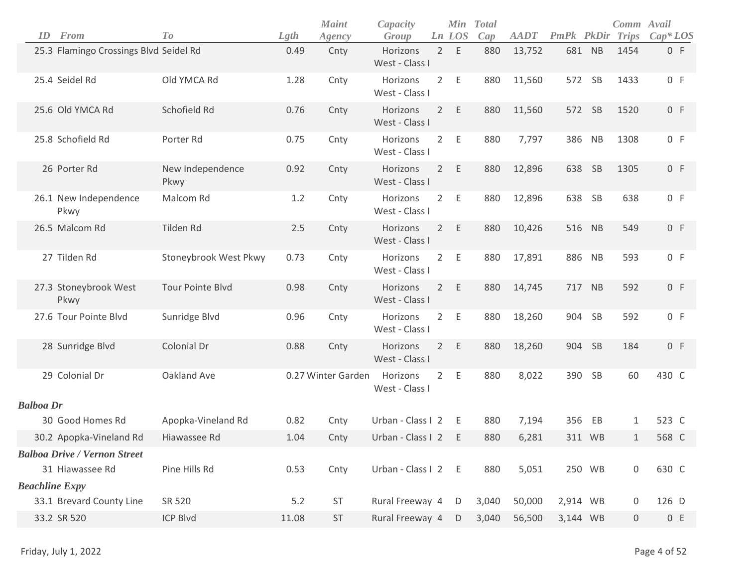|                  | ID | From                                   | To                       | Lgth  | <b>Maint</b><br>Agency | Capacity<br>Group          |                | Min<br>Ln LOS | <b>Total</b><br>Cap | <b>AADT</b> | PmPk PkDir |           | Comm Avail<br><b>Trips</b> | $Cap^*LOS$ |
|------------------|----|----------------------------------------|--------------------------|-------|------------------------|----------------------------|----------------|---------------|---------------------|-------------|------------|-----------|----------------------------|------------|
|                  |    | 25.3 Flamingo Crossings Blvd Seidel Rd |                          | 0.49  | Cnty                   | Horizons<br>West - Class I |                | 2 E           | 880                 | 13,752      | 681 NB     |           | 1454                       | 0 F        |
|                  |    | 25.4 Seidel Rd                         | Old YMCA Rd              | 1.28  | Cnty                   | Horizons<br>West - Class I | $\overline{2}$ | Ε             | 880                 | 11,560      | 572        | SB        | 1433                       | 0 F        |
|                  |    | 25.6 Old YMCA Rd                       | Schofield Rd             | 0.76  | Cnty                   | Horizons<br>West - Class I | $2^{\circ}$    | E             | 880                 | 11,560      | 572        | <b>SB</b> | 1520                       | 0 F        |
|                  |    | 25.8 Schofield Rd                      | Porter Rd                | 0.75  | Cnty                   | Horizons<br>West - Class I | $2^{\circ}$    | E             | 880                 | 7,797       | 386 NB     |           | 1308                       | 0 F        |
|                  |    | 26 Porter Rd                           | New Independence<br>Pkwy | 0.92  | Cnty                   | Horizons<br>West - Class I | $2^{\circ}$    | E             | 880                 | 12,896      | 638        | SB        | 1305                       | 0 F        |
|                  |    | 26.1 New Independence<br>Pkwy          | Malcom Rd                | 1.2   | Cnty                   | Horizons<br>West - Class I | $2^{\circ}$    | E             | 880                 | 12,896      | 638        | <b>SB</b> | 638                        | 0 F        |
|                  |    | 26.5 Malcom Rd                         | Tilden Rd                | 2.5   | Cnty                   | Horizons<br>West - Class I | $\overline{2}$ | E             | 880                 | 10,426      | 516 NB     |           | 549                        | 0 F        |
|                  |    | 27 Tilden Rd                           | Stoneybrook West Pkwy    | 0.73  | Cnty                   | Horizons<br>West - Class I | $2^{\circ}$    | Ε             | 880                 | 17,891      | 886 NB     |           | 593                        | 0 F        |
|                  |    | 27.3 Stoneybrook West<br>Pkwy          | <b>Tour Pointe Blvd</b>  | 0.98  | Cnty                   | Horizons<br>West - Class I |                | 2 E           | 880                 | 14,745      | 717 NB     |           | 592                        | 0 F        |
|                  |    | 27.6 Tour Pointe Blvd                  | Sunridge Blvd            | 0.96  | Cnty                   | Horizons<br>West - Class I | $2^{\circ}$    | E             | 880                 | 18,260      | 904        | SB        | 592                        | 0 F        |
|                  |    | 28 Sunridge Blvd                       | Colonial Dr              | 0.88  | Cnty                   | Horizons<br>West - Class I | $2^{\circ}$    | E             | 880                 | 18,260      | 904        | <b>SB</b> | 184                        | 0 F        |
|                  |    | 29 Colonial Dr                         | Oakland Ave              |       | 0.27 Winter Garden     | Horizons<br>West - Class I | $2^{\circ}$    | Ε             | 880                 | 8,022       | 390 SB     |           | 60                         | 430 C      |
| <b>Balboa Dr</b> |    |                                        |                          |       |                        |                            |                |               |                     |             |            |           |                            |            |
|                  |    | 30 Good Homes Rd                       | Apopka-Vineland Rd       | 0.82  | Cnty                   | Urban - Class I 2          |                | E             | 880                 | 7,194       | 356        | EB        | 1                          | 523 C      |
|                  |    | 30.2 Apopka-Vineland Rd                | Hiawassee Rd             | 1.04  | Cnty                   | Urban - Class I 2          |                | E             | 880                 | 6,281       | 311 WB     |           | 1                          | 568 C      |
|                  |    | <b>Balboa Drive / Vernon Street</b>    |                          |       |                        |                            |                |               |                     |             |            |           |                            |            |
|                  |    | 31 Hiawassee Rd                        | Pine Hills Rd            | 0.53  | Cnty                   | Urban - Class I 2 E        |                |               | 880                 | 5,051       | 250 WB     |           | $\mathsf{O}\xspace$        | 630 C      |
|                  |    | <b>Beachline Expy</b>                  |                          |       |                        |                            |                |               |                     |             |            |           |                            |            |
|                  |    | 33.1 Brevard County Line               | SR 520                   | 5.2   | ST                     | Rural Freeway 4            |                | D             | 3,040               | 50,000      | 2,914 WB   |           | 0                          | 126 D      |
|                  |    | 33.2 SR 520                            | <b>ICP Blvd</b>          | 11.08 | ST                     | Rural Freeway 4            |                | D             | 3,040               | 56,500      | 3,144 WB   |           | $\boldsymbol{0}$           | 0 E        |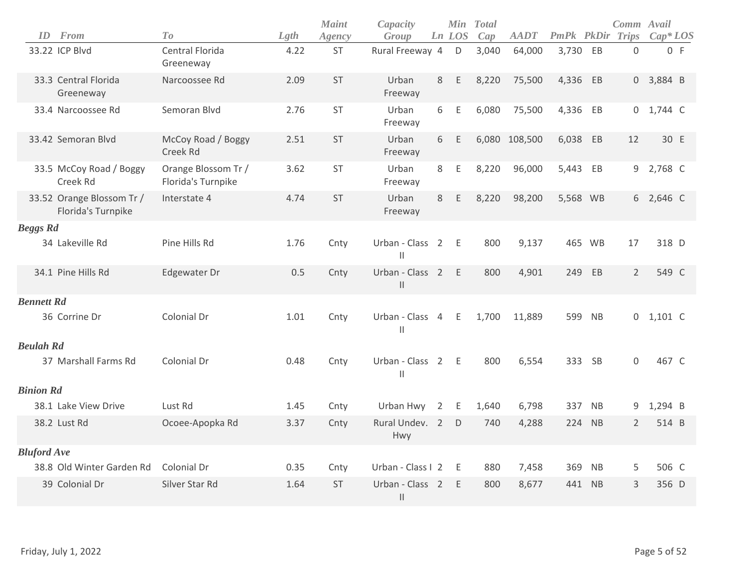|                    | <b>ID</b> From                                  | T <sub>o</sub>                            | Lgth | <b>Maint</b><br>Agency | Capacity<br>Group                  |                | Ln LOS | Min Total<br>Cap | <b>AADT</b>   | PmPk PkDir Trips |           | Comm Avail     | $Cap^*LOS$  |     |
|--------------------|-------------------------------------------------|-------------------------------------------|------|------------------------|------------------------------------|----------------|--------|------------------|---------------|------------------|-----------|----------------|-------------|-----|
|                    | 33.22 ICP Blvd                                  | Central Florida<br>Greeneway              | 4.22 | <b>ST</b>              | Rural Freeway 4                    |                | D      | 3,040            | 64,000        | 3,730            | EB        | $\mathbf 0$    |             | 0 F |
|                    | 33.3 Central Florida<br>Greeneway               | Narcoossee Rd                             | 2.09 | ST                     | Urban<br>Freeway                   | 8              | E      | 8,220            | 75,500        | 4,336 EB         |           |                | $0$ 3,884 B |     |
|                    | 33.4 Narcoossee Rd                              | Semoran Blvd                              | 2.76 | <b>ST</b>              | Urban<br>Freeway                   | 6              | Ε      | 6,080            | 75,500        | 4,336 EB         |           |                | 0 1,744 C   |     |
|                    | 33.42 Semoran Blvd                              | McCoy Road / Boggy<br>Creek Rd            | 2.51 | <b>ST</b>              | Urban<br>Freeway                   | 6              | E      |                  | 6,080 108,500 | 6,038            | EB        | 12             | 30 E        |     |
|                    | 33.5 McCoy Road / Boggy<br>Creek Rd             | Orange Blossom Tr /<br>Florida's Turnpike | 3.62 | <b>ST</b>              | Urban<br>Freeway                   | 8              | E      | 8,220            | 96,000        | 5,443            | EB        |                | 9 2,768 C   |     |
|                    | 33.52 Orange Blossom Tr /<br>Florida's Turnpike | Interstate 4                              | 4.74 | <b>ST</b>              | Urban<br>Freeway                   | 8              | Ε      | 8,220            | 98,200        | 5,568 WB         |           |                | 6 2,646 C   |     |
| <b>Beggs Rd</b>    |                                                 |                                           |      |                        |                                    |                |        |                  |               |                  |           |                |             |     |
|                    | 34 Lakeville Rd                                 | Pine Hills Rd                             | 1.76 | Cnty                   | Urban - Class 2 E<br>$\vert\vert$  |                |        | 800              | 9,137         | 465 WB           |           | 17             | 318 D       |     |
|                    | 34.1 Pine Hills Rd                              | Edgewater Dr                              | 0.5  | Cnty                   | Urban - Class 2<br>$\mathbf{  }$   |                | E      | 800              | 4,901         | 249              | EB        | $\overline{2}$ | 549 C       |     |
| <b>Bennett Rd</b>  |                                                 |                                           |      |                        |                                    |                |        |                  |               |                  |           |                |             |     |
|                    | 36 Corrine Dr                                   | Colonial Dr                               | 1.01 | Cnty                   | Urban - Class 4 E<br>$\vert\vert$  |                |        | 1,700            | 11,889        | 599              | <b>NB</b> |                | $0$ 1,101 C |     |
| <b>Beulah Rd</b>   |                                                 |                                           |      |                        |                                    |                |        |                  |               |                  |           |                |             |     |
|                    | 37 Marshall Farms Rd                            | Colonial Dr                               | 0.48 | Cnty                   | Urban - Class 2 E<br>$\mathbf{  }$ |                |        | 800              | 6,554         | 333 SB           |           | $\Omega$       | 467 C       |     |
| <b>Binion Rd</b>   |                                                 |                                           |      |                        |                                    |                |        |                  |               |                  |           |                |             |     |
|                    | 38.1 Lake View Drive                            | Lust Rd                                   | 1.45 | Cnty                   | Urban Hwy                          | $\overline{2}$ | E      | 1,640            | 6,798         | 337              | <b>NB</b> |                | 9 1,294 B   |     |
|                    | 38.2 Lust Rd                                    | Ocoee-Apopka Rd                           | 3.37 | Cnty                   | Rural Undev. 2<br><b>Hwy</b>       |                | D      | 740              | 4,288         | 224              | NB        | $\overline{2}$ | 514 B       |     |
| <b>Bluford Ave</b> |                                                 |                                           |      |                        |                                    |                |        |                  |               |                  |           |                |             |     |
|                    | 38.8 Old Winter Garden Rd                       | Colonial Dr                               | 0.35 | Cnty                   | Urban - Class I 2                  |                | E      | 880              | 7,458         | 369              | <b>NB</b> | 5              | 506 C       |     |
|                    | 39 Colonial Dr                                  | Silver Star Rd                            | 1.64 | <b>ST</b>              | Urban - Class 2<br>$\vert\vert$    |                | E      | 800              | 8,677         | 441              | <b>NB</b> | 3              | 356 D       |     |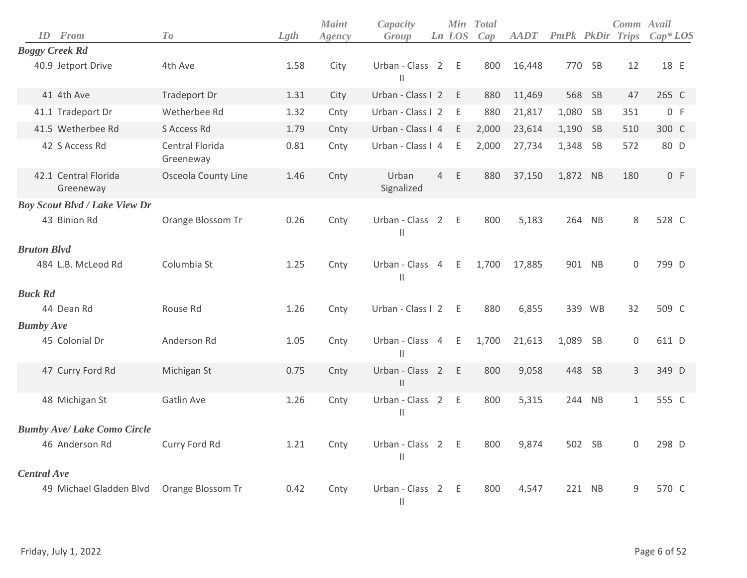| ID                 | From                                 | To                           | Lgth | <b>Maint</b><br>Agency | Capacity<br>Group                                      |                | Ln LOS | Min Total<br>Cap | <b>AADT</b> | PmPk PkDir Trips |        | Comm Avail   | $Cap^*LOS$ |
|--------------------|--------------------------------------|------------------------------|------|------------------------|--------------------------------------------------------|----------------|--------|------------------|-------------|------------------|--------|--------------|------------|
|                    | <b>Boggy Creek Rd</b>                |                              |      |                        |                                                        |                |        |                  |             |                  |        |              |            |
|                    | 40.9 Jetport Drive                   | 4th Ave                      | 1.58 | City                   | Urban - Class 2<br>$\mathbf{I}$                        |                | - E    | 800              | 16,448      |                  | 770 SB | 12           | 18 E       |
|                    | 41 4th Ave                           | Tradeport Dr                 | 1.31 | City                   | Urban - Class I 2                                      |                | E      | 880              | 11,469      | 568              | SB     | 47           | 265 C      |
|                    | 41.1 Tradeport Dr                    | Wetherbee Rd                 | 1.32 | Cnty                   | Urban - Class I 2                                      |                | E      | 880              | 21,817      | 1,080            | SB     | 351          | 0 F        |
|                    | 41.5 Wetherbee Rd                    | S Access Rd                  | 1.79 | Cnty                   | Urban - Class I 4                                      |                | - E    | 2,000            | 23,614      | 1,190 SB         |        | 510          | 300 C      |
|                    | 42 S Access Rd                       | Central Florida<br>Greeneway | 0.81 | Cnty                   | Urban - Class I 4                                      |                | E      | 2,000            | 27,734      | 1,348 SB         |        | 572          | 80 D       |
|                    | 42.1 Central Florida<br>Greeneway    | Osceola County Line          | 1.46 | Cnty                   | Urban<br>Signalized                                    | $\overline{4}$ | E      | 880              | 37,150      | 1,872 NB         |        | 180          | 0 F        |
|                    | <b>Boy Scout Blvd / Lake View Dr</b> |                              |      |                        |                                                        |                |        |                  |             |                  |        |              |            |
|                    | 43 Binion Rd                         | Orange Blossom Tr            | 0.26 | Cnty                   | Urban - Class 2<br>$\mathsf{I}$                        |                | - E    | 800              | 5,183       | 264              | NB     | 8            | 528 C      |
| <b>Bruton Blvd</b> |                                      |                              |      |                        |                                                        |                |        |                  |             |                  |        |              |            |
|                    | 484 L.B. McLeod Rd                   | Columbia St                  | 1.25 | Cnty                   | Urban - Class 4<br>$\vert\vert$                        |                | E      | 1,700            | 17,885      |                  | 901 NB | $\Omega$     | 799 D      |
| <b>Buck Rd</b>     |                                      |                              |      |                        |                                                        |                |        |                  |             |                  |        |              |            |
|                    | 44 Dean Rd                           | Rouse Rd                     | 1.26 | Cnty                   | Urban - Class I 2                                      |                | - E    | 880              | 6,855       |                  | 339 WB | 32           | 509 C      |
| <b>Bumby Ave</b>   |                                      |                              |      |                        |                                                        |                |        |                  |             |                  |        |              |            |
|                    | 45 Colonial Dr                       | Anderson Rd                  | 1.05 | Cnty                   | Urban - Class 4<br>$\mathsf{II}$                       |                | E      | 1,700            | 21,613      | 1,089 SB         |        | $\mathbf 0$  | 611 D      |
|                    | 47 Curry Ford Rd                     | Michigan St                  | 0.75 | Cnty                   | Urban - Class<br>$\begin{array}{c} \hline \end{array}$ | $\overline{2}$ | E      | 800              | 9,058       | 448              | SB     | 3            | 349 D      |
|                    | 48 Michigan St                       | Gatlin Ave                   | 1.26 | Cnty                   | Urban - Class 2<br>$\mathsf{I}$                        |                | E      | 800              | 5,315       |                  | 244 NB | $\mathbf{1}$ | 555 C      |
|                    | <b>Bumby Ave/ Lake Como Circle</b>   |                              |      |                        |                                                        |                |        |                  |             |                  |        |              |            |
|                    | 46 Anderson Rd                       | Curry Ford Rd                | 1.21 | Cnty                   | Urban - Class 2<br>$\vert$                             |                | - E    | 800              | 9,874       |                  | 502 SB | $\mathbf 0$  | 298 D      |
| <b>Central Ave</b> |                                      |                              |      |                        |                                                        |                |        |                  |             |                  |        |              |            |
|                    | 49 Michael Gladden Blvd              | Orange Blossom Tr            | 0.42 | Cnty                   | Urban - Class 2<br>$\left  {}\right $                  |                | - E    | 800              | 4,547       |                  | 221 NB | 9            | 570 C      |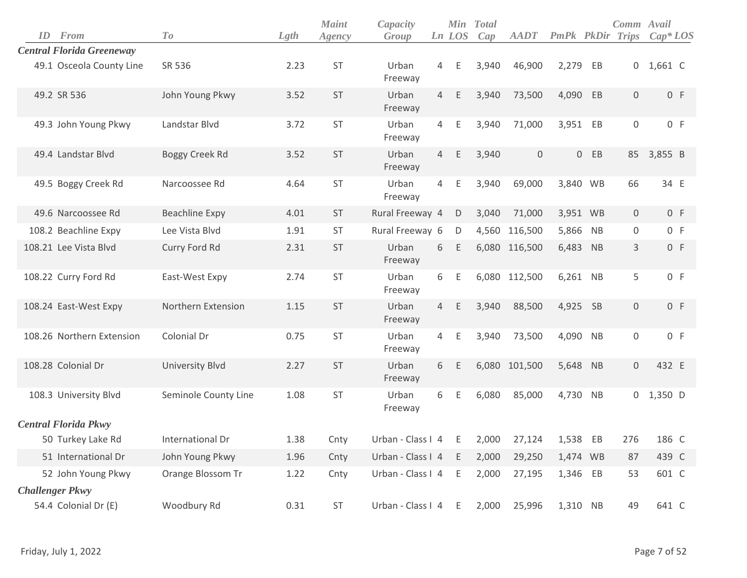| <b>ID</b> From                   | To                     | Lgth | <b>Maint</b><br>Agency | Capacity<br>Group   |                | <b>Min</b><br>Ln LOS | <b>Total</b><br>Cap | <b>AADT</b>         | <b>PmPk</b> PkDir |           | Comm Avail<br><b>Trips</b> | $Cap^*LOS$  |
|----------------------------------|------------------------|------|------------------------|---------------------|----------------|----------------------|---------------------|---------------------|-------------------|-----------|----------------------------|-------------|
| <b>Central Florida Greeneway</b> |                        |      |                        |                     |                |                      |                     |                     |                   |           |                            |             |
| 49.1 Osceola County Line         | SR 536                 | 2.23 | ST                     | Urban<br>Freeway    | $\overline{4}$ | Ε                    | 3,940               | 46,900              | 2,279             | EB        |                            | $0$ 1,661 C |
| 49.2 SR 536                      | John Young Pkwy        | 3.52 | ST                     | Urban<br>Freeway    | 4              | Ε                    | 3,940               | 73,500              | 4,090 EB          |           | $\mathsf{O}$               | 0 F         |
| 49.3 John Young Pkwy             | Landstar Blvd          | 3.72 | <b>ST</b>              | Urban<br>Freeway    | 4              | Ε                    | 3,940               | 71,000              | 3,951 EB          |           | $\mathsf{O}\xspace$        | 0 F         |
| 49.4 Landstar Blvd               | Boggy Creek Rd         | 3.52 | <b>ST</b>              | Urban<br>Freeway    | $\overline{4}$ | Ε                    | 3,940               | $\mathsf{O}\xspace$ |                   | $0$ EB    | 85                         | 3,855 B     |
| 49.5 Boggy Creek Rd              | Narcoossee Rd          | 4.64 | ST                     | Urban<br>Freeway    | $\overline{4}$ | Ε                    | 3,940               | 69,000              | 3,840 WB          |           | 66                         | 34 E        |
| 49.6 Narcoossee Rd               | Beachline Expy         | 4.01 | <b>ST</b>              | Rural Freeway 4     |                | D                    | 3,040               | 71,000              | 3,951 WB          |           | $\overline{0}$             | 0 F         |
| 108.2 Beachline Expy             | Lee Vista Blvd         | 1.91 | <b>ST</b>              | Rural Freeway 6     |                | D                    | 4,560               | 116,500             | 5,866             | <b>NB</b> | 0                          | 0 F         |
| 108.21 Lee Vista Blvd            | Curry Ford Rd          | 2.31 | <b>ST</b>              | Urban<br>Freeway    | 6              | Ε                    |                     | 6,080 116,500       | 6,483             | NB        | 3                          | 0 F         |
| 108.22 Curry Ford Rd             | East-West Expy         | 2.74 | ST                     | Urban<br>Freeway    | 6              | Ε                    |                     | 6,080 112,500       | 6,261 NB          |           | 5                          | 0 F         |
| 108.24 East-West Expy            | Northern Extension     | 1.15 | <b>ST</b>              | Urban<br>Freeway    | $\overline{4}$ | Ε                    | 3,940               | 88,500              | 4,925 SB          |           | $\mathbf 0$                | 0 F         |
| 108.26 Northern Extension        | Colonial Dr            | 0.75 | ST                     | Urban<br>Freeway    | $\overline{4}$ | Ε                    | 3,940               | 73,500              | 4,090 NB          |           | 0                          | 0 F         |
| 108.28 Colonial Dr               | <b>University Blvd</b> | 2.27 | <b>ST</b>              | Urban<br>Freeway    | 6              | E                    |                     | 6,080 101,500       | 5,648 NB          |           | $\mathsf{O}$               | 432 E       |
| 108.3 University Blvd            | Seminole County Line   | 1.08 | ST                     | Urban<br>Freeway    | 6              | $\mathsf E$          | 6,080               | 85,000              | 4,730 NB          |           |                            | $0$ 1,350 D |
| <b>Central Florida Pkwy</b>      |                        |      |                        |                     |                |                      |                     |                     |                   |           |                            |             |
| 50 Turkey Lake Rd                | International Dr       | 1.38 | Cnty                   | Urban - Class I 4   |                | E.                   | 2,000               | 27,124              | 1,538             | EB        | 276                        | 186 C       |
| 51 International Dr              | John Young Pkwy        | 1.96 | Cnty                   | Urban - Class I 4 E |                |                      | 2,000               | 29,250              | 1,474 WB          |           | 87                         | 439 C       |
| 52 John Young Pkwy               | Orange Blossom Tr      | 1.22 | Cnty                   | Urban - Class I 4 E |                |                      | 2,000               | 27,195              | 1,346 EB          |           | 53                         | 601 C       |
| <b>Challenger Pkwy</b>           |                        |      |                        |                     |                |                      |                     |                     |                   |           |                            |             |
| 54.4 Colonial Dr (E)             | Woodbury Rd            | 0.31 | ST                     | Urban - Class I 4 E |                |                      | 2,000               | 25,996              | 1,310 NB          |           | 49                         | 641 C       |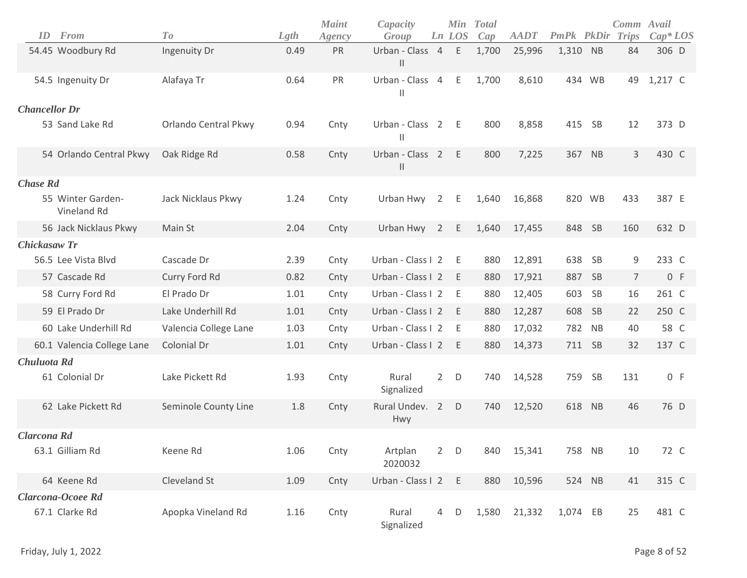|                      | <b>ID</b> From                      | To                    | Lgth | <b>Maint</b><br>Agency | Capacity<br>Group                |                | <b>Min</b><br>Ln LOS | <b>Total</b><br>Cap | <b>AADT</b> | <b>PmPk</b> PkDir |           | Comm Avail<br>Trips | $Cap*LOS$ |
|----------------------|-------------------------------------|-----------------------|------|------------------------|----------------------------------|----------------|----------------------|---------------------|-------------|-------------------|-----------|---------------------|-----------|
|                      | 54.45 Woodbury Rd                   | Ingenuity Dr          | 0.49 | PR                     | Urban - Class 4<br>$\mathbf{  }$ |                | E                    | 1,700               | 25,996      | 1,310             | NB        | 84                  | 306 D     |
|                      | 54.5 Ingenuity Dr                   | Alafaya Tr            | 0.64 | PR                     | Urban - Class<br>$\mathbf{H}$    | $\overline{4}$ | Ε                    | 1,700               | 8,610       |                   | 434 WB    | 49                  | 1,217 C   |
| <b>Chancellor Dr</b> |                                     |                       |      |                        |                                  |                |                      |                     |             |                   |           |                     |           |
|                      | 53 Sand Lake Rd                     | Orlando Central Pkwy  | 0.94 | Cnty                   | Urban - Class 2<br>$\mathsf{I}$  |                | E                    | 800                 | 8,858       | 415               | <b>SB</b> | 12                  | 373 D     |
|                      | 54 Orlando Central Pkwy             | Oak Ridge Rd          | 0.58 | Cnty                   | Urban - Class 2<br>$\mathbf{H}$  |                | E                    | 800                 | 7,225       | 367 NB            |           | 3                   | 430 C     |
| <b>Chase Rd</b>      |                                     |                       |      |                        |                                  |                |                      |                     |             |                   |           |                     |           |
|                      | 55 Winter Garden-<br>Vineland Rd    | Jack Nicklaus Pkwy    | 1.24 | Cnty                   | Urban Hwy                        | 2              | Е                    | 1,640               | 16,868      |                   | 820 WB    | 433                 | 387 E     |
|                      | 56 Jack Nicklaus Pkwy               | Main St               | 2.04 | Cnty                   | Urban Hwy                        | 2              | Ε                    | 1,640               | 17,455      | 848               | SB        | 160                 | 632 D     |
| <b>Chickasaw Tr</b>  |                                     |                       |      |                        |                                  |                |                      |                     |             |                   |           |                     |           |
|                      | 56.5 Lee Vista Blvd                 | Cascade Dr            | 2.39 | Cnty                   | Urban - Class I 2                |                | Ε                    | 880                 | 12,891      | 638               | <b>SB</b> | 9                   | 233 C     |
|                      | 57 Cascade Rd                       | Curry Ford Rd         | 0.82 | Cnty                   | Urban - Class I 2                |                | E                    | 880                 | 17,921      | 887               | <b>SB</b> | $\overline{7}$      | 0 F       |
|                      | 58 Curry Ford Rd                    | El Prado Dr           | 1.01 | Cnty                   | Urban - Class I 2                |                | Ε                    | 880                 | 12,405      | 603               | <b>SB</b> | 16                  | 261 C     |
|                      | 59 El Prado Dr                      | Lake Underhill Rd     | 1.01 | Cnty                   | Urban - Class I 2                |                | E                    | 880                 | 12,287      | 608               | SB        | 22                  | 250 C     |
|                      | 60 Lake Underhill Rd                | Valencia College Lane | 1.03 | Cnty                   | Urban - Class I 2                |                | Ε                    | 880                 | 17,032      | 782               | <b>NB</b> | 40                  | 58 C      |
|                      | 60.1 Valencia College Lane          | Colonial Dr           | 1.01 | Cnty                   | Urban - Class I 2                |                | E                    | 880                 | 14,373      | 711 SB            |           | 32                  | 137 C     |
| Chuluota Rd          |                                     |                       |      |                        |                                  |                |                      |                     |             |                   |           |                     |           |
|                      | 61 Colonial Dr                      | Lake Pickett Rd       | 1.93 | Cnty                   | Rural<br>Signalized              | $\overline{2}$ | D                    | 740                 | 14,528      | 759               | <b>SB</b> | 131                 | 0 F       |
|                      | 62 Lake Pickett Rd                  | Seminole County Line  | 1.8  | Cnty                   | Rural Undev. 2<br>Hwy            |                | D                    | 740                 | 12,520      | 618               | NB        | 46                  | 76 D      |
| Clarcona Rd          |                                     |                       |      |                        |                                  |                |                      |                     |             |                   |           |                     |           |
|                      | 63.1 Gilliam Rd                     | Keene Rd              | 1.06 | Cnty                   | Artplan<br>2020032               | $2^{\circ}$    | $\mathsf D$          | 840                 | 15,341      | 758 NB            |           | 10                  | 72 C      |
|                      | 64 Keene Rd                         | Cleveland St          | 1.09 | Cnty                   | Urban - Class I 2                |                | Ε                    | 880                 | 10,596      |                   | 524 NB    | 41                  | 315 C     |
|                      | Clarcona-Ocoee Rd<br>67.1 Clarke Rd | Apopka Vineland Rd    | 1.16 | Cnty                   | Rural<br>Signalized              | $\overline{4}$ | D                    | 1,580               | 21,332      | 1,074 EB          |           | 25                  | 481 C     |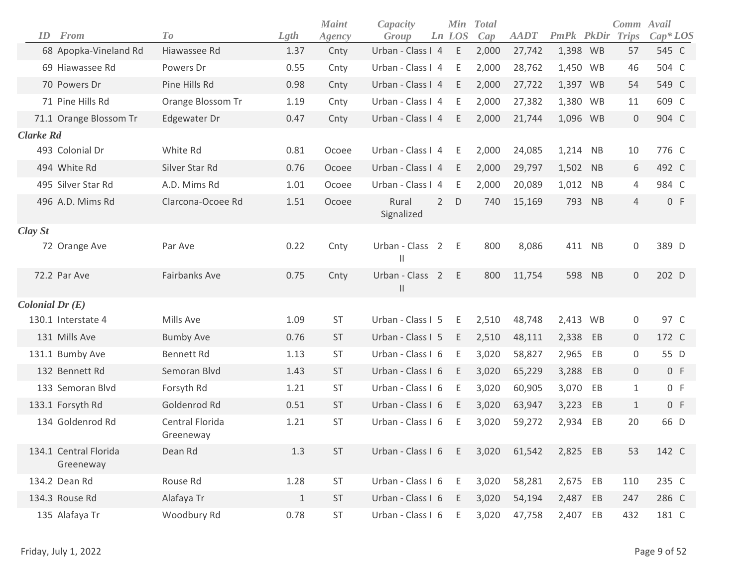|                    |                                    |                              |       | <b>Maint</b> | Capacity                        |                | Min         | <b>Total</b> |             |          |                | Comm               | Avail      |
|--------------------|------------------------------------|------------------------------|-------|--------------|---------------------------------|----------------|-------------|--------------|-------------|----------|----------------|--------------------|------------|
| ID                 | From                               | To                           | Lgth  | Agency       | Group                           |                | Ln LOS      | Cap          | <b>AADT</b> | PmPk     |                | <b>PkDir Trips</b> | $Cap^*LOS$ |
|                    | 68 Apopka-Vineland Rd              | Hiawassee Rd                 | 1.37  | Cnty         | Urban - Class I 4               |                | E           | 2,000        | 27,742      | 1,398 WB |                | 57                 | 545 C      |
|                    | 69 Hiawassee Rd                    | Powers Dr                    | 0.55  | Cnty         | Urban - Class I 4               |                | E           | 2,000        | 28,762      | 1,450 WB |                | 46                 | 504 C      |
|                    | 70 Powers Dr                       | Pine Hills Rd                | 0.98  | Cnty         | Urban - Class I 4               |                | E           | 2,000        | 27,722      | 1,397 WB |                | 54                 | 549 C      |
|                    | 71 Pine Hills Rd                   | Orange Blossom Tr            | 1.19  | Cnty         | Urban - Class I 4               |                | E           | 2,000        | 27,382      | 1,380 WB |                | 11                 | 609 C      |
|                    | 71.1 Orange Blossom Tr             | Edgewater Dr                 | 0.47  | Cnty         | Urban - Class I 4               |                | E           | 2,000        | 21,744      | 1,096 WB |                | $\mathbf 0$        | 904 C      |
| <b>Clarke Rd</b>   |                                    |                              |       |              |                                 |                |             |              |             |          |                |                    |            |
| 493 Colonial Dr    |                                    | White Rd                     | 0.81  | Ocoee        | Urban - Class I 4               |                | Ε           | 2,000        | 24,085      | 1,214 NB |                | 10                 | 776 C      |
| 494 White Rd       |                                    | Silver Star Rd               | 0.76  | Ocoee        | Urban - Class I 4               |                | E           | 2,000        | 29,797      | 1,502    | NB             | 6                  | 492 C      |
|                    | 495 Silver Star Rd                 | A.D. Mims Rd                 | 1.01  | Ocoee        | Urban - Class I 4               |                | Ε           | 2,000        | 20,089      | 1,012    | N <sub>B</sub> | 4                  | 984 C      |
|                    | 496 A.D. Mims Rd                   | Clarcona-Ocoee Rd            | 1.51  | Ocoee        | Rural<br>Signalized             | $\overline{2}$ | $\mathsf D$ | 740          | 15,169      | 793      | NB             | $\overline{4}$     | 0 F        |
| Clay St            |                                    |                              |       |              |                                 |                |             |              |             |          |                |                    |            |
|                    | 72 Orange Ave                      | Par Ave                      | 0.22  | Cnty         | Urban - Class<br>Ш              | 2              | Ε           | 800          | 8,086       | 411 NB   |                | 0                  | 389 D      |
| 72.2 Par Ave       |                                    | <b>Fairbanks Ave</b>         | 0.75  | Cnty         | Urban - Class 2<br>$\vert\vert$ |                | E           | 800          | 11,754      | 598      | N <sub>B</sub> | $\mathbf 0$        | 202 D      |
| Colonial Dr $(E)$  |                                    |                              |       |              |                                 |                |             |              |             |          |                |                    |            |
| 130.1 Interstate 4 |                                    | Mills Ave                    | 1.09  | <b>ST</b>    | Urban - Class I 5               |                | Ε           | 2,510        | 48,748      | 2,413 WB |                | 0                  | 97 C       |
| 131 Mills Ave      |                                    | <b>Bumby Ave</b>             | 0.76  | <b>ST</b>    | Urban - Class I 5               |                | Ε           | 2,510        | 48,111      | 2,338 EB |                | 0                  | 172 C      |
| 131.1 Bumby Ave    |                                    | <b>Bennett Rd</b>            | 1.13  | <b>ST</b>    | Urban - Class I 6               |                | E           | 3,020        | 58,827      | 2,965    | EB             | 0                  | 55 D       |
| 132 Bennett Rd     |                                    | Semoran Blvd                 | 1.43  | <b>ST</b>    | Urban - Class I 6               |                | E           | 3,020        | 65,229      | 3,288    | EB             | 0                  | 0 F        |
|                    | 133 Semoran Blvd                   | Forsyth Rd                   | 1.21  | <b>ST</b>    | Urban - Class I 6               |                | Ε           | 3,020        | 60,905      | 3,070    | EB             | $\mathbf{1}$       | 0 F        |
| 133.1 Forsyth Rd   |                                    | Goldenrod Rd                 | 0.51  | <b>ST</b>    | Urban - Class I 6               |                | E           | 3,020        | 63,947      | 3,223    | EB             | $\mathbf{1}$       | 0 F        |
|                    | 134 Goldenrod Rd                   | Central Florida<br>Greeneway | 1.21  | <b>ST</b>    | Urban - Class I 6               |                | Ε           | 3,020        | 59,272      | 2,934    | EB             | 20                 | 66 D       |
|                    | 134.1 Central Florida<br>Greeneway | Dean Rd                      | 1.3   | ST           | Urban - Class I 6               |                | E           | 3,020        | 61,542      | 2,825 EB |                | 53                 | 142 C      |
| 134.2 Dean Rd      |                                    | Rouse Rd                     | 1.28  | ST           | Urban - Class I 6               |                | E           | 3,020        | 58,281      | 2,675 EB |                | 110                | 235 C      |
| 134.3 Rouse Rd     |                                    | Alafaya Tr                   | $1\,$ | <b>ST</b>    | Urban - Class I 6               |                | E           | 3,020        | 54,194      | 2,487 EB |                | 247                | 286 C      |
| 135 Alafaya Tr     |                                    | Woodbury Rd                  | 0.78  | ST           | Urban - Class I 6               |                | E           | 3,020        | 47,758      | 2,407 EB |                | 432                | 181 C      |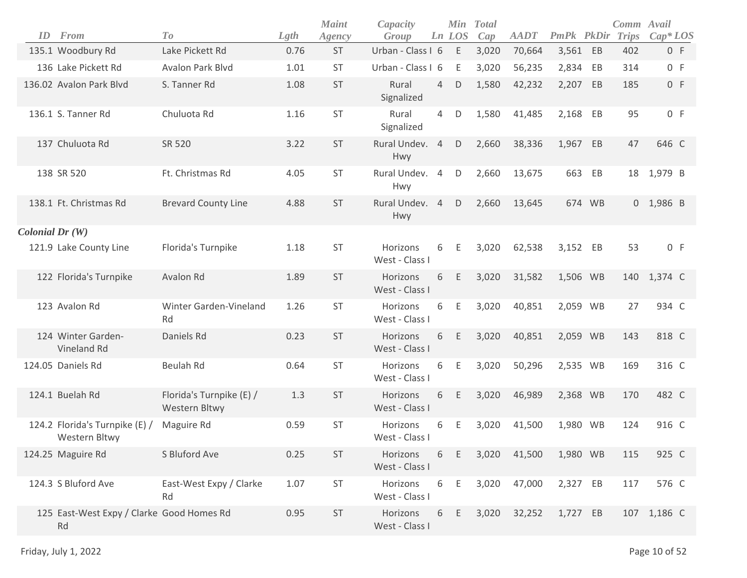| ID                       | From                                            | T o                                       | Lgth | <b>Maint</b><br>Agency | Capacity<br>Group          |                | Min<br>Ln LOS | <b>Total</b><br>Cap | <b>AADT</b> | <b>PmPk</b> PkDir |    | Comm Avail<br><b>Trips</b> | $Cap*LOS$   |  |
|--------------------------|-------------------------------------------------|-------------------------------------------|------|------------------------|----------------------------|----------------|---------------|---------------------|-------------|-------------------|----|----------------------------|-------------|--|
|                          | 135.1 Woodbury Rd                               | Lake Pickett Rd                           | 0.76 | <b>ST</b>              | Urban - Class I 6          |                | Ε             | 3,020               | 70,664      | 3,561 EB          |    | 402                        | 0 F         |  |
|                          | 136 Lake Pickett Rd                             | Avalon Park Blvd                          | 1.01 | <b>ST</b>              | Urban - Class I 6          |                | Ε             | 3,020               | 56,235      | 2,834 EB          |    | 314                        | 0 F         |  |
|                          | 136.02 Avalon Park Blvd                         | S. Tanner Rd                              | 1.08 | <b>ST</b>              | Rural<br>Signalized        | $\overline{4}$ | D             | 1,580               | 42,232      | 2,207 EB          |    | 185                        | 0 F         |  |
|                          | 136.1 S. Tanner Rd                              | Chuluota Rd                               | 1.16 | ST                     | Rural<br>Signalized        | 4              | D             | 1,580               | 41,485      | 2,168             | EB | 95                         | 0 F         |  |
|                          | 137 Chuluota Rd                                 | SR 520                                    | 3.22 | <b>ST</b>              | Rural Undev. 4<br>Hwy      |                | D             | 2,660               | 38,336      | 1,967             | EB | 47                         | 646 C       |  |
|                          | 138 SR 520                                      | Ft. Christmas Rd                          | 4.05 | <b>ST</b>              | Rural Undev. 4<br>Hwy      |                | D             | 2,660               | 13,675      | 663               | EB | 18                         | 1,979 B     |  |
|                          | 138.1 Ft. Christmas Rd                          | <b>Brevard County Line</b>                | 4.88 | <b>ST</b>              | Rural Undev. 4<br>Hwy      |                | $\mathsf D$   | 2,660               | 13,645      | 674 WB            |    |                            | $0$ 1,986 B |  |
| $\text{Colonial Dr (W)}$ |                                                 |                                           |      |                        |                            |                |               |                     |             |                   |    |                            |             |  |
|                          | 121.9 Lake County Line                          | Florida's Turnpike                        | 1.18 | <b>ST</b>              | Horizons<br>West - Class I | 6              | Ε             | 3,020               | 62,538      | 3,152 EB          |    | 53                         | 0 F         |  |
|                          | 122 Florida's Turnpike                          | Avalon Rd                                 | 1.89 | <b>ST</b>              | Horizons<br>West - Class I | 6              | E             | 3,020               | 31,582      | 1,506 WB          |    | 140                        | 1,374 C     |  |
|                          | 123 Avalon Rd                                   | Winter Garden-Vineland<br>Rd              | 1.26 | <b>ST</b>              | Horizons<br>West - Class I | 6              | Ε             | 3,020               | 40,851      | 2,059 WB          |    | 27                         | 934 C       |  |
|                          | 124 Winter Garden-<br>Vineland Rd               | Daniels Rd                                | 0.23 | <b>ST</b>              | Horizons<br>West - Class I | 6              | Ε             | 3,020               | 40,851      | 2,059 WB          |    | 143                        | 818 C       |  |
|                          | 124.05 Daniels Rd                               | <b>Beulah Rd</b>                          | 0.64 | <b>ST</b>              | Horizons<br>West - Class I | 6              | Ε             | 3,020               | 50,296      | 2,535 WB          |    | 169                        | 316 C       |  |
|                          | 124.1 Buelah Rd                                 | Florida's Turnpike (E) /<br>Western Bltwy | 1.3  | <b>ST</b>              | Horizons<br>West - Class I | 6              | Ε             | 3,020               | 46,989      | 2,368 WB          |    | 170                        | 482 C       |  |
|                          | 124.2 Florida's Turnpike (E) /<br>Western Bltwy | Maguire Rd                                | 0.59 | <b>ST</b>              | Horizons<br>West - Class I | 6              | Ε             | 3,020               | 41,500      | 1,980 WB          |    | 124                        | 916 C       |  |
|                          | 124.25 Maguire Rd                               | S Bluford Ave                             | 0.25 | ST                     | Horizons<br>West - Class I | 6              | Ε             | 3,020               | 41,500      | 1,980 WB          |    | 115                        | 925 C       |  |
|                          | 124.3 S Bluford Ave                             | East-West Expy / Clarke<br>Rd             | 1.07 | ST                     | Horizons<br>West - Class I | 6              | Е             | 3,020               | 47,000      | 2,327 EB          |    | 117                        | 576 C       |  |
|                          | 125 East-West Expy / Clarke Good Homes Rd<br>Rd |                                           | 0.95 | ST                     | Horizons<br>West - Class I | 6              | Ε             | 3,020               | 32,252      | 1,727 EB          |    |                            | 107 1,186 C |  |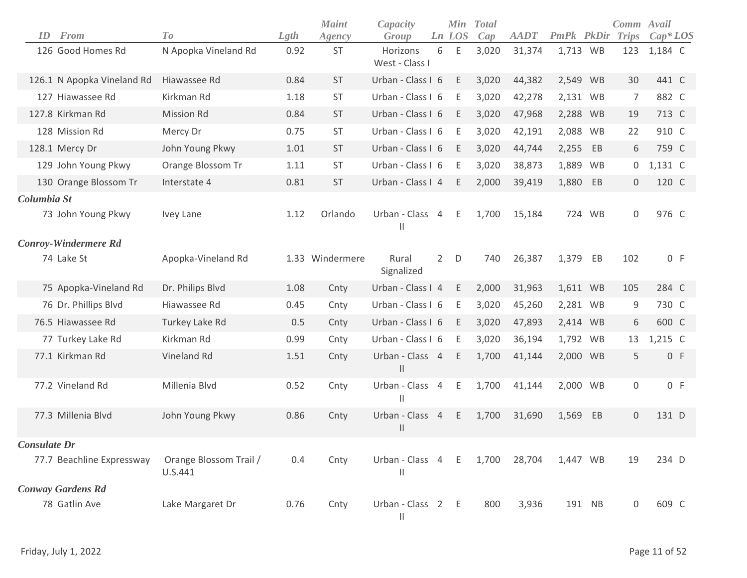| From<br>ID                  | To                                | Lgth | <b>Maint</b><br>Agency | Capacity<br>Group                 |                | Min<br>Ln LOS | <b>Total</b><br>Cap | <b>AADT</b> | <b>PmPk</b> PkDir |        | Comm Avail<br><b>Trips</b> | $Cap*LOS$ |
|-----------------------------|-----------------------------------|------|------------------------|-----------------------------------|----------------|---------------|---------------------|-------------|-------------------|--------|----------------------------|-----------|
| 126 Good Homes Rd           | N Apopka Vineland Rd              | 0.92 | <b>ST</b>              | Horizons<br>West - Class I        | 6              | E             | 3,020               | 31,374      | 1,713 WB          |        | 123                        | 1,184 C   |
| 126.1 N Apopka Vineland Rd  | Hiawassee Rd                      | 0.84 | <b>ST</b>              | Urban - Class I 6                 |                | E             | 3,020               | 44,382      | 2,549 WB          |        | 30                         | 441 C     |
| 127 Hiawassee Rd            | Kirkman Rd                        | 1.18 | <b>ST</b>              | Urban - Class I 6                 |                | E             | 3,020               | 42,278      | 2,131 WB          |        | $\overline{7}$             | 882 C     |
| 127.8 Kirkman Rd            | <b>Mission Rd</b>                 | 0.84 | <b>ST</b>              | Urban - Class I 6                 |                | E             | 3,020               | 47,968      | 2,288 WB          |        | 19                         | 713 C     |
| 128 Mission Rd              | Mercy Dr                          | 0.75 | <b>ST</b>              | Urban - Class I 6                 |                | E             | 3,020               | 42,191      | 2,088 WB          |        | 22                         | 910 C     |
| 128.1 Mercy Dr              | John Young Pkwy                   | 1.01 | <b>ST</b>              | Urban - Class I 6                 |                | E             | 3,020               | 44,744      | 2,255             | EB     | 6                          | 759 C     |
| 129 John Young Pkwy         | Orange Blossom Tr                 | 1.11 | <b>ST</b>              | Urban - Class I 6                 |                | E             | 3,020               | 38,873      | 1,889 WB          |        | 0                          | 1,131 C   |
| 130 Orange Blossom Tr       | Interstate 4                      | 0.81 | <b>ST</b>              | Urban - Class I 4                 |                | E             | 2,000               | 39,419      | 1,880             | EB     | $\mathbf 0$                | 120 C     |
| Columbia St                 |                                   |      |                        |                                   |                |               |                     |             |                   |        |                            |           |
| 73 John Young Pkwy          | Ivey Lane                         | 1.12 | Orlando                | Urban - Class<br>$\mathbf{I}$     | $\overline{4}$ | E.            | 1,700               | 15,184      |                   | 724 WB | 0                          | 976 C     |
| <b>Conroy-Windermere Rd</b> |                                   |      |                        |                                   |                |               |                     |             |                   |        |                            |           |
| 74 Lake St                  | Apopka-Vineland Rd                |      | 1.33 Windermere        | Rural<br>Signalized               | $\overline{2}$ | D             | 740                 | 26,387      | 1,379             | EB     | 102                        | 0 F       |
| 75 Apopka-Vineland Rd       | Dr. Philips Blvd                  | 1.08 | Cnty                   | Urban - Class I 4                 |                | E             | 2,000               | 31,963      | 1,611 WB          |        | 105                        | 284 C     |
| 76 Dr. Phillips Blvd        | Hiawassee Rd                      | 0.45 | Cnty                   | Urban - Class I 6                 |                | Ε             | 3,020               | 45,260      | 2,281 WB          |        | 9                          | 730 C     |
| 76.5 Hiawassee Rd           | Turkey Lake Rd                    | 0.5  | Cnty                   | Urban - Class I 6                 |                | E             | 3,020               | 47,893      | 2,414 WB          |        | 6                          | 600 C     |
| 77 Turkey Lake Rd           | Kirkman Rd                        | 0.99 | Cnty                   | Urban - Class I 6                 |                | Ε             | 3,020               | 36,194      | 1,792 WB          |        | 13                         | 1,215 C   |
| 77.1 Kirkman Rd             | Vineland Rd                       | 1.51 | Cnty                   | Urban - Class 4<br>$\vert\vert$   |                | E             | 1,700               | 41,144      | 2,000 WB          |        | 5                          | 0 F       |
| 77.2 Vineland Rd            | Millenia Blvd                     | 0.52 | Cnty                   | Urban - Class<br>$\mathsf{I}$     | $\overline{4}$ | Ε             | 1,700               | 41,144      | 2,000 WB          |        | $\mathsf{O}\xspace$        | 0 F       |
| 77.3 Millenia Blvd          | John Young Pkwy                   | 0.86 | Cnty                   | Urban - Class<br>$\mathbf{H}$     | $\overline{4}$ | E             | 1,700               | 31,690      | 1,569             | EB     | 0                          | 131 D     |
| Consulate Dr                |                                   |      |                        |                                   |                |               |                     |             |                   |        |                            |           |
| 77.7 Beachline Expressway   | Orange Blossom Trail /<br>U.S.441 | 0.4  | Cnty                   | Urban - Class 4 E<br>$\mathbf{H}$ |                |               | 1,700               | 28,704      | 1,447 WB          |        | 19                         | 234 D     |
| <b>Conway Gardens Rd</b>    |                                   |      |                        |                                   |                |               |                     |             |                   |        |                            |           |
| 78 Gatlin Ave               | Lake Margaret Dr                  | 0.76 | Cnty                   | Urban - Class 2 E<br>$\vert\vert$ |                |               | 800                 | 3,936       | 191 NB            |        | 0                          | 609 C     |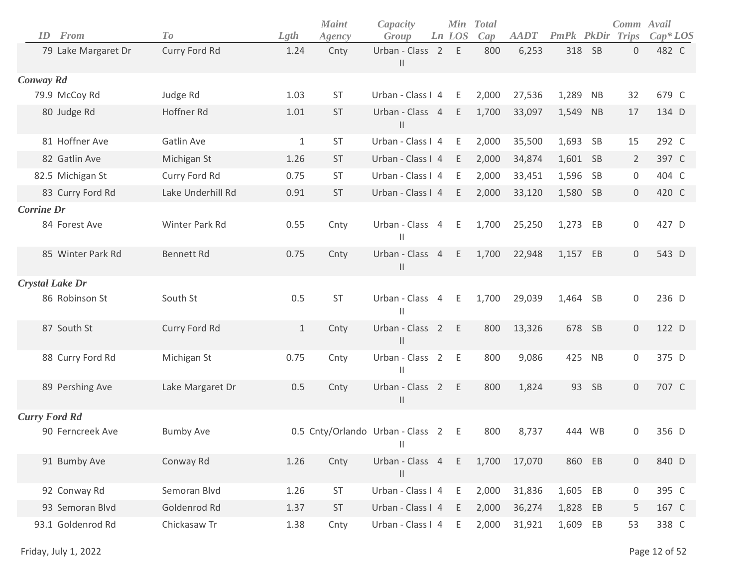| ID                     | From                | To                | Lgth         | <b>Maint</b><br>Agency | Capacity<br>Group                                | Min<br>Ln LOS | <b>Total</b><br>Cap | <b>AADT</b> | <b>PmPk</b> PkDir |           | Comm Avail<br>Trips | $Cap^*LOS$ |
|------------------------|---------------------|-------------------|--------------|------------------------|--------------------------------------------------|---------------|---------------------|-------------|-------------------|-----------|---------------------|------------|
|                        | 79 Lake Margaret Dr | Curry Ford Rd     | 1.24         | Cnty                   | Urban - Class 2<br>$\ensuremath{\mathsf{II}}$    | E             | 800                 | 6,253       | 318               | <b>SB</b> | $\mathbf 0$         | 482 C      |
| Conway Rd              |                     |                   |              |                        |                                                  |               |                     |             |                   |           |                     |            |
|                        | 79.9 McCoy Rd       | Judge Rd          | 1.03         | <b>ST</b>              | Urban - Class I 4                                | Ε             | 2,000               | 27,536      | 1,289             | <b>NB</b> | 32                  | 679 C      |
|                        | 80 Judge Rd         | Hoffner Rd        | 1.01         | ST                     | Urban - Class 4<br>$\vert\vert$                  | E             | 1,700               | 33,097      | 1,549             | <b>NB</b> | 17                  | 134 D      |
|                        | 81 Hoffner Ave      | Gatlin Ave        | $\mathbf{1}$ | ST                     | Urban - Class I 4                                | E             | 2,000               | 35,500      | 1,693 SB          |           | 15                  | 292 C      |
|                        | 82 Gatlin Ave       | Michigan St       | 1.26         | <b>ST</b>              | Urban - Class I 4                                | E             | 2,000               | 34,874      | 1,601             | <b>SB</b> | $\overline{2}$      | 397 C      |
|                        | 82.5 Michigan St    | Curry Ford Rd     | 0.75         | <b>ST</b>              | Urban - Class I 4                                | E             | 2,000               | 33,451      | 1,596             | SB        | 0                   | 404 C      |
|                        | 83 Curry Ford Rd    | Lake Underhill Rd | 0.91         | ST                     | Urban - Class I 4                                | E             | 2,000               | 33,120      | 1,580 SB          |           | $\mathbf 0$         | 420 C      |
| <b>Corrine Dr</b>      |                     |                   |              |                        |                                                  |               |                     |             |                   |           |                     |            |
|                        | 84 Forest Ave       | Winter Park Rd    | 0.55         | Cnty                   | Urban - Class 4<br>$\vert\vert$                  | E             | 1,700               | 25,250      | 1,273             | EB        | $\mathbf 0$         | 427 D      |
|                        | 85 Winter Park Rd   | <b>Bennett Rd</b> | 0.75         | Cnty                   | Urban - Class 4<br>$\ensuremath{\mathsf{II}}$    | E             | 1,700               | 22,948      | 1,157             | EB        | $\mathbf 0$         | 543 D      |
| <b>Crystal Lake Dr</b> |                     |                   |              |                        |                                                  |               |                     |             |                   |           |                     |            |
|                        | 86 Robinson St      | South St          | 0.5          | <b>ST</b>              | Urban - Class 4<br>$\vert\vert$                  | E             | 1,700               | 29,039      | 1,464 SB          |           | 0                   | 236 D      |
|                        | 87 South St         | Curry Ford Rd     | $\mathbf{1}$ | Cnty                   | Urban - Class 2<br>$\mathbf{  }$                 | E             | 800                 | 13,326      | 678               | SB        | $\mathsf{O}\xspace$ | 122 D      |
|                        | 88 Curry Ford Rd    | Michigan St       | 0.75         | Cnty                   | Urban - Class 2<br>$\vert\vert$                  | E             | 800                 | 9,086       | 425               | <b>NB</b> | 0                   | 375 D      |
|                        | 89 Pershing Ave     | Lake Margaret Dr  | 0.5          | Cnty                   | Urban - Class 2<br>$\mathbf{  }$                 | E             | 800                 | 1,824       | 93                | <b>SB</b> | $\mathbf 0$         | 707 C      |
| <b>Curry Ford Rd</b>   |                     |                   |              |                        |                                                  |               |                     |             |                   |           |                     |            |
|                        | 90 Ferncreek Ave    | <b>Bumby Ave</b>  |              |                        | 0.5 Cnty/Orlando Urban - Class 2<br>$\mathbf{H}$ | E             | 800                 | 8,737       |                   | 444 WB    | 0                   | 356 D      |
|                        | 91 Bumby Ave        | Conway Rd         | 1.26         | Cnty                   | Urban - Class 4<br>$\mathbf{  }$                 | E             | 1,700               | 17,070      | 860               | EB        | $\mathbf 0$         | 840 D      |
|                        | 92 Conway Rd        | Semoran Blvd      | 1.26         | ST                     | Urban - Class I 4                                | Ε             | 2,000               | 31,836      | 1,605             | EB        | 0                   | 395 C      |
|                        | 93 Semoran Blvd     | Goldenrod Rd      | 1.37         | ST                     | Urban - Class I 4                                | Ε             | 2,000               | 36,274      | 1,828             | EB        | 5                   | 167 C      |
|                        | 93.1 Goldenrod Rd   | Chickasaw Tr      | 1.38         | Cnty                   | Urban - Class I 4                                | Ε             | 2,000               | 31,921      | 1,609             | EB        | 53                  | 338 C      |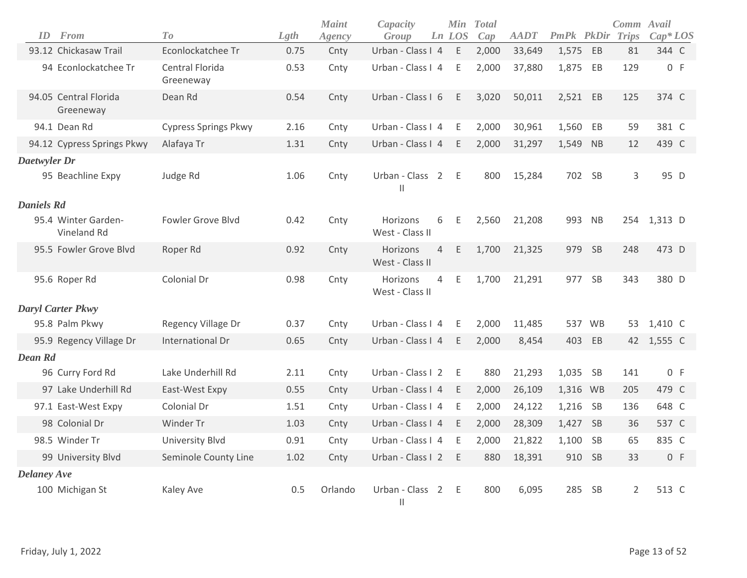| ID                 | From                               | T <sub>0</sub>               | Lgth | <b>Maint</b><br>Agency | Capacity<br>Group               |                | Min<br>Ln LOS | <b>T</b> otal<br>Cap | <b>AADT</b> | PmPk PkDir Trips |           | Comm Avail     | $Cap^*LOS$  |
|--------------------|------------------------------------|------------------------------|------|------------------------|---------------------------------|----------------|---------------|----------------------|-------------|------------------|-----------|----------------|-------------|
|                    | 93.12 Chickasaw Trail              | Econlockatchee Tr            | 0.75 | Cnty                   | Urban - Class I 4               |                | $\mathsf E$   | 2,000                | 33,649      | 1,575            | EB        | 81             | 344 C       |
|                    | 94 Econlockatchee Tr               | Central Florida<br>Greeneway | 0.53 | Cnty                   | Urban - Class I 4               |                | $\mathsf E$   | 2,000                | 37,880      | 1,875            | EB        | 129            | 0 F         |
|                    | 94.05 Central Florida<br>Greeneway | Dean Rd                      | 0.54 | Cnty                   | Urban - Class I 6               |                | Ε             | 3,020                | 50,011      | 2,521 EB         |           | 125            | 374 C       |
|                    | 94.1 Dean Rd                       | <b>Cypress Springs Pkwy</b>  | 2.16 | Cnty                   | Urban - Class I 4               |                | Ε             | 2,000                | 30,961      | 1,560            | EB        | 59             | 381 C       |
|                    | 94.12 Cypress Springs Pkwy         | Alafaya Tr                   | 1.31 | Cnty                   | Urban - Class I 4               |                | E             | 2,000                | 31,297      | 1,549 NB         |           | 12             | 439 C       |
| Daetwyler Dr       |                                    |                              |      |                        |                                 |                |               |                      |             |                  |           |                |             |
|                    | 95 Beachline Expy                  | Judge Rd                     | 1.06 | Cnty                   | Urban - Class 2<br>$\vert\vert$ |                | E             | 800                  | 15,284      | 702 SB           |           | 3              | 95 D        |
| <b>Daniels Rd</b>  |                                    |                              |      |                        |                                 |                |               |                      |             |                  |           |                |             |
|                    | 95.4 Winter Garden-<br>Vineland Rd | Fowler Grove Blvd            | 0.42 | Cnty                   | Horizons<br>West - Class II     | 6              | Ε             | 2,560                | 21,208      | 993              | <b>NB</b> |                | 254 1,313 D |
|                    | 95.5 Fowler Grove Blvd             | Roper Rd                     | 0.92 | Cnty                   | Horizons<br>West - Class II     | $\overline{4}$ | E             | 1,700                | 21,325      | 979 SB           |           | 248            | 473 D       |
|                    | 95.6 Roper Rd                      | Colonial Dr                  | 0.98 | Cnty                   | Horizons<br>West - Class II     | 4              | E             | 1,700                | 21,291      | 977 SB           |           | 343            | 380 D       |
|                    | Daryl Carter Pkwy                  |                              |      |                        |                                 |                |               |                      |             |                  |           |                |             |
|                    | 95.8 Palm Pkwy                     | Regency Village Dr           | 0.37 | Cnty                   | Urban - Class I 4               |                | E             | 2,000                | 11,485      | 537 WB           |           | 53             | 1,410 C     |
|                    | 95.9 Regency Village Dr            | International Dr             | 0.65 | Cnty                   | Urban - Class I 4               |                | Ε             | 2,000                | 8,454       | 403 EB           |           |                | 42 1,555 C  |
| Dean Rd            |                                    |                              |      |                        |                                 |                |               |                      |             |                  |           |                |             |
|                    | 96 Curry Ford Rd                   | Lake Underhill Rd            | 2.11 | Cnty                   | Urban - Class I 2               |                | E             | 880                  | 21,293      | 1,035 SB         |           | 141            | 0 F         |
|                    | 97 Lake Underhill Rd               | East-West Expy               | 0.55 | Cnty                   | Urban - Class I 4               |                | E             | 2,000                | 26,109      | 1,316 WB         |           | 205            | 479 C       |
|                    | 97.1 East-West Expy                | Colonial Dr                  | 1.51 | Cnty                   | Urban - Class I 4               |                | Ε             | 2,000                | 24,122      | 1,216 SB         |           | 136            | 648 C       |
|                    | 98 Colonial Dr                     | Winder Tr                    | 1.03 | Cnty                   | Urban - Class I 4               |                | E             | 2,000                | 28,309      | 1,427 SB         |           | 36             | 537 C       |
|                    | 98.5 Winder Tr                     | <b>University Blvd</b>       | 0.91 | Cnty                   | Urban - Class I 4               |                | Ε             | 2,000                | 21,822      | 1,100            | SB        | 65             | 835 C       |
|                    | 99 University Blvd                 | Seminole County Line         | 1.02 | Cnty                   | Urban - Class I 2               |                | Ε             | 880                  | 18,391      | 910 SB           |           | 33             | 0 F         |
| <b>Delaney Ave</b> |                                    |                              |      |                        |                                 |                |               |                      |             |                  |           |                |             |
|                    | 100 Michigan St                    | Kaley Ave                    | 0.5  | Orlando                | Urban - Class 2<br>$\mathbf{H}$ |                | Ε             | 800                  | 6,095       | 285              | SB        | $\overline{2}$ | 513 C       |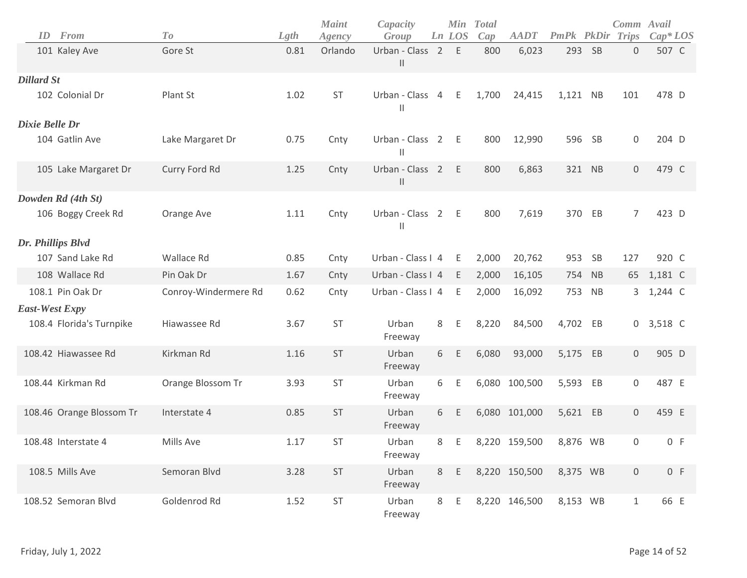| ID<br><b>From</b>        | T o                  | Lgth | <b>Maint</b><br>Agency | Capacity<br>Group               |                | <b>Min</b><br>Ln LOS | <b>Total</b><br>Cap | <b>AADT</b>   | PmPk     |           | Comm Avail<br><b>PkDir Trips</b> | $Cap^*LOS$ |
|--------------------------|----------------------|------|------------------------|---------------------------------|----------------|----------------------|---------------------|---------------|----------|-----------|----------------------------------|------------|
| 101 Kaley Ave            | Gore St              | 0.81 | Orlando                | Urban - Class 2<br>$\vert\vert$ |                | E                    | 800                 | 6,023         | 293      | <b>SB</b> | $\mathbf 0$                      | 507 C      |
| <b>Dillard St</b>        |                      |      |                        |                                 |                |                      |                     |               |          |           |                                  |            |
| 102 Colonial Dr          | Plant St             | 1.02 | <b>ST</b>              | Urban - Class<br>Ш              | $\overline{4}$ | E                    | 1,700               | 24,415        | 1,121 NB |           | 101                              | 478 D      |
| Dixie Belle Dr           |                      |      |                        |                                 |                |                      |                     |               |          |           |                                  |            |
| 104 Gatlin Ave           | Lake Margaret Dr     | 0.75 | Cnty                   | Urban - Class 2<br>$\mathsf{I}$ |                | E                    | 800                 | 12,990        | 596      | <b>SB</b> | $\mathbf 0$                      | 204 D      |
| 105 Lake Margaret Dr     | Curry Ford Rd        | 1.25 | Cnty                   | Urban - Class 2<br>Ш            |                | E                    | 800                 | 6,863         |          | 321 NB    | $\mathbf 0$                      | 479 C      |
| Dowden Rd (4th St)       |                      |      |                        |                                 |                |                      |                     |               |          |           |                                  |            |
| 106 Boggy Creek Rd       | Orange Ave           | 1.11 | Cnty                   | Urban - Class 2<br>Ш            |                | E                    | 800                 | 7,619         | 370      | EB        | $\overline{7}$                   | 423 D      |
| Dr. Phillips Blvd        |                      |      |                        |                                 |                |                      |                     |               |          |           |                                  |            |
| 107 Sand Lake Rd         | Wallace Rd           | 0.85 | Cnty                   | Urban - Class I 4               |                | E                    | 2,000               | 20,762        | 953      | <b>SB</b> | 127                              | 920 C      |
| 108 Wallace Rd           | Pin Oak Dr           | 1.67 | Cnty                   | Urban - Class I 4               |                | E                    | 2,000               | 16,105        |          | 754 NB    | 65                               | 1,181 C    |
| 108.1 Pin Oak Dr         | Conroy-Windermere Rd | 0.62 | Cnty                   | Urban - Class I 4               |                | Ε                    | 2,000               | 16,092        | 753      | NB        | 3                                | 1,244 C    |
| <b>East-West Expy</b>    |                      |      |                        |                                 |                |                      |                     |               |          |           |                                  |            |
| 108.4 Florida's Turnpike | Hiawassee Rd         | 3.67 | <b>ST</b>              | Urban<br>Freeway                | 8              | E                    | 8,220               | 84,500        | 4,702 EB |           | 0                                | 3,518 C    |
| 108.42 Hiawassee Rd      | Kirkman Rd           | 1.16 | ST                     | Urban<br>Freeway                | 6              | Ε                    | 6,080               | 93,000        | 5,175 EB |           | $\mathbf 0$                      | 905 D      |
| 108.44 Kirkman Rd        | Orange Blossom Tr    | 3.93 | <b>ST</b>              | Urban<br>Freeway                | 6              | Ε                    |                     | 6,080 100,500 | 5,593    | EB        | $\mathbf 0$                      | 487 E      |
| 108.46 Orange Blossom Tr | Interstate 4         | 0.85 | ST                     | Urban<br>Freeway                | 6              | E                    |                     | 6,080 101,000 | 5,621 EB |           | $\mathbf 0$                      | 459 E      |
| 108.48 Interstate 4      | Mills Ave            | 1.17 | ST                     | Urban<br>Freeway                | 8              | E                    |                     | 8,220 159,500 | 8,876 WB |           | $\Omega$                         | 0 F        |
| 108.5 Mills Ave          | Semoran Blvd         | 3.28 | $\mathsf{ST}\xspace$   | Urban<br>Freeway                | 8              | E                    |                     | 8,220 150,500 | 8,375 WB |           | $\mathbf 0$                      | 0 F        |
| 108.52 Semoran Blvd      | Goldenrod Rd         | 1.52 | ST                     | Urban<br>Freeway                | 8              | E                    |                     | 8,220 146,500 | 8,153 WB |           | $\mathbf{1}$                     | 66 E       |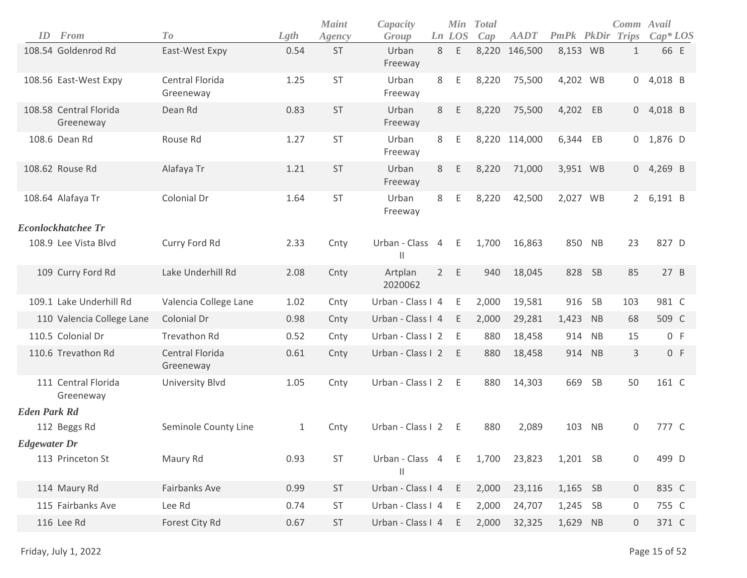| ID                  | From                                | To                           | Lgth | <b>Maint</b><br>Agency | Capacity<br>Group                |             | Min<br>Ln LOS | <b>Total</b><br>Cap | <b>AADT</b>   | <b>PmPk PkDir Trips</b> |           | Comm Avail     | $Cap^*LOS$  |
|---------------------|-------------------------------------|------------------------------|------|------------------------|----------------------------------|-------------|---------------|---------------------|---------------|-------------------------|-----------|----------------|-------------|
|                     | 108.54 Goldenrod Rd                 | East-West Expy               | 0.54 | <b>ST</b>              | Urban<br>Freeway                 | 8           | Ε             |                     | 8,220 146,500 | 8,153 WB                |           | $\mathbf{1}$   | 66 E        |
|                     | 108.56 East-West Expy               | Central Florida<br>Greeneway | 1.25 | <b>ST</b>              | Urban<br>Freeway                 | 8           | Ε             | 8,220               | 75,500        | 4,202 WB                |           |                | $0$ 4,018 B |
|                     | 108.58 Central Florida<br>Greeneway | Dean Rd                      | 0.83 | <b>ST</b>              | Urban<br>Freeway                 | 8           | Ε             | 8,220               | 75,500        | 4,202 EB                |           |                | $0$ 4,018 B |
|                     | 108.6 Dean Rd                       | Rouse Rd                     | 1.27 | ST                     | Urban<br>Freeway                 | 8           | Ε             |                     | 8,220 114,000 | 6,344                   | EB        |                | $0$ 1,876 D |
|                     | 108.62 Rouse Rd                     | Alafaya Tr                   | 1.21 | <b>ST</b>              | Urban<br>Freeway                 | 8           | Ε             | 8,220               | 71,000        | 3,951 WB                |           |                | $0$ 4,269 B |
|                     | 108.64 Alafaya Tr                   | Colonial Dr                  | 1.64 | ST                     | Urban<br>Freeway                 | 8           | Ε             | 8,220               | 42,500        | 2,027 WB                |           |                | 2 6,191 B   |
|                     | <b>Econlockhatchee Tr</b>           |                              |      |                        |                                  |             |               |                     |               |                         |           |                |             |
|                     | 108.9 Lee Vista Blvd                | Curry Ford Rd                | 2.33 | Cnty                   | Urban - Class 4<br>Ш             |             | E             | 1,700               | 16,863        | 850 NB                  |           | 23             | 827 D       |
|                     | 109 Curry Ford Rd                   | Lake Underhill Rd            | 2.08 | Cnty                   | Artplan<br>2020062               | $2^{\circ}$ | E             | 940                 | 18,045        | 828                     | - SB      | 85             | 27 B        |
|                     | 109.1 Lake Underhill Rd             | Valencia College Lane        | 1.02 | Cnty                   | Urban - Class I 4                |             | E             | 2,000               | 19,581        | 916                     | <b>SB</b> | 103            | 981 C       |
|                     | 110 Valencia College Lane           | Colonial Dr                  | 0.98 | Cnty                   | Urban - Class I 4                |             | E             | 2,000               | 29,281        | 1,423                   | NB        | 68             | 509 C       |
|                     | 110.5 Colonial Dr                   | <b>Trevathon Rd</b>          | 0.52 | Cnty                   | Urban - Class I 2                |             | E             | 880                 | 18,458        | 914                     | <b>NB</b> | 15             | 0 F         |
|                     | 110.6 Trevathon Rd                  | Central Florida<br>Greeneway | 0.61 | Cnty                   | Urban - Class I 2                |             | E             | 880                 | 18,458        | 914                     | NB        | 3              | 0 F         |
|                     | 111 Central Florida<br>Greeneway    | <b>University Blvd</b>       | 1.05 | Cnty                   | Urban - Class I 2                |             | E             | 880                 | 14,303        | 669                     | <b>SB</b> | 50             | 161 C       |
| <b>Eden Park Rd</b> |                                     |                              |      |                        |                                  |             |               |                     |               |                         |           |                |             |
|                     | 112 Beggs Rd                        | Seminole County Line         | 1    | Cnty                   | Urban - Class I 2                |             | E.            | 880                 | 2,089         | 103                     | <b>NB</b> | 0              | 777 C       |
| <b>Edgewater Dr</b> |                                     |                              |      |                        |                                  |             |               |                     |               |                         |           |                |             |
|                     | 113 Princeton St                    | Maury Rd                     | 0.93 | ST                     | Urban - Class 4<br>$\mathsf{II}$ |             | E             | 1,700               | 23,823        | 1,201 SB                |           | 0              | 499 D       |
|                     | 114 Maury Rd                        | <b>Fairbanks Ave</b>         | 0.99 | <b>ST</b>              | Urban - Class I 4                |             | E             | 2,000               | 23,116        | 1,165 SB                |           | $\overline{0}$ | 835 C       |
|                     | 115 Fairbanks Ave                   | Lee Rd                       | 0.74 | ST                     | Urban - Class I 4                |             | E             | 2,000               | 24,707        | 1,245 SB                |           | 0              | 755 C       |
|                     | 116 Lee Rd                          | Forest City Rd               | 0.67 | ST                     | Urban - Class I 4                |             | E             | 2,000               | 32,325        | 1,629 NB                |           | $\mathbf 0$    | 371 C       |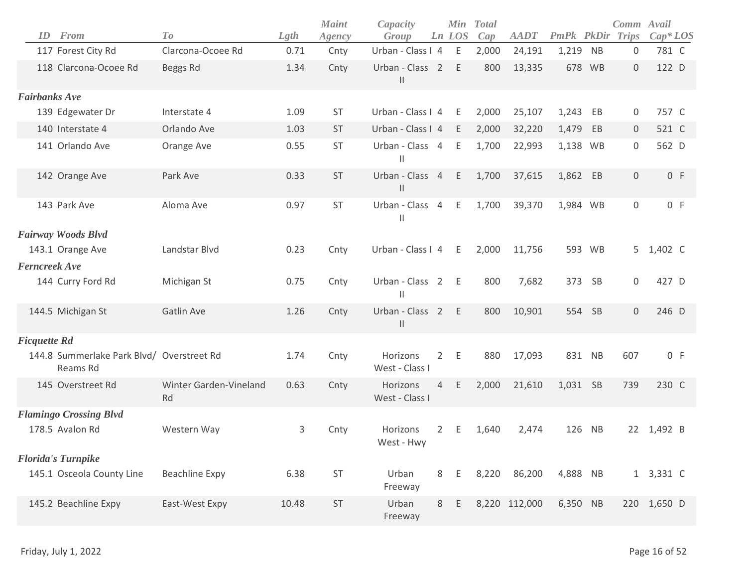| ID                   | From                                                  | To                           | Lgth  | <b>Maint</b><br>Agency | Capacity<br>Group                |                | <b>Min</b><br>Ln LOS | <b>Total</b><br>Cap | <b>AADT</b>   | <b>PmPk</b> | PkDir     | Comm Avail<br><b>Trips</b> | $Cap^*LOS$ |
|----------------------|-------------------------------------------------------|------------------------------|-------|------------------------|----------------------------------|----------------|----------------------|---------------------|---------------|-------------|-----------|----------------------------|------------|
|                      | 117 Forest City Rd                                    | Clarcona-Ocoee Rd            | 0.71  | Cnty                   | Urban - Class I 4                |                | E                    | 2,000               | 24,191        | 1,219       | <b>NB</b> | 0                          | 781 C      |
|                      | 118 Clarcona-Ocoee Rd                                 | Beggs Rd                     | 1.34  | Cnty                   | Urban - Class 2<br>$\mathbf{  }$ |                | E                    | 800                 | 13,335        | 678         | WB        | $\mathbf 0$                | 122 D      |
| <b>Fairbanks Ave</b> |                                                       |                              |       |                        |                                  |                |                      |                     |               |             |           |                            |            |
|                      | 139 Edgewater Dr                                      | Interstate 4                 | 1.09  | <b>ST</b>              | Urban - Class I 4                |                | E                    | 2,000               | 25,107        | 1,243       | EB        | 0                          | 757 C      |
|                      | 140 Interstate 4                                      | Orlando Ave                  | 1.03  | <b>ST</b>              | Urban - Class I 4                |                | E                    | 2,000               | 32,220        | 1,479       | EB        | $\overline{0}$             | 521 C      |
|                      | 141 Orlando Ave                                       | Orange Ave                   | 0.55  | ST                     | Urban - Class 4<br>$\mathsf{I}$  |                | Ε                    | 1,700               | 22,993        | 1,138       | WB        | 0                          | 562 D      |
|                      | 142 Orange Ave                                        | Park Ave                     | 0.33  | <b>ST</b>              | Urban - Class 4<br>$\mid \mid$   |                | E                    | 1,700               | 37,615        | 1,862       | EB        | $\mathbf 0$                | 0 F        |
|                      | 143 Park Ave                                          | Aloma Ave                    | 0.97  | ST                     | Urban - Class 4<br>$\mathsf{II}$ |                | E                    | 1,700               | 39,370        | 1,984 WB    |           | $\mathsf{O}$               | 0 F        |
|                      | Fairway Woods Blvd                                    |                              |       |                        |                                  |                |                      |                     |               |             |           |                            |            |
|                      | 143.1 Orange Ave                                      | Landstar Blvd                | 0.23  | Cnty                   | Urban - Class I 4                |                | Ε                    | 2,000               | 11,756        | 593         | <b>WB</b> | 5                          | 1,402 C    |
| Ferncreek Ave        |                                                       |                              |       |                        |                                  |                |                      |                     |               |             |           |                            |            |
|                      | 144 Curry Ford Rd                                     | Michigan St                  | 0.75  | Cnty                   | Urban - Class 2<br>Ш             |                | - E                  | 800                 | 7,682         | 373         | SB        | 0                          | 427 D      |
|                      | 144.5 Michigan St                                     | Gatlin Ave                   | 1.26  | Cnty                   | Urban - Class 2<br>$\mid \mid$   |                | E                    | 800                 | 10,901        | 554         | SB        | $\mathbf 0$                | 246 D      |
| <b>Ficquette Rd</b>  |                                                       |                              |       |                        |                                  |                |                      |                     |               |             |           |                            |            |
|                      | 144.8 Summerlake Park Blvd/ Overstreet Rd<br>Reams Rd |                              | 1.74  | Cnty                   | Horizons<br>West - Class I       | $\overline{2}$ | E                    | 880                 | 17,093        | 831 NB      |           | 607                        | 0 F        |
|                      | 145 Overstreet Rd                                     | Winter Garden-Vineland<br>Rd | 0.63  | Cnty                   | Horizons<br>West - Class I       | $\overline{4}$ | E                    | 2,000               | 21,610        | 1,031 SB    |           | 739                        | 230 C      |
|                      | <b>Flamingo Crossing Blvd</b>                         |                              |       |                        |                                  |                |                      |                     |               |             |           |                            |            |
|                      | 178.5 Avalon Rd                                       | Western Way                  | 3     | Cnty                   | Horizons<br>West - Hwy           | $\overline{2}$ | E                    | 1,640               | 2,474         | 126         | <b>NB</b> |                            | 22 1,492 B |
|                      | <b>Florida's Turnpike</b>                             |                              |       |                        |                                  |                |                      |                     |               |             |           |                            |            |
|                      | 145.1 Osceola County Line                             | <b>Beachline Expy</b>        | 6.38  | ST                     | Urban<br>Freeway                 | 8              | Ε                    | 8,220               | 86,200        | 4,888 NB    |           |                            | 1 3,331 C  |
|                      | 145.2 Beachline Expy                                  | East-West Expy               | 10.48 | ST                     | Urban<br>Freeway                 | 8              | E                    |                     | 8,220 112,000 | 6,350 NB    |           | 220                        | 1,650 D    |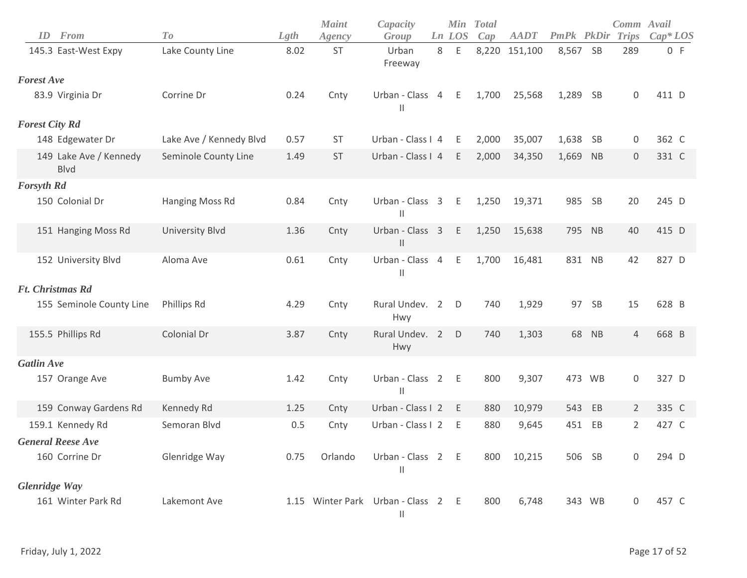| ID                    | From                                  | To                      | Lgth | <b>Maint</b><br>Agency | Capacity<br>Group                                          |   | Ln LOS | Min Total<br>Cap | <b>AADT</b>   | PmPk PkDir |           | Comm Avail<br><b>Trips</b> | $Cap*LOS$ |
|-----------------------|---------------------------------------|-------------------------|------|------------------------|------------------------------------------------------------|---|--------|------------------|---------------|------------|-----------|----------------------------|-----------|
|                       | 145.3 East-West Expy                  | Lake County Line        | 8.02 | ST                     | Urban<br>Freeway                                           | 8 | Ε      |                  | 8,220 151,100 | 8,567 SB   |           | 289                        | 0 F       |
| <b>Forest Ave</b>     |                                       |                         |      |                        |                                                            |   |        |                  |               |            |           |                            |           |
|                       | 83.9 Virginia Dr                      | Corrine Dr              | 0.24 | Cnty                   | Urban - Class 4<br>Ш                                       |   | E      | 1,700            | 25,568        | 1,289 SB   |           | 0                          | 411 D     |
| <b>Forest City Rd</b> |                                       |                         |      |                        |                                                            |   |        |                  |               |            |           |                            |           |
|                       | 148 Edgewater Dr                      | Lake Ave / Kennedy Blvd | 0.57 | <b>ST</b>              | Urban - Class I 4                                          |   | E      | 2,000            | 35,007        | 1,638      | -SB       | 0                          | 362 C     |
|                       | 149 Lake Ave / Kennedy<br><b>Blvd</b> | Seminole County Line    | 1.49 | <b>ST</b>              | Urban - Class I 4                                          |   | E      | 2,000            | 34,350        | 1,669      | <b>NB</b> | $\boldsymbol{0}$           | 331 C     |
| <b>Forsyth Rd</b>     |                                       |                         |      |                        |                                                            |   |        |                  |               |            |           |                            |           |
|                       | 150 Colonial Dr                       | Hanging Moss Rd         | 0.84 | Cnty                   | Urban - Class 3<br>$\mathsf{I}$                            |   | E      | 1,250            | 19,371        | 985 SB     |           | 20                         | 245 D     |
|                       | 151 Hanging Moss Rd                   | <b>University Blvd</b>  | 1.36 | Cnty                   | Urban - Class 3<br>$\mathsf{I}$                            |   | E.     | 1,250            | 15,638        |            | 795 NB    | 40                         | 415 D     |
|                       | 152 University Blvd                   | Aloma Ave               | 0.61 | Cnty                   | Urban - Class 4<br>$\mathbf{H}$                            |   | E      | 1,700            | 16,481        |            | 831 NB    | 42                         | 827 D     |
|                       | <b>Ft.</b> Christmas Rd               |                         |      |                        |                                                            |   |        |                  |               |            |           |                            |           |
|                       | 155 Seminole County Line              | Phillips Rd             | 4.29 | Cnty                   | Rural Undev. 2<br>Hwy                                      |   | D      | 740              | 1,929         | 97         | <b>SB</b> | 15                         | 628 B     |
|                       | 155.5 Phillips Rd                     | Colonial Dr             | 3.87 | Cnty                   | Rural Undev. 2<br>Hwy                                      |   | D      | 740              | 1,303         |            | 68 NB     | $\overline{4}$             | 668 B     |
| <b>Gatlin Ave</b>     |                                       |                         |      |                        |                                                            |   |        |                  |               |            |           |                            |           |
|                       | 157 Orange Ave                        | <b>Bumby Ave</b>        | 1.42 | Cnty                   | Urban - Class 2 E<br>$\begin{array}{c} \hline \end{array}$ |   |        | 800              | 9,307         |            | 473 WB    | $\boldsymbol{0}$           | 327 D     |
|                       | 159 Conway Gardens Rd                 | Kennedy Rd              | 1.25 | Cnty                   | Urban - Class I 2                                          |   | E      | 880              | 10,979        | 543        | EB        | $\overline{2}$             | 335 C     |
|                       | 159.1 Kennedy Rd                      | Semoran Blvd            | 0.5  | Cnty                   | Urban - Class I 2                                          |   | E      | 880              | 9,645         | 451        | EB        | $\overline{2}$             | 427 C     |
|                       | <b>General Reese Ave</b>              |                         |      |                        |                                                            |   |        |                  |               |            |           |                            |           |
|                       | 160 Corrine Dr                        | Glenridge Way           | 0.75 | Orlando                | Urban - Class 2 E<br>Ш                                     |   |        | 800              | 10,215        |            | 506 SB    | $\boldsymbol{0}$           | 294 D     |
| <b>Glenridge Way</b>  |                                       |                         |      |                        |                                                            |   |        |                  |               |            |           |                            |           |
|                       | 161 Winter Park Rd                    | Lakemont Ave            |      |                        | 1.15 Winter Park Urban - Class 2 E<br>$\mid \mid$          |   |        | 800              | 6,748         |            | 343 WB    | 0                          | 457 C     |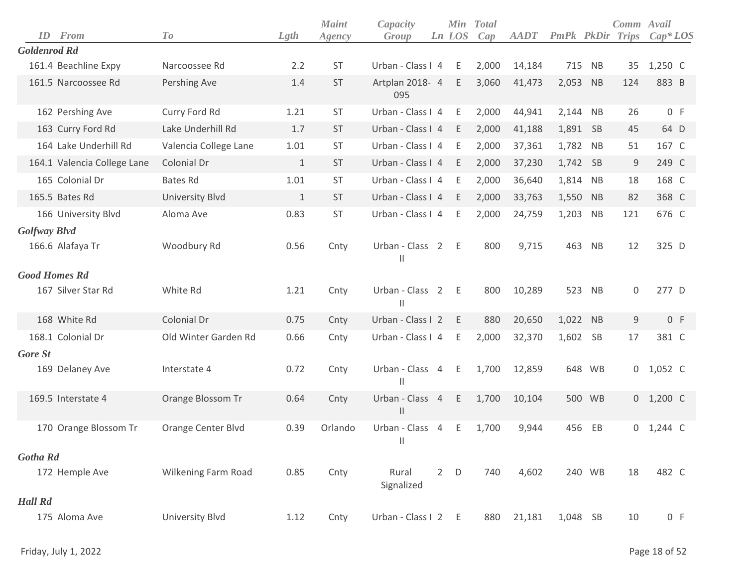| ID                   | From                        | To                     | Lgth         | <b>Maint</b><br>Agency | Capacity<br>Group                  |             | Ln LOS      | Min Total<br>Cap | <b>AADT</b> | <b>PmPk</b> PkDir |           | Comm Avail<br><b>Trips</b> | $Cap^*LOS$  |
|----------------------|-----------------------------|------------------------|--------------|------------------------|------------------------------------|-------------|-------------|------------------|-------------|-------------------|-----------|----------------------------|-------------|
| <b>Goldenrod Rd</b>  |                             |                        |              |                        |                                    |             |             |                  |             |                   |           |                            |             |
|                      | 161.4 Beachline Expy        | Narcoossee Rd          | 2.2          | <b>ST</b>              | Urban - Class I 4                  |             | E           | 2,000            | 14,184      |                   | 715 NB    | 35                         | $1,250$ C   |
|                      | 161.5 Narcoossee Rd         | Pershing Ave           | 1.4          | <b>ST</b>              | Artplan 2018- 4<br>095             |             | E           | 3,060            | 41,473      | 2,053             | NB        | 124                        | 883 B       |
|                      | 162 Pershing Ave            | Curry Ford Rd          | 1.21         | ST                     | Urban - Class I 4                  |             | E           | 2,000            | 44,941      | 2,144             | <b>NB</b> | 26                         | 0 F         |
|                      | 163 Curry Ford Rd           | Lake Underhill Rd      | 1.7          | <b>ST</b>              | Urban - Class I 4                  |             | E           | 2,000            | 41,188      | 1,891             | -SB       | 45                         | 64 D        |
|                      | 164 Lake Underhill Rd       | Valencia College Lane  | 1.01         | <b>ST</b>              | Urban - Class I 4                  |             | E           | 2,000            | 37,361      | 1,782             | <b>NB</b> | 51                         | 167 C       |
|                      | 164.1 Valencia College Lane | Colonial Dr            | $\mathbf{1}$ | <b>ST</b>              | Urban - Class I 4                  |             | E           | 2,000            | 37,230      | 1,742 SB          |           | 9                          | 249 C       |
|                      | 165 Colonial Dr             | <b>Bates Rd</b>        | 1.01         | <b>ST</b>              | Urban - Class I 4                  |             | E           | 2,000            | 36,640      | 1,814             | <b>NB</b> | 18                         | 168 C       |
|                      | 165.5 Bates Rd              | <b>University Blvd</b> | 1            | ST                     | Urban - Class I 4                  |             | E           | 2,000            | 33,763      | 1,550 NB          |           | 82                         | 368 C       |
|                      | 166 University Blvd         | Aloma Ave              | 0.83         | ST                     | Urban - Class I 4                  |             | E           | 2,000            | 24,759      | 1,203             | <b>NB</b> | 121                        | 676 C       |
| Golfway Blvd         |                             |                        |              |                        |                                    |             |             |                  |             |                   |           |                            |             |
|                      | 166.6 Alafaya Tr            | Woodbury Rd            | 0.56         | Cnty                   | Urban - Class 2<br>$\mathsf{II}$   |             | $-E$        | 800              | 9,715       | 463               | <b>NB</b> | 12                         | 325 D       |
| <b>Good Homes Rd</b> |                             |                        |              |                        |                                    |             |             |                  |             |                   |           |                            |             |
|                      | 167 Silver Star Rd          | White Rd               | 1.21         | Cnty                   | Urban - Class 2 E<br>$\mathbf{  }$ |             |             | 800              | 10,289      | 523               | NB        | 0                          | 277 D       |
|                      | 168 White Rd                | Colonial Dr            | 0.75         | Cnty                   | Urban - Class I 2                  |             | E           | 880              | 20,650      | 1,022 NB          |           | $9\,$                      | 0 F         |
|                      | 168.1 Colonial Dr           | Old Winter Garden Rd   | 0.66         | Cnty                   | Urban - Class I 4                  |             | E           | 2,000            | 32,370      | 1,602             | <b>SB</b> | 17                         | 381 C       |
| <b>Gore St</b>       |                             |                        |              |                        |                                    |             |             |                  |             |                   |           |                            |             |
|                      | 169 Delaney Ave             | Interstate 4           | 0.72         | Cnty                   | Urban - Class 4<br>$\mathbf{  }$   |             | E           | 1,700            | 12,859      | 648               | <b>WB</b> | 0                          | 1,052 C     |
|                      | 169.5 Interstate 4          | Orange Blossom Tr      | 0.64         | Cnty                   | Urban - Class 4<br>$\mathsf{I}$    |             | E           | 1,700            | 10,104      |                   | 500 WB    |                            | $0$ 1,200 C |
|                      | 170 Orange Blossom Tr       | Orange Center Blvd     | 0.39         | Orlando                | Urban - Class 4<br>H               |             | Ε           | 1,700            | 9,944       | 456               | EB        |                            | $0$ 1,244 C |
| <b>Gotha Rd</b>      |                             |                        |              |                        |                                    |             |             |                  |             |                   |           |                            |             |
|                      | 172 Hemple Ave              | Wilkening Farm Road    | 0.85         | Cnty                   | Rural<br>Signalized                | $2^{\circ}$ | $\mathsf D$ | 740              | 4,602       |                   | 240 WB    | 18                         | 482 C       |
| <b>Hall Rd</b>       |                             |                        |              |                        |                                    |             |             |                  |             |                   |           |                            |             |
|                      | 175 Aloma Ave               | University Blvd        | 1.12         | Cnty                   | Urban - Class I 2 E                |             |             | 880              | 21,181      | 1,048 SB          |           | 10                         | 0 F         |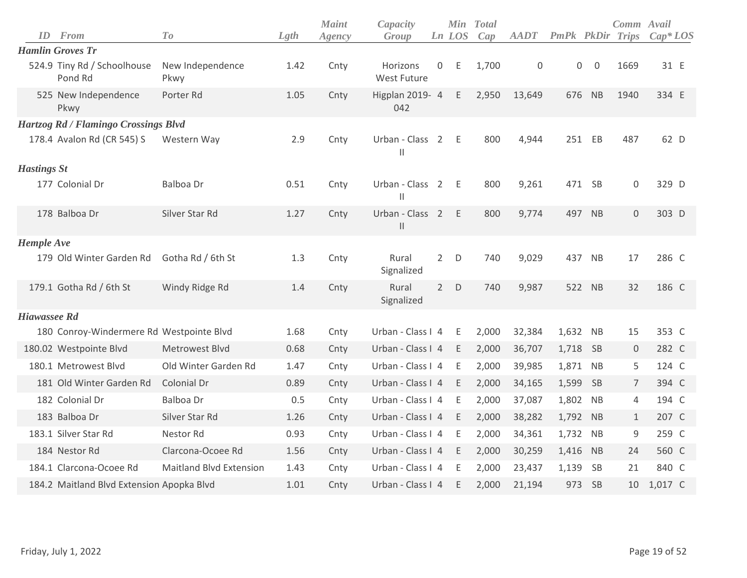| ID                 | From                                      | To                             | Lgth | <b>Maint</b><br>Agency | Capacity<br>Group                                        |                | Ln LOS | Min Total<br>Cap | <b>AADT</b> | <b>PmPk PkDir Trips</b> |                | Comm Avail     | $Cap^*LOS$ |
|--------------------|-------------------------------------------|--------------------------------|------|------------------------|----------------------------------------------------------|----------------|--------|------------------|-------------|-------------------------|----------------|----------------|------------|
|                    | <b>Hamlin Groves Tr</b>                   |                                |      |                        |                                                          |                |        |                  |             |                         |                |                |            |
|                    | 524.9 Tiny Rd / Schoolhouse<br>Pond Rd    | New Independence<br>Pkwy       | 1.42 | Cnty                   | Horizons<br><b>West Future</b>                           | $\overline{0}$ | Ε      | 1,700            | $\Omega$    | $\mathbf 0$             | $\overline{0}$ | 1669           | 31 E       |
|                    | 525 New Independence<br>Pkwy              | Porter Rd                      | 1.05 | Cnty                   | Higplan 2019- 4<br>042                                   |                | E      | 2,950            | 13,649      | 676                     | NB             | 1940           | 334 E      |
|                    | Hartzog Rd / Flamingo Crossings Blvd      |                                |      |                        |                                                          |                |        |                  |             |                         |                |                |            |
|                    | 178.4 Avalon Rd (CR 545) S                | Western Way                    | 2.9  | Cnty                   | Urban - Class 2<br>$\mathsf{II}$                         |                | E      | 800              | 4,944       | 251                     | EB             | 487            | 62 D       |
| <b>Hastings St</b> |                                           |                                |      |                        |                                                          |                |        |                  |             |                         |                |                |            |
|                    | 177 Colonial Dr                           | Balboa Dr                      | 0.51 | Cnty                   | Urban - Class 2<br>$\begin{array}{c} \hline \end{array}$ |                | - E    | 800              | 9,261       |                         | 471 SB         | 0              | 329 D      |
|                    | 178 Balboa Dr                             | Silver Star Rd                 | 1.27 | Cnty                   | Urban - Class 2<br>$\mathsf{II}$                         |                | E      | 800              | 9,774       |                         | 497 NB         | $\mathbf 0$    | 303 D      |
| <b>Hemple Ave</b>  |                                           |                                |      |                        |                                                          |                |        |                  |             |                         |                |                |            |
|                    | 179 Old Winter Garden Rd                  | Gotha Rd / 6th St              | 1.3  | Cnty                   | Rural<br>Signalized                                      | $2^{\circ}$    | D      | 740              | 9,029       | 437                     | NB             | 17             | 286 C      |
|                    | 179.1 Gotha Rd / 6th St                   | Windy Ridge Rd                 | 1.4  | Cnty                   | Rural<br>Signalized                                      | $2^{\circ}$    | D      | 740              | 9,987       |                         | 522 NB         | 32             | 186 C      |
| Hiawassee Rd       |                                           |                                |      |                        |                                                          |                |        |                  |             |                         |                |                |            |
|                    | 180 Conroy-Windermere Rd Westpointe Blvd  |                                | 1.68 | Cnty                   | Urban - Class I 4                                        |                | E      | 2,000            | 32,384      | 1,632 NB                |                | 15             | 353 C      |
|                    | 180.02 Westpointe Blvd                    | Metrowest Blvd                 | 0.68 | Cnty                   | Urban - Class I 4                                        |                | E      | 2,000            | 36,707      | 1,718 SB                |                | 0              | 282 C      |
|                    | 180.1 Metrowest Blvd                      | Old Winter Garden Rd           | 1.47 | Cnty                   | Urban - Class I 4                                        |                | E      | 2,000            | 39,985      | 1,871                   | <b>NB</b>      | 5              | 124 C      |
|                    | 181 Old Winter Garden Rd                  | Colonial Dr                    | 0.89 | Cnty                   | Urban - Class I 4                                        |                | E      | 2,000            | 34,165      | 1,599                   | <b>SB</b>      | $\overline{7}$ | 394 C      |
|                    | 182 Colonial Dr                           | Balboa Dr                      | 0.5  | Cnty                   | Urban - Class I 4                                        |                | E      | 2,000            | 37,087      | 1,802                   | <b>NB</b>      | 4              | 194 C      |
|                    | 183 Balboa Dr                             | Silver Star Rd                 | 1.26 | Cnty                   | Urban - Class I 4                                        |                | E      | 2,000            | 38,282      | 1,792 NB                |                | $\mathbf{1}$   | 207 C      |
|                    | 183.1 Silver Star Rd                      | Nestor Rd                      | 0.93 | Cnty                   | Urban - Class I 4                                        |                | E      | 2,000            | 34,361      | 1,732 NB                |                | 9              | 259 C      |
|                    | 184 Nestor Rd                             | Clarcona-Ocoee Rd              | 1.56 | Cnty                   | Urban - Class I 4                                        |                | E      | 2,000            | 30,259      | 1,416                   | NB             | 24             | 560 C      |
|                    | 184.1 Clarcona-Ocoee Rd                   | <b>Maitland Blvd Extension</b> | 1.43 | Cnty                   | Urban - Class I 4                                        |                | E      | 2,000            | 23,437      | 1,139                   | SB             | 21             | 840 C      |
|                    | 184.2 Maitland Blvd Extension Apopka Blvd |                                | 1.01 | Cnty                   | Urban - Class I 4                                        |                | E      | 2,000            | 21,194      | 973                     | SB             | 10             | 1,017 C    |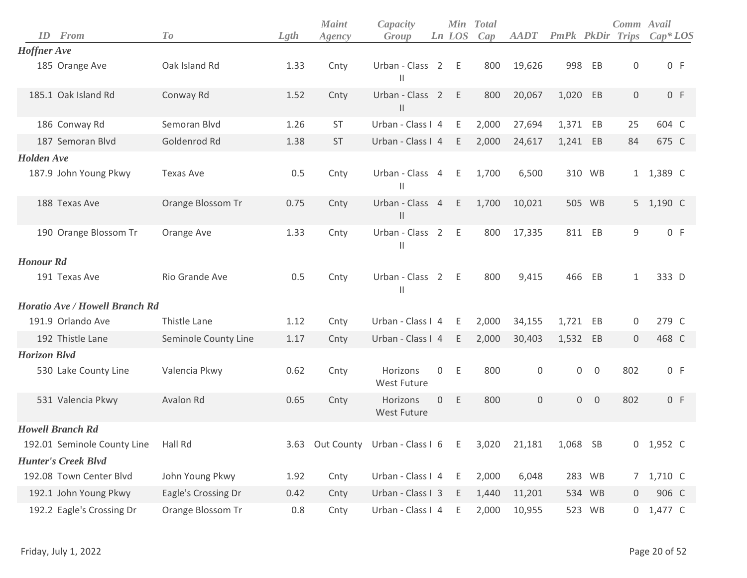|                     | <b>ID</b> From                        | To                   | Lgth | <b>Maint</b><br>Agency | Capacity<br>Group                                        |              | Min<br>Ln LOS | <b>Total</b><br>Cap | AADT   | PmPk PkDir |                | Comm Avail<br>Trips | $Cap^*LOS$  |
|---------------------|---------------------------------------|----------------------|------|------------------------|----------------------------------------------------------|--------------|---------------|---------------------|--------|------------|----------------|---------------------|-------------|
| <b>Hoffner</b> Ave  |                                       |                      |      |                        |                                                          |              |               |                     |        |            |                |                     |             |
|                     | 185 Orange Ave                        | Oak Island Rd        | 1.33 | Cnty                   | Urban - Class 2 E<br>Ш                                   |              |               | 800                 | 19,626 |            | 998 EB         | $\boldsymbol{0}$    | 0 F         |
|                     | 185.1 Oak Island Rd                   | Conway Rd            | 1.52 | Cnty                   | Urban - Class 2 E<br>$\vert\vert$                        |              |               | 800                 | 20,067 | 1,020 EB   |                | 0                   | 0 F         |
|                     | 186 Conway Rd                         | Semoran Blvd         | 1.26 | <b>ST</b>              | Urban - Class I 4                                        |              | E             | 2,000               | 27,694 | 1,371 EB   |                | 25                  | 604 C       |
|                     | 187 Semoran Blvd                      | Goldenrod Rd         | 1.38 | <b>ST</b>              | Urban - Class I 4                                        |              | E             | 2,000               | 24,617 | 1,241 EB   |                | 84                  | 675 C       |
| <b>Holden</b> Ave   |                                       |                      |      |                        |                                                          |              |               |                     |        |            |                |                     |             |
|                     | 187.9 John Young Pkwy                 | <b>Texas Ave</b>     | 0.5  | Cnty                   | Urban - Class 4<br>$\begin{array}{c} \hline \end{array}$ |              | - E           | 1,700               | 6,500  |            | 310 WB         |                     | 1 1,389 C   |
|                     | 188 Texas Ave                         | Orange Blossom Tr    | 0.75 | Cnty                   | Urban - Class 4<br>$\mathsf{II}$                         |              | E             | 1,700               | 10,021 |            | 505 WB         |                     | 5 1,190 C   |
|                     | 190 Orange Blossom Tr                 | Orange Ave           | 1.33 | Cnty                   | Urban - Class 2 E<br>Ш                                   |              |               | 800                 | 17,335 |            | 811 EB         | 9                   | 0 F         |
| <b>Honour Rd</b>    |                                       |                      |      |                        |                                                          |              |               |                     |        |            |                |                     |             |
|                     | 191 Texas Ave                         | Rio Grande Ave       | 0.5  | Cnty                   | Urban - Class 2 E<br>Ш                                   |              |               | 800                 | 9,415  |            | 466 EB         | $\mathbf{1}$        | 333 D       |
|                     | <b>Horatio Ave / Howell Branch Rd</b> |                      |      |                        |                                                          |              |               |                     |        |            |                |                     |             |
|                     | 191.9 Orlando Ave                     | Thistle Lane         | 1.12 | Cnty                   | Urban - Class I 4                                        |              | E.            | 2,000               | 34,155 | 1,721      | EB             | 0                   | 279 C       |
|                     | 192 Thistle Lane                      | Seminole County Line | 1.17 | Cnty                   | Urban - Class I 4                                        |              | E             | 2,000               | 30,403 | 1,532 EB   |                | $\mathbf 0$         | 468 C       |
| <b>Horizon Blvd</b> |                                       |                      |      |                        |                                                          |              |               |                     |        |            |                |                     |             |
|                     | 530 Lake County Line                  | Valencia Pkwy        | 0.62 | Cnty                   | Horizons<br><b>West Future</b>                           | $\mathsf{O}$ | E             | 800                 | 0      | 0          | $\overline{0}$ | 802                 | 0 F         |
|                     | 531 Valencia Pkwy                     | Avalon Rd            | 0.65 | Cnty                   | Horizons<br>West Future                                  |              | 0 E           | 800                 | 0      |            | $0\quad 0$     | 802                 | 0 F         |
|                     | <b>Howell Branch Rd</b>               |                      |      |                        |                                                          |              |               |                     |        |            |                |                     |             |
|                     | 192.01 Seminole County Line           | Hall Rd              |      |                        | 3.63 Out County Urban - Class I 6 E                      |              |               | 3,020               | 21,181 | 1,068 SB   |                |                     | $0$ 1,952 C |
|                     | <b>Hunter's Creek Blvd</b>            |                      |      |                        |                                                          |              |               |                     |        |            |                |                     |             |
|                     | 192.08 Town Center Blvd               | John Young Pkwy      | 1.92 | Cnty                   | Urban - Class I 4 E                                      |              |               | 2,000               | 6,048  |            | 283 WB         |                     | 7 1,710 C   |
|                     | 192.1 John Young Pkwy                 | Eagle's Crossing Dr  | 0.42 | Cnty                   | Urban - Class I 3                                        |              | - E           | 1,440               | 11,201 |            | 534 WB         | 0                   | 906 C       |
|                     | 192.2 Eagle's Crossing Dr             | Orange Blossom Tr    | 0.8  | Cnty                   | Urban - Class I 4                                        |              | - E           | 2,000               | 10,955 |            | 523 WB         |                     | 0 1,477 C   |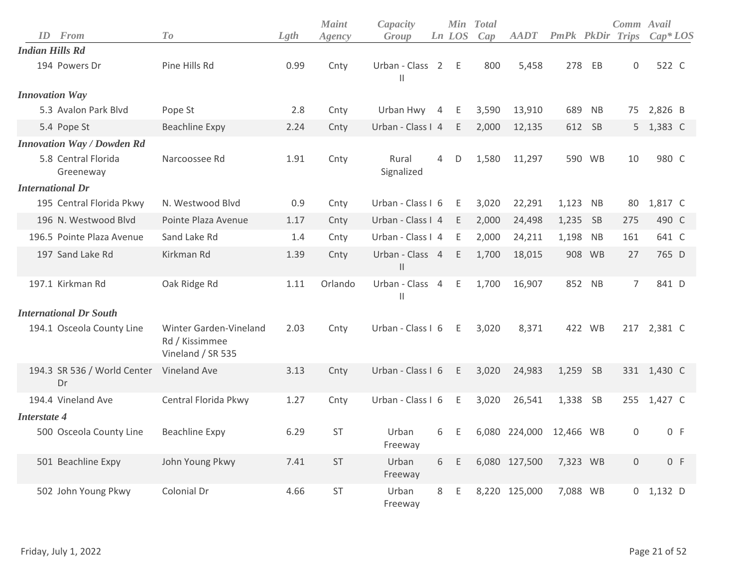|                        | <b>ID</b> From                    | To                                                            | Lgth | <b>Maint</b><br>Agency | Capacity<br>Group                |   | Ln LOS      | Min Total<br>Cap | <b>AADT</b>   | <b>PmPk</b> PkDir Trips |           | Comm Avail     | $Cap^*LOS$  |
|------------------------|-----------------------------------|---------------------------------------------------------------|------|------------------------|----------------------------------|---|-------------|------------------|---------------|-------------------------|-----------|----------------|-------------|
| <b>Indian Hills Rd</b> |                                   |                                                               |      |                        |                                  |   |             |                  |               |                         |           |                |             |
|                        | 194 Powers Dr                     | Pine Hills Rd                                                 | 0.99 | Cnty                   | Urban - Class 2<br>$\mathbf{I}$  |   | E           | 800              | 5,458         | 278                     | EB        | $\Omega$       | 522 C       |
| <b>Innovation Way</b>  |                                   |                                                               |      |                        |                                  |   |             |                  |               |                         |           |                |             |
|                        | 5.3 Avalon Park Blvd              | Pope St                                                       | 2.8  | Cnty                   | Urban Hwy 4                      |   | E           | 3,590            | 13,910        | 689                     | <b>NB</b> | 75             | 2,826 B     |
|                        | 5.4 Pope St                       | <b>Beachline Expy</b>                                         | 2.24 | Cnty                   | Urban - Class I 4                |   | Ε           | 2,000            | 12,135        |                         | 612 SB    |                | 5 1,383 C   |
|                        | <b>Innovation Way / Dowden Rd</b> |                                                               |      |                        |                                  |   |             |                  |               |                         |           |                |             |
|                        | 5.8 Central Florida<br>Greeneway  | Narcoossee Rd                                                 | 1.91 | Cnty                   | Rural<br>Signalized              | 4 | D           | 1,580            | 11,297        |                         | 590 WB    | 10             | 980 C       |
|                        | <b>International Dr</b>           |                                                               |      |                        |                                  |   |             |                  |               |                         |           |                |             |
|                        | 195 Central Florida Pkwy          | N. Westwood Blyd                                              | 0.9  | Cnty                   | Urban - Class I 6                |   | - E         | 3,020            | 22,291        | 1,123 NB                |           | 80             | 1,817 C     |
|                        | 196 N. Westwood Blvd              | Pointe Plaza Avenue                                           | 1.17 | Cnty                   | Urban - Class I 4                |   | E           | 2,000            | 24,498        | 1,235                   | - SB      | 275            | 490 C       |
|                        | 196.5 Pointe Plaza Avenue         | Sand Lake Rd                                                  | 1.4  | Cnty                   | Urban - Class I 4                |   | E           | 2,000            | 24,211        | 1,198                   | <b>NB</b> | 161            | 641 C       |
|                        | 197 Sand Lake Rd                  | Kirkman Rd                                                    | 1.39 | Cnty                   | Urban - Class 4<br>$\mathsf{II}$ |   | E           | 1,700            | 18,015        | 908                     | <b>WB</b> | 27             | 765 D       |
|                        | 197.1 Kirkman Rd                  | Oak Ridge Rd                                                  | 1.11 | Orlando                | Urban - Class 4<br>$\mathsf{II}$ |   | $\mathsf E$ | 1,700            | 16,907        |                         | 852 NB    | $\overline{7}$ | 841 D       |
|                        | <b>International Dr South</b>     |                                                               |      |                        |                                  |   |             |                  |               |                         |           |                |             |
|                        | 194.1 Osceola County Line         | Winter Garden-Vineland<br>Rd / Kissimmee<br>Vineland / SR 535 | 2.03 | Cnty                   | Urban - Class I 6                |   | E           | 3,020            | 8,371         |                         | 422 WB    |                | 217 2,381 C |
|                        | 194.3 SR 536 / World Center<br>Dr | Vineland Ave                                                  | 3.13 | Cnty                   | Urban - Class I 6                |   | E           | 3,020            | 24,983        | 1,259                   | - SB      |                | 331 1,430 C |
|                        | 194.4 Vineland Ave                | Central Florida Pkwy                                          | 1.27 | Cnty                   | Urban - Class I 6                |   | E           | 3,020            | 26,541        | 1,338 SB                |           | 255            | 1,427 C     |
| Interstate 4           |                                   |                                                               |      |                        |                                  |   |             |                  |               |                         |           |                |             |
|                        | 500 Osceola County Line           | <b>Beachline Expy</b>                                         | 6.29 | <b>ST</b>              | Urban<br>Freeway                 | 6 | Ε           |                  | 6,080 224,000 | 12,466 WB               |           | $\mathbf 0$    | 0 F         |
|                        | 501 Beachline Expy                | John Young Pkwy                                               | 7.41 | <b>ST</b>              | Urban<br>Freeway                 | 6 | Ε           |                  | 6,080 127,500 | 7,323 WB                |           | $\mathbf 0$    | 0 F         |
|                        | 502 John Young Pkwy               | Colonial Dr                                                   | 4.66 | <b>ST</b>              | Urban<br>Freeway                 | 8 | Ε           |                  | 8,220 125,000 | 7,088 WB                |           | $\overline{0}$ | 1,132 D     |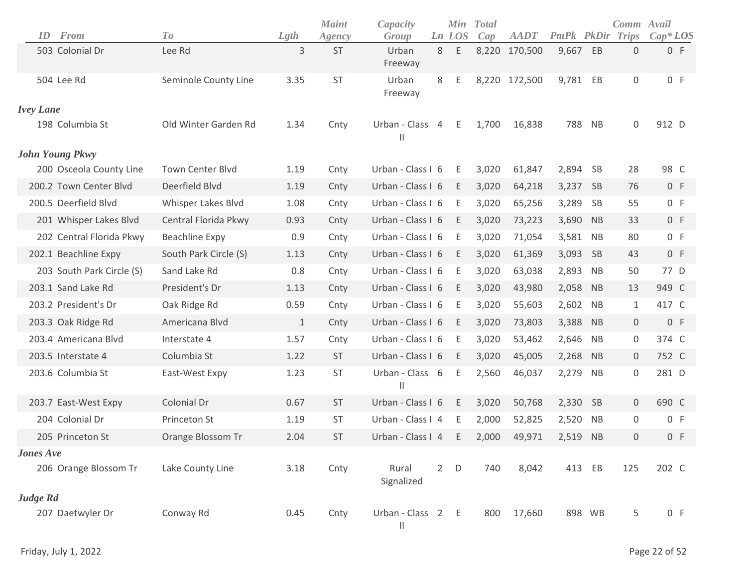| ID               | From                      | To                      | Lgth         | <b>Maint</b><br>Agency | Capacity<br>Group                 |                | <b>Min</b><br>Ln LOS | <b>Total</b><br>Cap | <b>AADT</b>   | PmPk   | PkDir     | Comm Avail<br><b>Trips</b> | $Cap*LOS$ |
|------------------|---------------------------|-------------------------|--------------|------------------------|-----------------------------------|----------------|----------------------|---------------------|---------------|--------|-----------|----------------------------|-----------|
|                  | 503 Colonial Dr           | Lee Rd                  | 3            | <b>ST</b>              | Urban<br>Freeway                  | 8              | Ε                    |                     | 8,220 170,500 | 9,667  | EB        | $\boldsymbol{0}$           | 0 F       |
|                  | 504 Lee Rd                | Seminole County Line    | 3.35         | ST                     | Urban<br>Freeway                  | 8              | Ε                    |                     | 8,220 172,500 | 9,781  | EB        | $\mathbf 0$                | 0 F       |
| <b>Ivey Lane</b> |                           |                         |              |                        |                                   |                |                      |                     |               |        |           |                            |           |
|                  | 198 Columbia St           | Old Winter Garden Rd    | 1.34         | Cnty                   | Urban - Class<br>$\mathbf{  }$    | $\overline{4}$ | E.                   | 1,700               | 16,838        | 788    | <b>NB</b> | $\mathbf 0$                | 912 D     |
|                  | <b>John Young Pkwy</b>    |                         |              |                        |                                   |                |                      |                     |               |        |           |                            |           |
|                  | 200 Osceola County Line   | <b>Town Center Blvd</b> | 1.19         | Cnty                   | Urban - Class I 6                 |                | Ε                    | 3,020               | 61,847        | 2,894  | <b>SB</b> | 28                         | 98 C      |
|                  | 200.2 Town Center Blvd    | Deerfield Blvd          | 1.19         | Cnty                   | Urban - Class I 6                 |                | E                    | 3,020               | 64,218        | 3,237  | <b>SB</b> | 76                         | 0 F       |
|                  | 200.5 Deerfield Blvd      | Whisper Lakes Blvd      | 1.08         | Cnty                   | Urban - Class I 6                 |                | Ε                    | 3,020               | 65,256        | 3,289  | <b>SB</b> | 55                         | 0 F       |
|                  | 201 Whisper Lakes Blvd    | Central Florida Pkwy    | 0.93         | Cnty                   | Urban - Class I 6                 |                | Ε                    | 3,020               | 73,223        | 3,690  | <b>NB</b> | 33                         | 0 F       |
|                  | 202 Central Florida Pkwy  | <b>Beachline Expy</b>   | 0.9          | Cnty                   | Urban - Class I 6                 |                | Ε                    | 3,020               | 71,054        | 3,581  | <b>NB</b> | 80                         | 0 F       |
|                  | 202.1 Beachline Expy      | South Park Circle (S)   | 1.13         | Cnty                   | Urban - Class I 6                 |                | E                    | 3,020               | 61,369        | 3,093  | <b>SB</b> | 43                         | 0 F       |
|                  | 203 South Park Circle (S) | Sand Lake Rd            | 0.8          | Cnty                   | Urban - Class I 6                 |                | Ε                    | 3,020               | 63,038        | 2,893  | <b>NB</b> | 50                         | 77 D      |
|                  | 203.1 Sand Lake Rd        | President's Dr          | 1.13         | Cnty                   | Urban - Class I 6                 |                | Ε                    | 3,020               | 43,980        | 2,058  | <b>NB</b> | 13                         | 949 C     |
|                  | 203.2 President's Dr      | Oak Ridge Rd            | 0.59         | Cnty                   | Urban - Class I 6                 |                | Ε                    | 3,020               | 55,603        | 2,602  | <b>NB</b> | $\mathbf{1}$               | 417 C     |
|                  | 203.3 Oak Ridge Rd        | Americana Blvd          | $\mathbf{1}$ | Cnty                   | Urban - Class I 6                 |                | Ε                    | 3,020               | 73,803        | 3,388  | <b>NB</b> | $\mathbf 0$                | 0 F       |
|                  | 203.4 Americana Blvd      | Interstate 4            | 1.57         | Cnty                   | Urban - Class I 6                 |                | Ε                    | 3,020               | 53,462        | 2,646  | <b>NB</b> | 0                          | 374 C     |
|                  | 203.5 Interstate 4        | Columbia St             | 1.22         | <b>ST</b>              | Urban - Class I 6                 |                | Ε                    | 3,020               | 45,005        | 2,268  | <b>NB</b> | $\mathbf 0$                | 752 C     |
|                  | 203.6 Columbia St         | East-West Expy          | 1.23         | <b>ST</b>              | Urban - Class 6<br>$\mathbf{H}$   |                | Ε                    | 2,560               | 46,037        | 2,279  | <b>NB</b> | $\mathbf 0$                | 281 D     |
|                  | 203.7 East-West Expy      | Colonial Dr             | 0.67         | <b>ST</b>              | Urban - Class I 6                 |                | E                    | 3,020               | 50,768        | 2,330  | <b>SB</b> | $\overline{0}$             | 690 C     |
|                  | 204 Colonial Dr           | Princeton St            | 1.19         | ST                     | Urban - Class I 4                 |                | E                    | 2,000               | 52,825        | 2,520  | <b>NB</b> | 0                          | 0 F       |
|                  | 205 Princeton St          | Orange Blossom Tr       | 2.04         | <b>ST</b>              | Urban - Class I 4                 |                | E                    | 2,000               | 49,971        | 2,519  | <b>NB</b> | $\mathbf 0$                | 0 F       |
| <b>Jones Ave</b> |                           |                         |              |                        |                                   |                |                      |                     |               |        |           |                            |           |
|                  | 206 Orange Blossom Tr     | Lake County Line        | 3.18         | Cnty                   | Rural<br>Signalized               | $2^{\circ}$    | $\mathsf D$          | 740                 | 8,042         | 413 EB |           | 125                        | 202 C     |
| Judge Rd         |                           |                         |              |                        |                                   |                |                      |                     |               |        |           |                            |           |
|                  | 207 Daetwyler Dr          | Conway Rd               | 0.45         | Cnty                   | Urban - Class 2 E<br>$\vert\vert$ |                |                      | 800                 | 17,660        | 898 WB |           | 5                          | 0 F       |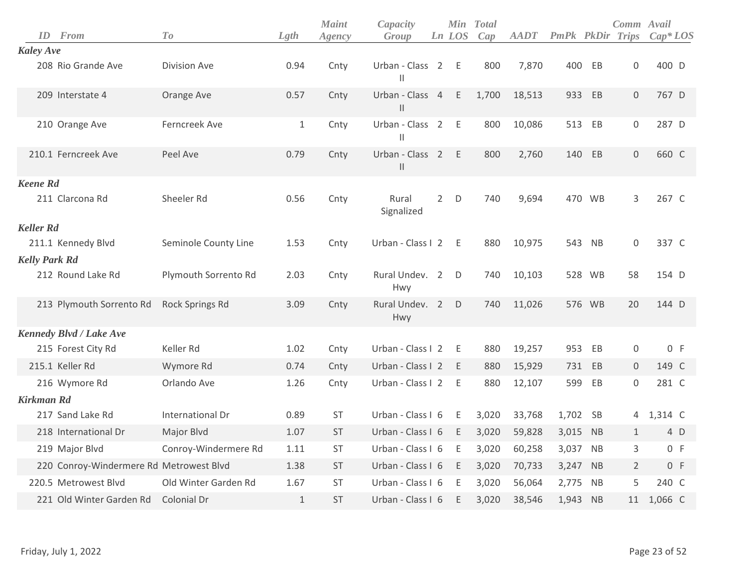| ID                   | <b>From</b>                             | To                   | Lgth         | <b>Maint</b><br>Agency | Capacity<br>Group                |                | Min<br>Ln LOS | <b>Total</b><br>Cap | <b>AADT</b> | <b>PmPk PkDir Trips</b> |           | Comm Avail          | $Cap*LOS$ |  |
|----------------------|-----------------------------------------|----------------------|--------------|------------------------|----------------------------------|----------------|---------------|---------------------|-------------|-------------------------|-----------|---------------------|-----------|--|
| <b>Kaley Ave</b>     |                                         |                      |              |                        |                                  |                |               |                     |             |                         |           |                     |           |  |
|                      | 208 Rio Grande Ave                      | Division Ave         | 0.94         | Cnty                   | Urban - Class 2<br>$\mathbf{H}$  |                | Ε             | 800                 | 7,870       | 400                     | EB        | $\mathbf 0$         | 400 D     |  |
|                      | 209 Interstate 4                        | Orange Ave           | 0.57         | Cnty                   | Urban - Class 4<br>$\vert\vert$  |                | $\mathsf E$   | 1,700               | 18,513      | 933                     | EB        | $\mathbf 0$         | 767 D     |  |
|                      | 210 Orange Ave                          | Ferncreek Ave        | $\mathbf{1}$ | Cnty                   | Urban - Class 2<br>$\mathsf{II}$ |                | E             | 800                 | 10,086      | 513                     | EB        | 0                   | 287 D     |  |
|                      | 210.1 Ferncreek Ave                     | Peel Ave             | 0.79         | Cnty                   | Urban - Class<br>$\mathbf{H}$    | $\overline{2}$ | E             | 800                 | 2,760       | 140                     | EB        | $\mathbf 0$         | 660 C     |  |
| <b>Keene Rd</b>      |                                         |                      |              |                        |                                  |                |               |                     |             |                         |           |                     |           |  |
|                      | 211 Clarcona Rd                         | Sheeler Rd           | 0.56         | Cnty                   | Rural<br>Signalized              | $2^{\circ}$    | D             | 740                 | 9,694       |                         | 470 WB    | 3                   | 267 C     |  |
| <b>Keller Rd</b>     |                                         |                      |              |                        |                                  |                |               |                     |             |                         |           |                     |           |  |
|                      | 211.1 Kennedy Blvd                      | Seminole County Line | 1.53         | Cnty                   | Urban - Class I 2                |                | Ε             | 880                 | 10,975      |                         | 543 NB    | $\mathbf 0$         | 337 C     |  |
| <b>Kelly Park Rd</b> |                                         |                      |              |                        |                                  |                |               |                     |             |                         |           |                     |           |  |
|                      | 212 Round Lake Rd                       | Plymouth Sorrento Rd | 2.03         | Cnty                   | Rural Undev. 2<br>Hwy            |                | D             | 740                 | 10,103      |                         | 528 WB    | 58                  | 154 D     |  |
|                      | 213 Plymouth Sorrento Rd                | Rock Springs Rd      | 3.09         | Cnty                   | Rural Undev. 2<br>Hwy            |                | D             | 740                 | 11,026      |                         | 576 WB    | 20                  | 144 D     |  |
|                      | <b>Kennedy Blvd / Lake Ave</b>          |                      |              |                        |                                  |                |               |                     |             |                         |           |                     |           |  |
|                      | 215 Forest City Rd                      | Keller Rd            | 1.02         | Cnty                   | Urban - Class I 2                |                | Ε             | 880                 | 19,257      | 953                     | EB        | $\mathbf 0$         | 0 F       |  |
|                      | 215.1 Keller Rd                         | Wymore Rd            | 0.74         | Cnty                   | Urban - Class I 2                |                | E             | 880                 | 15,929      |                         | 731 EB    | $\overline{0}$      | 149 C     |  |
|                      | 216 Wymore Rd                           | Orlando Ave          | 1.26         | Cnty                   | Urban - Class I 2                |                | Ε             | 880                 | 12,107      | 599                     | EB        | $\mathsf{O}\xspace$ | 281 C     |  |
| <b>Kirkman Rd</b>    |                                         |                      |              |                        |                                  |                |               |                     |             |                         |           |                     |           |  |
|                      | 217 Sand Lake Rd                        | International Dr     | 0.89         | ST                     | Urban - Class I 6                |                | E             | 3,020               | 33,768      | 1,702 SB                |           | 4                   | 1,314 C   |  |
|                      | 218 International Dr                    | Major Blvd           | 1.07         | <b>ST</b>              | Urban - Class I 6                |                | E             | 3,020               | 59,828      | 3,015 NB                |           | $\mathbf{1}$        | 4 D       |  |
|                      | 219 Major Blvd                          | Conroy-Windermere Rd | 1.11         | <b>ST</b>              | Urban - Class I 6                |                | Ε             | 3,020               | 60,258      | 3,037                   | NB        | 3                   | 0 F       |  |
|                      | 220 Conroy-Windermere Rd Metrowest Blvd |                      | 1.38         | <b>ST</b>              | Urban - Class I 6                |                | E             | 3,020               | 70,733      | 3,247                   | NB        | $\overline{2}$      | 0 F       |  |
|                      | 220.5 Metrowest Blvd                    | Old Winter Garden Rd | 1.67         | <b>ST</b>              | Urban - Class I 6                |                | E             | 3,020               | 56,064      | 2,775                   | <b>NB</b> | 5                   | 240 C     |  |
|                      | 221 Old Winter Garden Rd                | Colonial Dr          | $1\,$        | <b>ST</b>              | Urban - Class I 6                |                | E             | 3,020               | 38,546      | 1,943                   | <b>NB</b> | 11                  | 1,066 C   |  |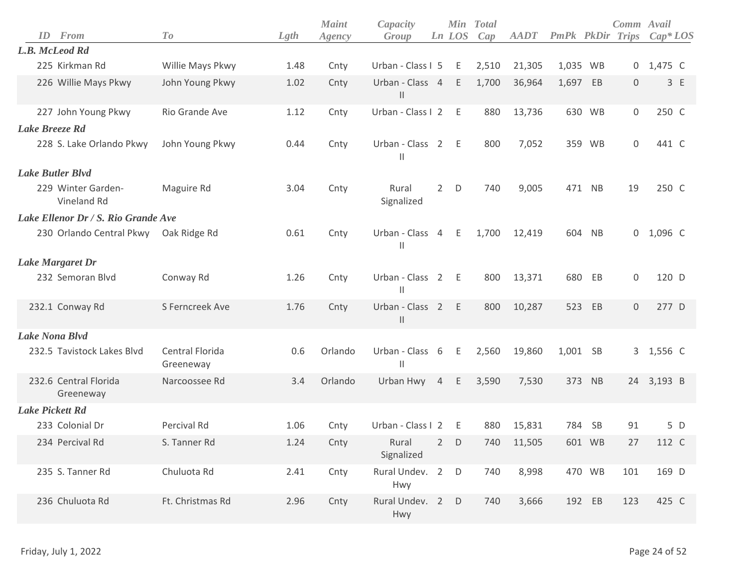|                        | <b>ID</b> From                      | T o                          | Lgth | <b>Maint</b><br>Agency | Capacity<br>Group                  |                | Ln LOS | Min Total<br>Cap | <b>AADT</b> | PmPk PkDir Trips |        | Comm Avail   | $Cap^*LOS$ |
|------------------------|-------------------------------------|------------------------------|------|------------------------|------------------------------------|----------------|--------|------------------|-------------|------------------|--------|--------------|------------|
|                        | L.B. McLeod Rd                      |                              |      |                        |                                    |                |        |                  |             |                  |        |              |            |
|                        | 225 Kirkman Rd                      | Willie Mays Pkwy             | 1.48 | Cnty                   | Urban - Class I 5                  |                | E      | 2,510            | 21,305      | 1,035 WB         |        |              | 0 1,475 C  |
|                        | 226 Willie Mays Pkwy                | John Young Pkwy              | 1.02 | Cnty                   | Urban - Class 4 E<br>$\mathsf{II}$ |                |        | 1,700            | 36,964      | 1,697 EB         |        | $\mathbf{0}$ | 3 E        |
|                        | 227 John Young Pkwy                 | Rio Grande Ave               | 1.12 | Cnty                   | Urban - Class I 2                  |                | - E    | 880              | 13,736      |                  | 630 WB | 0            | 250 C      |
| Lake Breeze Rd         |                                     |                              |      |                        |                                    |                |        |                  |             |                  |        |              |            |
|                        | 228 S. Lake Orlando Pkwy            | John Young Pkwy              | 0.44 | Cnty                   | Urban - Class 2 E<br>$\mathbf{H}$  |                |        | 800              | 7,052       |                  | 359 WB | 0            | 441 C      |
|                        | <b>Lake Butler Blvd</b>             |                              |      |                        |                                    |                |        |                  |             |                  |        |              |            |
|                        | 229 Winter Garden-<br>Vineland Rd   | Maguire Rd                   | 3.04 | Cnty                   | Rural<br>Signalized                | $\overline{2}$ | D      | 740              | 9,005       |                  | 471 NB | 19           | 250 C      |
|                        | Lake Ellenor Dr / S. Rio Grande Ave |                              |      |                        |                                    |                |        |                  |             |                  |        |              |            |
|                        | 230 Orlando Central Pkwy            | Oak Ridge Rd                 | 0.61 | Cnty                   | Urban - Class 4 E<br>$\mathbf{H}$  |                |        | 1,700            | 12,419      |                  | 604 NB | 0            | 1,096 C    |
|                        | <b>Lake Margaret Dr</b>             |                              |      |                        |                                    |                |        |                  |             |                  |        |              |            |
|                        | 232 Semoran Blvd                    | Conway Rd                    | 1.26 | Cnty                   | Urban - Class 2 E<br>$\mathbf{  }$ |                |        | 800              | 13,371      | 680              | EB     | 0            | 120 D      |
|                        | 232.1 Conway Rd                     | S Ferncreek Ave              | 1.76 | Cnty                   | Urban - Class 2<br>$\mathbf{H}$    |                | - E    | 800              | 10,287      | 523              | EB     | $\mathbf 0$  | 277 D      |
|                        | <b>Lake Nona Blvd</b>               |                              |      |                        |                                    |                |        |                  |             |                  |        |              |            |
|                        | 232.5 Tavistock Lakes Blvd          | Central Florida<br>Greeneway | 0.6  | Orlando                | Urban - Class 6<br>Ш               |                | $-E$   | 2,560            | 19,860      | 1,001 SB         |        |              | 3 1,556 C  |
|                        | 232.6 Central Florida<br>Greeneway  | Narcoossee Rd                | 3.4  | Orlando                | Urban Hwy                          | $\overline{4}$ | E      | 3,590            | 7,530       | 373              | NB     |              | 24 3,193 B |
| <b>Lake Pickett Rd</b> |                                     |                              |      |                        |                                    |                |        |                  |             |                  |        |              |            |
|                        | 233 Colonial Dr                     | Percival Rd                  | 1.06 | Cnty                   | Urban - Class I 2                  |                | - E    | 880              | 15,831      |                  | 784 SB | 91           | 5 D        |
|                        | 234 Percival Rd                     | S. Tanner Rd                 | 1.24 | Cnty                   | Rural 2 D<br>Signalized            |                |        | 740              | 11,505      |                  | 601 WB | 27           | 112 C      |
|                        | 235 S. Tanner Rd                    | Chuluota Rd                  | 2.41 | Cnty                   | Rural Undev. 2 D<br>Hwy            |                |        | 740              | 8,998       |                  | 470 WB | 101          | 169 D      |
|                        | 236 Chuluota Rd                     | Ft. Christmas Rd             | 2.96 | Cnty                   | Rural Undev. 2 D<br>Hwy            |                |        | 740              | 3,666       |                  | 192 EB | 123          | 425 C      |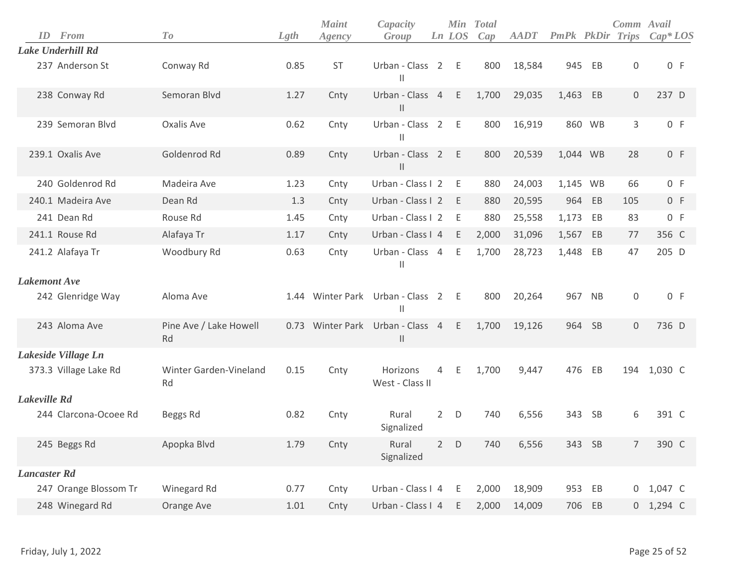| ID                  | From                  | To                           | Lgth | <b>Maint</b><br>Agency | Capacity<br>Group                     |                | Ln LOS | Min Total<br>Cap | <b>AADT</b> | <b>PmPk</b> PkDir |           | Comm Avail<br><b>Trips</b> | $Cap^*LOS$  |
|---------------------|-----------------------|------------------------------|------|------------------------|---------------------------------------|----------------|--------|------------------|-------------|-------------------|-----------|----------------------------|-------------|
|                     | Lake Underhill Rd     |                              |      |                        |                                       |                |        |                  |             |                   |           |                            |             |
|                     | 237 Anderson St       | Conway Rd                    | 0.85 | <b>ST</b>              | Urban - Class 2 E<br>Ш                |                |        | 800              | 18,584      | 945               | EB        | $\boldsymbol{0}$           | 0 F         |
|                     | 238 Conway Rd         | Semoran Blvd                 | 1.27 | Cnty                   | Urban - Class 4 E<br>$\mathsf{I}$     |                |        | 1,700            | 29,035      | 1,463             | EB        | $\mathbf 0$                | 237 D       |
|                     | 239 Semoran Blvd      | Oxalis Ave                   | 0.62 | Cnty                   | Urban - Class 2 E<br>Ш                |                |        | 800              | 16,919      |                   | 860 WB    | 3                          | 0 F         |
|                     | 239.1 Oxalis Ave      | Goldenrod Rd                 | 0.89 | Cnty                   | Urban - Class 2 E<br>$\mathsf{I}$     |                |        | 800              | 20,539      | 1,044 WB          |           | 28                         | 0 F         |
|                     | 240 Goldenrod Rd      | Madeira Ave                  | 1.23 | Cnty                   | Urban - Class I 2                     |                | E      | 880              | 24,003      | 1,145 WB          |           | 66                         | 0 F         |
|                     | 240.1 Madeira Ave     | Dean Rd                      | 1.3  | Cnty                   | Urban - Class I 2                     |                | E      | 880              | 20,595      | 964               | EB        | 105                        | 0 F         |
|                     | 241 Dean Rd           | Rouse Rd                     | 1.45 | Cnty                   | Urban - Class I 2                     |                | - E    | 880              | 25,558      | 1,173             | EB        | 83                         | 0 F         |
|                     | 241.1 Rouse Rd        | Alafaya Tr                   | 1.17 | Cnty                   | Urban - Class I 4                     |                | E      | 2,000            | 31,096      | 1,567             | EB        | 77                         | 356 C       |
|                     | 241.2 Alafaya Tr      | Woodbury Rd                  | 0.63 | Cnty                   | Urban - Class 4<br>Ш                  |                | Ε      | 1,700            | 28,723      | 1,448             | EB        | 47                         | 205 D       |
| <b>Lakemont</b> Ave |                       |                              |      |                        |                                       |                |        |                  |             |                   |           |                            |             |
|                     | 242 Glenridge Way     | Aloma Ave                    |      |                        | 1.44 Winter Park Urban - Class 2<br>Ш |                | - E    | 800              | 20,264      | 967               | <b>NB</b> | 0                          | 0 F         |
|                     | 243 Aloma Ave         | Pine Ave / Lake Howell<br>Rd |      | 0.73 Winter Park       | Urban - Class 4<br>$\mathsf{I}$       |                | E      | 1,700            | 19,126      |                   | 964 SB    | 0                          | 736 D       |
|                     | Lakeside Village Ln   |                              |      |                        |                                       |                |        |                  |             |                   |           |                            |             |
|                     | 373.3 Village Lake Rd | Winter Garden-Vineland<br>Rd | 0.15 | Cnty                   | Horizons<br>West - Class II           | $\overline{4}$ | E      | 1,700            | 9,447       | 476               | EB        |                            | 194 1,030 C |
| Lakeville Rd        |                       |                              |      |                        |                                       |                |        |                  |             |                   |           |                            |             |
|                     | 244 Clarcona-Ocoee Rd | Beggs Rd                     | 0.82 | Cnty                   | Rural<br>Signalized                   | $\overline{2}$ | D      | 740              | 6,556       | 343               | <b>SB</b> | 6                          | 391 C       |
|                     | 245 Beggs Rd          | Apopka Blvd                  | 1.79 | Cnty                   | Rural<br>Signalized                   |                | $2$ D  | 740              | 6,556       |                   | 343 SB    | $7\overline{ }$            | 390 C       |
| <b>Lancaster Rd</b> |                       |                              |      |                        |                                       |                |        |                  |             |                   |           |                            |             |
|                     | 247 Orange Blossom Tr | Winegard Rd                  | 0.77 | Cnty                   | Urban - Class I 4                     |                | - E    | 2,000            | 18,909      |                   | 953 EB    |                            | 0 1,047 C   |
|                     | 248 Winegard Rd       | Orange Ave                   | 1.01 | Cnty                   | Urban - Class I 4 E                   |                |        | 2,000            | 14,009      |                   | 706 EB    |                            | 0 1,294 C   |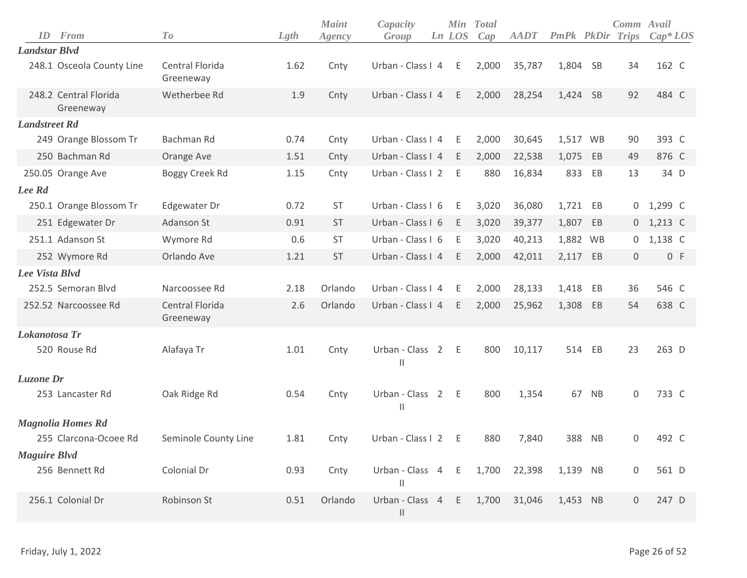| ID                   | From                               | T o                          | Lgth | <b>Maint</b><br>Agency | Capacity<br>Group                |                | Ln LOS | Min Total<br>Cap | <b>AADT</b> | PmPk PkDir |           | Comm Avail<br>Trips | $Cap^*LOS$ |
|----------------------|------------------------------------|------------------------------|------|------------------------|----------------------------------|----------------|--------|------------------|-------------|------------|-----------|---------------------|------------|
| <b>Landstar Blvd</b> |                                    |                              |      |                        |                                  |                |        |                  |             |            |           |                     |            |
|                      | 248.1 Osceola County Line          | Central Florida<br>Greeneway | 1.62 | Cnty                   | Urban - Class I 4                |                | E      | 2,000            | 35,787      | 1,804 SB   |           | 34                  | 162 C      |
|                      | 248.2 Central Florida<br>Greeneway | Wetherbee Rd                 | 1.9  | Cnty                   | Urban - Class I 4                |                | E      | 2,000            | 28,254      | 1,424 SB   |           | 92                  | 484 C      |
| <b>Landstreet Rd</b> |                                    |                              |      |                        |                                  |                |        |                  |             |            |           |                     |            |
|                      | 249 Orange Blossom Tr              | Bachman Rd                   | 0.74 | Cnty                   | Urban - Class I 4                |                | E      | 2,000            | 30,645      | 1,517 WB   |           | 90                  | 393 C      |
|                      | 250 Bachman Rd                     | Orange Ave                   | 1.51 | Cnty                   | Urban - Class I 4                |                | E      | 2,000            | 22,538      | 1,075      | EB        | 49                  | 876 C      |
|                      | 250.05 Orange Ave                  | Boggy Creek Rd               | 1.15 | Cnty                   | Urban - Class I 2                |                | E      | 880              | 16,834      | 833        | EB        | 13                  | 34 D       |
| Lee Rd               |                                    |                              |      |                        |                                  |                |        |                  |             |            |           |                     |            |
|                      | 250.1 Orange Blossom Tr            | Edgewater Dr                 | 0.72 | <b>ST</b>              | Urban - Class I 6                |                | -E     | 3,020            | 36,080      | 1,721 EB   |           | 0                   | 1,299 C    |
|                      | 251 Edgewater Dr                   | Adanson St                   | 0.91 | <b>ST</b>              | Urban - Class I 6                |                | E      | 3,020            | 39,377      | 1,807      | EB        | $\overline{0}$      | 1,213 C    |
|                      | 251.1 Adanson St                   | Wymore Rd                    | 0.6  | <b>ST</b>              | Urban - Class I 6                |                | - E    | 3,020            | 40,213      | 1,882 WB   |           | 0                   | 1,138 C    |
|                      | 252 Wymore Rd                      | Orlando Ave                  | 1.21 | <b>ST</b>              | Urban - Class I 4                |                | E      | 2,000            | 42,011      | 2,117 EB   |           | $\boldsymbol{0}$    | 0 F        |
| Lee Vista Blvd       |                                    |                              |      |                        |                                  |                |        |                  |             |            |           |                     |            |
|                      | 252.5 Semoran Blvd                 | Narcoossee Rd                | 2.18 | Orlando                | Urban - Class I 4                |                | E      | 2,000            | 28,133      | 1,418      | EB        | 36                  | 546 C      |
|                      | 252.52 Narcoossee Rd               | Central Florida<br>Greeneway | 2.6  | Orlando                | Urban - Class I 4                |                | E      | 2,000            | 25,962      | 1,308      | EB        | 54                  | 638 C      |
| Lokanotosa Tr        |                                    |                              |      |                        |                                  |                |        |                  |             |            |           |                     |            |
|                      | 520 Rouse Rd                       | Alafaya Tr                   | 1.01 | Cnty                   | Urban - Class<br>$\mathbf{  }$   | $\overline{2}$ | E      | 800              | 10,117      | 514        | EB        | 23                  | 263 D      |
| Luzone Dr            |                                    |                              |      |                        |                                  |                |        |                  |             |            |           |                     |            |
|                      | 253 Lancaster Rd                   | Oak Ridge Rd                 | 0.54 | Cnty                   | Urban - Class 2<br>$\mathbf{  }$ |                | $-E$   | 800              | 1,354       | 67         | <b>NB</b> | 0                   | 733 C      |
|                      | <b>Magnolia Homes Rd</b>           |                              |      |                        |                                  |                |        |                  |             |            |           |                     |            |
|                      | 255 Clarcona-Ocoee Rd              | Seminole County Line         | 1.81 | Cnty                   | Urban - Class I 2                |                | E      | 880              | 7,840       | 388        | <b>NB</b> | 0                   | 492 C      |
| <b>Maguire Blvd</b>  |                                    |                              |      |                        |                                  |                |        |                  |             |            |           |                     |            |
|                      | 256 Bennett Rd                     | Colonial Dr                  | 0.93 | Cnty                   | Urban - Class 4<br>$\vert\vert$  |                | E      | 1,700            | 22,398      | 1,139 NB   |           | $\boldsymbol{0}$    | 561 D      |
|                      | 256.1 Colonial Dr                  | Robinson St                  | 0.51 | Orlando                | Urban - Class 4 E<br>$\mid \mid$ |                |        | 1,700            | 31,046      | 1,453      | <b>NB</b> | $\mathbf 0$         | 247 D      |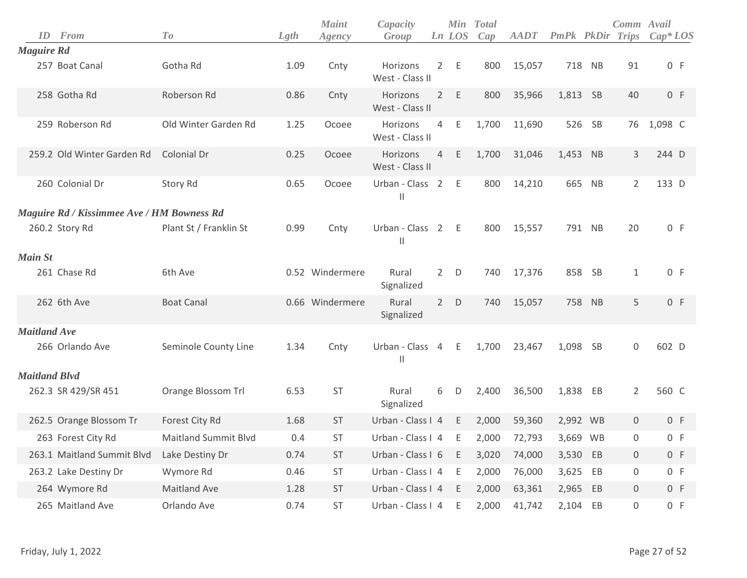| ID                   | From                                       | To                          | Lgth | <b>Maint</b><br>Agency | Capacity<br>Group           |                | Ln LOS | Min Total<br>Cap | <b>AADT</b> | <b>PmPk</b> PkDir |           | Comm Avail<br><b>Trips</b> | $Cap^*LOS$ |
|----------------------|--------------------------------------------|-----------------------------|------|------------------------|-----------------------------|----------------|--------|------------------|-------------|-------------------|-----------|----------------------------|------------|
| <b>Maguire Rd</b>    |                                            |                             |      |                        |                             |                |        |                  |             |                   |           |                            |            |
|                      | 257 Boat Canal                             | Gotha Rd                    | 1.09 | Cnty                   | Horizons<br>West - Class II |                | 2 E    | 800              | 15,057      |                   | 718 NB    | 91                         | 0 F        |
|                      | 258 Gotha Rd                               | Roberson Rd                 | 0.86 | Cnty                   | Horizons<br>West - Class II |                | 2 E    | 800              | 35,966      | 1,813 SB          |           | 40                         | 0 F        |
|                      | 259 Roberson Rd                            | Old Winter Garden Rd        | 1.25 | Ocoee                  | Horizons<br>West - Class II | $\overline{4}$ | Ε      | 1,700            | 11,690      | 526               | - SB      | 76                         | 1,098 C    |
|                      | 259.2 Old Winter Garden Rd                 | Colonial Dr                 | 0.25 | Ocoee                  | Horizons<br>West - Class II | $\overline{4}$ | E      | 1,700            | 31,046      | 1,453 NB          |           | 3                          | 244 D      |
|                      | 260 Colonial Dr                            | Story Rd                    | 0.65 | Ocoee                  | Urban - Class 2<br>Ш        |                | - E    | 800              | 14,210      | 665               | NB        | $\overline{2}$             | 133 D      |
|                      | Maguire Rd / Kissimmee Ave / HM Bowness Rd |                             |      |                        |                             |                |        |                  |             |                   |           |                            |            |
|                      | 260.2 Story Rd                             | Plant St / Franklin St      | 0.99 | Cnty                   | Urban - Class 2<br>Ш        |                | $-E$   | 800              | 15,557      |                   | 791 NB    | 20                         | 0 F        |
| <b>Main St</b>       |                                            |                             |      |                        |                             |                |        |                  |             |                   |           |                            |            |
|                      | 261 Chase Rd                               | 6th Ave                     |      | 0.52 Windermere        | Rural<br>Signalized         | $\overline{2}$ | D      | 740              | 17,376      |                   | 858 SB    | $\mathbf{1}$               | 0 F        |
|                      | 262 6th Ave                                | <b>Boat Canal</b>           |      | 0.66 Windermere        | Rural<br>Signalized         | $\overline{2}$ | D      | 740              | 15,057      | 758               | NB        | 5                          | 0 F        |
| <b>Maitland Ave</b>  |                                            |                             |      |                        |                             |                |        |                  |             |                   |           |                            |            |
|                      | 266 Orlando Ave                            | Seminole County Line        | 1.34 | Cnty                   | Urban - Class 4<br>Ш        |                | E      | 1,700            | 23,467      | 1,098             | <b>SB</b> | 0                          | 602 D      |
| <b>Maitland Blvd</b> |                                            |                             |      |                        |                             |                |        |                  |             |                   |           |                            |            |
|                      | 262.3 SR 429/SR 451                        | Orange Blossom Trl          | 6.53 | <b>ST</b>              | Rural<br>Signalized         | 6              | D      | 2,400            | 36,500      | 1,838             | EB        | $\overline{2}$             | 560 C      |
|                      | 262.5 Orange Blossom Tr                    | Forest City Rd              | 1.68 | <b>ST</b>              | Urban - Class I 4           |                | E      | 2,000            | 59,360      | 2,992 WB          |           | $\mathbf 0$                | 0 F        |
|                      | 263 Forest City Rd                         | <b>Maitland Summit Blvd</b> | 0.4  | <b>ST</b>              | Urban - Class I 4           |                | Ε      | 2,000            | 72,793      | 3,669 WB          |           | $\mathbf 0$                | 0 F        |
|                      | 263.1 Maitland Summit Blvd                 | Lake Destiny Dr             | 0.74 | ST                     | Urban - Class I 6           |                | E      | 3,020            | 74,000      | 3,530 EB          |           | $\mathbf 0$                | 0 F        |
|                      | 263.2 Lake Destiny Dr                      | Wymore Rd                   | 0.46 | ST                     | Urban - Class I 4           |                | - E    | 2,000            | 76,000      | 3,625             | EB        | $\boldsymbol{0}$           | 0 F        |
|                      | 264 Wymore Rd                              | Maitland Ave                | 1.28 | ST                     | Urban - Class I 4           |                | - E    | 2,000            | 63,361      | 2,965 EB          |           | $\mathbf 0$                | 0 F        |
|                      | 265 Maitland Ave                           | Orlando Ave                 | 0.74 | ST                     | Urban - Class I 4 E         |                |        | 2,000            | 41,742      | 2,104 EB          |           | $\boldsymbol{0}$           | 0 F        |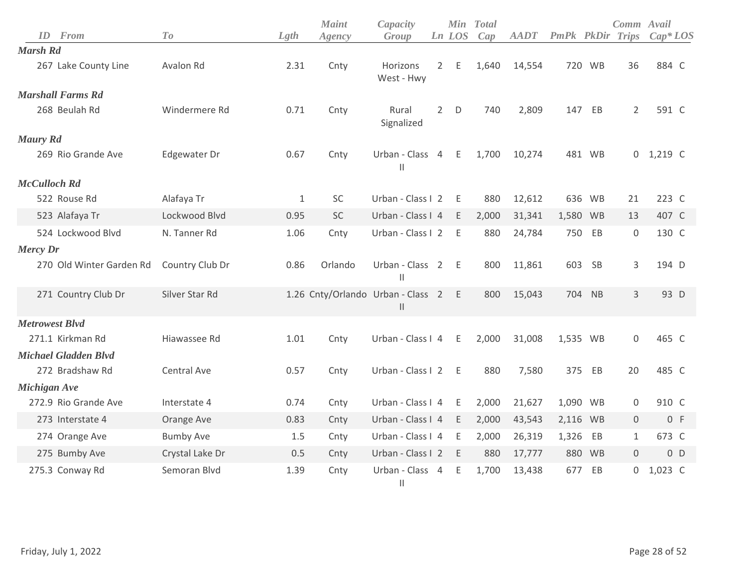| From<br>ID                  | To               | Lgth         | <b>Maint</b><br>Agency | Capacity<br>Group                                  |                | Ln LOS | Min Total<br>Cap | <b>AADT</b> | PmPk     | PkDir     | Comm Avail<br>Trips | $Cap*LOS$      |
|-----------------------------|------------------|--------------|------------------------|----------------------------------------------------|----------------|--------|------------------|-------------|----------|-----------|---------------------|----------------|
| Marsh Rd                    |                  |              |                        |                                                    |                |        |                  |             |          |           |                     |                |
| 267 Lake County Line        | Avalon Rd        | 2.31         | Cnty                   | Horizons<br>West - Hwy                             | $2^{\circ}$    | Ε      | 1,640            | 14,554      |          | 720 WB    | 36                  | 884 C          |
| <b>Marshall Farms Rd</b>    |                  |              |                        |                                                    |                |        |                  |             |          |           |                     |                |
| 268 Beulah Rd               | Windermere Rd    | 0.71         | Cnty                   | Rural<br>Signalized                                | $\overline{2}$ | D      | 740              | 2,809       | 147      | EB        | $\overline{2}$      | 591 C          |
| <b>Maury Rd</b>             |                  |              |                        |                                                    |                |        |                  |             |          |           |                     |                |
| 269 Rio Grande Ave          | Edgewater Dr     | 0.67         | Cnty                   | Urban - Class 4<br>$\mathsf{II}$                   |                | E      | 1,700            | 10,274      |          | 481 WB    |                     | $0$ 1,219 C    |
| <b>McCulloch Rd</b>         |                  |              |                        |                                                    |                |        |                  |             |          |           |                     |                |
| 522 Rouse Rd                | Alafaya Tr       | $\mathbf{1}$ | SC                     | Urban - Class I 2                                  |                | E      | 880              | 12,612      | 636      | <b>WB</b> | 21                  | 223 C          |
| 523 Alafaya Tr              | Lockwood Blvd    | 0.95         | <b>SC</b>              | Urban - Class I 4                                  |                | E      | 2,000            | 31,341      | 1,580 WB |           | 13                  | 407 C          |
| 524 Lockwood Blvd           | N. Tanner Rd     | 1.06         | Cnty                   | Urban - Class I 2                                  |                | E      | 880              | 24,784      | 750      | EB        | $\boldsymbol{0}$    | 130 C          |
| <b>Mercy Dr</b>             |                  |              |                        |                                                    |                |        |                  |             |          |           |                     |                |
| 270 Old Winter Garden Rd    | Country Club Dr  | 0.86         | Orlando                | Urban - Class 2<br>$\mathbf{I}$                    |                | - E    | 800              | 11,861      | 603      | <b>SB</b> | 3                   | 194 D          |
| 271 Country Club Dr         | Silver Star Rd   |              |                        | 1.26 Cnty/Orlando Urban - Class 2<br>$\mathsf{II}$ |                | E      | 800              | 15,043      |          | 704 NB    | 3                   | 93 D           |
| <b>Metrowest Blvd</b>       |                  |              |                        |                                                    |                |        |                  |             |          |           |                     |                |
| 271.1 Kirkman Rd            | Hiawassee Rd     | 1.01         | Cnty                   | Urban - Class I 4                                  |                | E      | 2,000            | 31,008      | 1,535 WB |           | $\mathbf 0$         | 465 C          |
| <b>Michael Gladden Blvd</b> |                  |              |                        |                                                    |                |        |                  |             |          |           |                     |                |
| 272 Bradshaw Rd             | Central Ave      | 0.57         | Cnty                   | Urban - Class I 2                                  |                | E      | 880              | 7,580       | 375      | EB        | 20                  | 485 C          |
| Michigan Ave                |                  |              |                        |                                                    |                |        |                  |             |          |           |                     |                |
| 272.9 Rio Grande Ave        | Interstate 4     | 0.74         | Cnty                   | Urban - Class I 4                                  |                | E      | 2,000            | 21,627      | 1,090 WB |           | 0                   | 910 C          |
| 273 Interstate 4            | Orange Ave       | 0.83         | Cnty                   | Urban - Class I 4                                  |                | E      | 2,000            | 43,543      | 2,116 WB |           | $\mathsf{O}\xspace$ | 0 F            |
| 274 Orange Ave              | <b>Bumby Ave</b> | 1.5          | Cnty                   | Urban - Class I 4                                  |                | E      | 2,000            | 26,319      | 1,326    | EB        | $\mathbf{1}$        | 673 C          |
| 275 Bumby Ave               | Crystal Lake Dr  | 0.5          | Cnty                   | Urban - Class I 2                                  |                | E      | 880              | 17,777      |          | 880 WB    | 0                   | 0 <sub>D</sub> |
| 275.3 Conway Rd             | Semoran Blvd     | 1.39         | Cnty                   | Urban - Class 4<br>$\mathbf{  }$                   |                | E      | 1,700            | 13,438      | 677      | EB        | 0                   | 1,023 C        |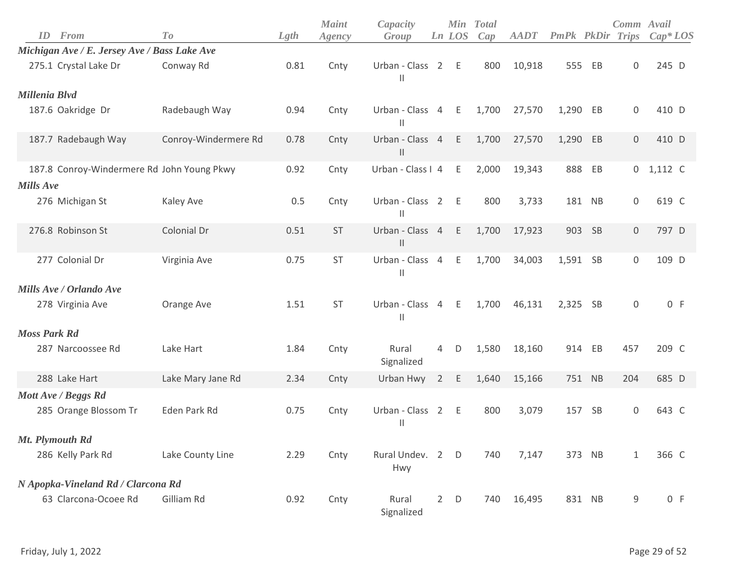|                     |                                              |                      |      | <b>Maint</b> | Capacity                           |                |        | Min Total |             |                   |           | Comm Avail          |             |
|---------------------|----------------------------------------------|----------------------|------|--------------|------------------------------------|----------------|--------|-----------|-------------|-------------------|-----------|---------------------|-------------|
| ID                  | From                                         | To                   | Lgth | Agency       | Group                              |                | Ln LOS | Cap       | <b>AADT</b> | <b>PmPk</b> PkDir |           | <b>Trips</b>        | $Cap^*LOS$  |
|                     | Michigan Ave / E. Jersey Ave / Bass Lake Ave |                      |      |              |                                    |                |        |           |             |                   |           |                     |             |
|                     | 275.1 Crystal Lake Dr                        | Conway Rd            | 0.81 | Cnty         | Urban - Class 2 E<br>$\mathbf{  }$ |                |        | 800       | 10,918      | 555               | EB        | 0                   | 245 D       |
| Millenia Blvd       |                                              |                      |      |              |                                    |                |        |           |             |                   |           |                     |             |
|                     | 187.6 Oakridge Dr                            | Radebaugh Way        | 0.94 | Cnty         | Urban - Class 4 E<br>$\mathsf{I}$  |                |        | 1,700     | 27,570      | 1,290             | EB        | $\mathsf{O}\xspace$ | 410 D       |
|                     | 187.7 Radebaugh Way                          | Conroy-Windermere Rd | 0.78 | Cnty         | Urban - Class 4<br>$\mathsf{II}$   |                | E      | 1,700     | 27,570      | 1,290             | EB        | $\mathbf 0$         | 410 D       |
|                     | 187.8 Conroy-Windermere Rd John Young Pkwy   |                      | 0.92 | Cnty         | Urban - Class I 4                  |                | Ε      | 2,000     | 19,343      | 888               | EB        |                     | $0$ 1,112 C |
| <b>Mills Ave</b>    |                                              |                      |      |              |                                    |                |        |           |             |                   |           |                     |             |
|                     | 276 Michigan St                              | Kaley Ave            | 0.5  | Cnty         | Urban - Class 2<br>$\mathsf{I}$    |                | $-E$   | 800       | 3,733       |                   | 181 NB    | $\mathsf{O}\xspace$ | 619 C       |
|                     | 276.8 Robinson St                            | Colonial Dr          | 0.51 | <b>ST</b>    | Urban - Class 4<br>$\mathsf{II}$   |                | E      | 1,700     | 17,923      | 903               | SB        | $\mathbf 0$         | 797 D       |
|                     | 277 Colonial Dr                              | Virginia Ave         | 0.75 | ST           | Urban - Class 4<br>$\mathsf{I}$    |                | E      | 1,700     | 34,003      | 1,591 SB          |           | $\mathsf{O}\xspace$ | 109 D       |
|                     | Mills Ave / Orlando Ave                      |                      |      |              |                                    |                |        |           |             |                   |           |                     |             |
|                     | 278 Virginia Ave                             | Orange Ave           | 1.51 | ST           | Urban - Class 4 E<br>$\mathsf{II}$ |                |        | 1,700     | 46,131      | 2,325 SB          |           | $\mathsf{O}\xspace$ | 0 F         |
| <b>Moss Park Rd</b> |                                              |                      |      |              |                                    |                |        |           |             |                   |           |                     |             |
|                     | 287 Narcoossee Rd                            | Lake Hart            | 1.84 | Cnty         | Rural<br>Signalized                | 4              | D      | 1,580     | 18,160      |                   | 914 EB    | 457                 | 209 C       |
|                     | 288 Lake Hart                                | Lake Mary Jane Rd    | 2.34 | Cnty         | Urban Hwy                          | $\overline{2}$ | E      | 1,640     | 15,166      |                   | 751 NB    | 204                 | 685 D       |
|                     | Mott Ave / Beggs Rd                          |                      |      |              |                                    |                |        |           |             |                   |           |                     |             |
|                     | 285 Orange Blossom Tr                        | Eden Park Rd         | 0.75 | Cnty         | Urban - Class 2<br>$\mathbf{  }$   |                | - E    | 800       | 3,079       | 157               | <b>SB</b> | 0                   | 643 C       |
|                     | Mt. Plymouth Rd                              |                      |      |              |                                    |                |        |           |             |                   |           |                     |             |
|                     | 286 Kelly Park Rd                            | Lake County Line     | 2.29 | Cnty         | Rural Undev. 2 D<br>Hwy            |                |        | 740       | 7,147       |                   | 373 NB    | $\mathbf{1}$        | 366 C       |
|                     | N Apopka-Vineland Rd / Clarcona Rd           |                      |      |              |                                    |                |        |           |             |                   |           |                     |             |
|                     | 63 Clarcona-Ocoee Rd                         | Gilliam Rd           | 0.92 | Cnty         | Rural<br>Signalized                |                | $2$ D  | 740       | 16,495      |                   | 831 NB    | 9                   | 0 F         |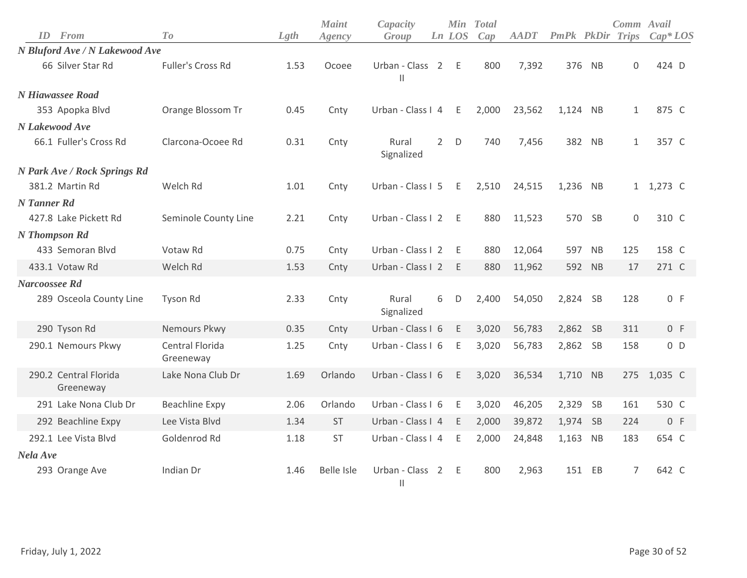| From<br>ID                         | To                           | Lgth | <b>Maint</b><br>Agency | Capacity<br>Group                |                | Ln LOS | Min Total<br>Cap | <b>AADT</b> | <b>PmPk PkDir Trips</b> |           | Comm Avail   | $Cap^*LOS$ |
|------------------------------------|------------------------------|------|------------------------|----------------------------------|----------------|--------|------------------|-------------|-------------------------|-----------|--------------|------------|
| N Bluford Ave / N Lakewood Ave     |                              |      |                        |                                  |                |        |                  |             |                         |           |              |            |
| 66 Silver Star Rd                  | Fuller's Cross Rd            | 1.53 | Ocoee                  | Urban - Class 2<br>$\mathbf{I}$  |                | E      | 800              | 7,392       |                         | 376 NB    | $\mathbf 0$  | 424 D      |
| N Hiawassee Road                   |                              |      |                        |                                  |                |        |                  |             |                         |           |              |            |
| 353 Apopka Blvd                    | Orange Blossom Tr            | 0.45 | Cnty                   | Urban - Class I 4                |                | Ε      | 2,000            | 23,562      | 1,124 NB                |           | $\mathbf{1}$ | 875 C      |
| N Lakewood Ave                     |                              |      |                        |                                  |                |        |                  |             |                         |           |              |            |
| 66.1 Fuller's Cross Rd             | Clarcona-Ocoee Rd            | 0.31 | Cnty                   | Rural<br>Signalized              | $\overline{2}$ | D      | 740              | 7,456       |                         | 382 NB    | $\mathbf{1}$ | 357 C      |
| N Park Ave / Rock Springs Rd       |                              |      |                        |                                  |                |        |                  |             |                         |           |              |            |
| 381.2 Martin Rd                    | Welch Rd                     | 1.01 | Cnty                   | Urban - Class I 5                |                | E      | 2,510            | 24,515      | 1,236                   | NB        |              | 1 1,273 C  |
| N Tanner Rd                        |                              |      |                        |                                  |                |        |                  |             |                         |           |              |            |
| 427.8 Lake Pickett Rd              | Seminole County Line         | 2.21 | Cnty                   | Urban - Class I 2                |                | - E    | 880              | 11,523      |                         | 570 SB    | $\mathbf 0$  | 310 C      |
| N Thompson Rd                      |                              |      |                        |                                  |                |        |                  |             |                         |           |              |            |
| 433 Semoran Blvd                   | Votaw Rd                     | 0.75 | Cnty                   | Urban - Class I 2                |                | E      | 880              | 12,064      | 597                     | NB        | 125          | 158 C      |
| 433.1 Votaw Rd                     | Welch Rd                     | 1.53 | Cnty                   | Urban - Class I 2                |                | E.     | 880              | 11,962      |                         | 592 NB    | 17           | 271 C      |
| Narcoossee Rd                      |                              |      |                        |                                  |                |        |                  |             |                         |           |              |            |
| 289 Osceola County Line            | <b>Tyson Rd</b>              | 2.33 | Cnty                   | Rural<br>Signalized              | 6              | D      | 2,400            | 54,050      | 2,824 SB                |           | 128          | 0 F        |
| 290 Tyson Rd                       | Nemours Pkwy                 | 0.35 | Cnty                   | Urban - Class I 6                |                | E.     | 3,020            | 56,783      | 2,862 SB                |           | 311          | 0 F        |
| 290.1 Nemours Pkwy                 | Central Florida<br>Greeneway | 1.25 | Cnty                   | Urban - Class I 6                |                | E      | 3,020            | 56,783      | 2,862 SB                |           | 158          | $0$ D      |
| 290.2 Central Florida<br>Greeneway | Lake Nona Club Dr            | 1.69 | Orlando                | Urban - Class I 6                |                | E.     | 3,020            | 36,534      | 1,710 NB                |           | 275          | 1,035 C    |
| 291 Lake Nona Club Dr              | <b>Beachline Expy</b>        | 2.06 | Orlando                | Urban - Class I 6                |                | Ε      | 3,020            | 46,205      | 2,329                   | <b>SB</b> | 161          | 530 C      |
| 292 Beachline Expy                 | Lee Vista Blvd               | 1.34 | <b>ST</b>              | Urban - Class I 4                |                | E      | 2,000            | 39,872      | 1,974 SB                |           | 224          | 0 F        |
| 292.1 Lee Vista Blvd               | Goldenrod Rd                 | 1.18 | <b>ST</b>              | Urban - Class I 4                |                | E      | 2,000            | 24,848      | 1,163 NB                |           | 183          | 654 C      |
| Nela Ave                           |                              |      |                        |                                  |                |        |                  |             |                         |           |              |            |
| 293 Orange Ave                     | Indian Dr                    | 1.46 | <b>Belle Isle</b>      | Urban - Class 2<br>$\mathbf{  }$ |                | E      | 800              | 2,963       | 151                     | EB        | 7            | 642 C      |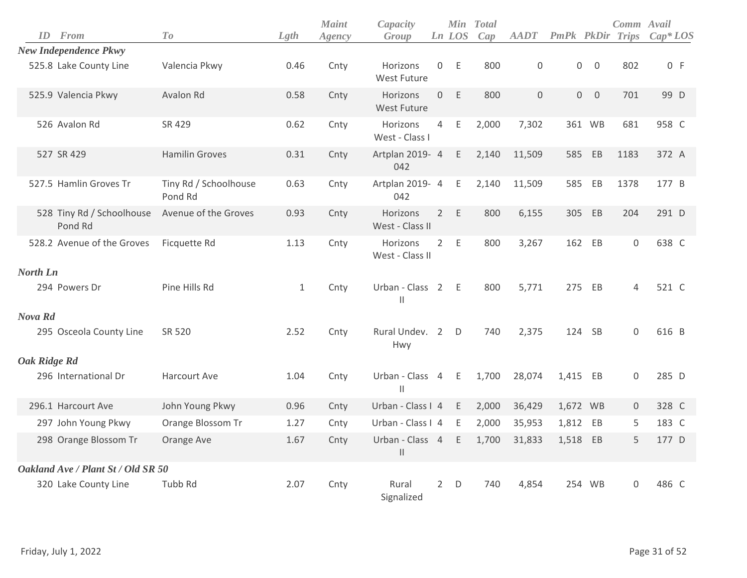|              | <b>ID</b> From                       | To                               | Lgth         | <b>Maint</b><br>Agency | Capacity<br>Group                               |                | <b>Min</b><br>Ln LOS | <b>Total</b><br>Cap | <b>AADT</b> | <b>PmPk PkDir Trips</b> |                | Comm Avail          | $Cap^*LOS$ |
|--------------|--------------------------------------|----------------------------------|--------------|------------------------|-------------------------------------------------|----------------|----------------------|---------------------|-------------|-------------------------|----------------|---------------------|------------|
|              | <b>New Independence Pkwy</b>         |                                  |              |                        |                                                 |                |                      |                     |             |                         |                |                     |            |
|              | 525.8 Lake County Line               | Valencia Pkwy                    | 0.46         | Cnty                   | Horizons<br>West Future                         | 0              | Ε                    | 800                 | $\mathsf 0$ | 0                       | $\mathbf 0$    | 802                 | 0 F        |
|              | 525.9 Valencia Pkwy                  | Avalon Rd                        | 0.58         | Cnty                   | Horizons<br><b>West Future</b>                  | $\mathbf 0$    | E                    | 800                 | $\Omega$    | $\overline{0}$          | $\overline{0}$ | 701                 | 99 D       |
|              | 526 Avalon Rd                        | SR 429                           | 0.62         | Cnty                   | Horizons<br>West - Class I                      | $\overline{4}$ | $\mathsf E$          | 2,000               | 7,302       |                         | 361 WB         | 681                 | 958 C      |
|              | 527 SR 429                           | <b>Hamilin Groves</b>            | 0.31         | Cnty                   | Artplan 2019- 4<br>042                          |                | E                    | 2,140               | 11,509      | 585                     | EB             | 1183                | 372 A      |
|              | 527.5 Hamlin Groves Tr               | Tiny Rd / Schoolhouse<br>Pond Rd | 0.63         | Cnty                   | Artplan 2019- 4<br>042                          |                | $\mathsf E$          | 2,140               | 11,509      | 585                     | EB             | 1378                | 177 B      |
|              | 528 Tiny Rd / Schoolhouse<br>Pond Rd | Avenue of the Groves             | 0.93         | Cnty                   | Horizons<br>West - Class II                     | $2^{\circ}$    | $\mathsf E$          | 800                 | 6,155       | 305                     | EB             | 204                 | 291 D      |
|              | 528.2 Avenue of the Groves           | Ficquette Rd                     | 1.13         | Cnty                   | Horizons<br>West - Class II                     |                | 2 E                  | 800                 | 3,267       |                         | 162 EB         | $\mathsf{O}\xspace$ | 638 C      |
| North Ln     |                                      |                                  |              |                        |                                                 |                |                      |                     |             |                         |                |                     |            |
|              | 294 Powers Dr                        | Pine Hills Rd                    | $\mathbf{1}$ | Cnty                   | Urban - Class 2 E<br>$\ensuremath{\mathsf{II}}$ |                |                      | 800                 | 5,771       | 275                     | EB             | 4                   | 521 C      |
| Nova Rd      |                                      |                                  |              |                        |                                                 |                |                      |                     |             |                         |                |                     |            |
|              | 295 Osceola County Line              | SR 520                           | 2.52         | Cnty                   | Rural Undev. 2<br>Hwy                           |                | D                    | 740                 | 2,375       | 124                     | <b>SB</b>      | 0                   | 616 B      |
| Oak Ridge Rd |                                      |                                  |              |                        |                                                 |                |                      |                     |             |                         |                |                     |            |
|              | 296 International Dr                 | Harcourt Ave                     | 1.04         | Cnty                   | Urban - Class 4<br>$\mathbf{H}$                 |                | Ε                    | 1,700               | 28,074      | 1,415 EB                |                | 0                   | 285 D      |
|              | 296.1 Harcourt Ave                   | John Young Pkwy                  | 0.96         | Cnty                   | Urban - Class I 4                               |                | E                    | 2,000               | 36,429      | 1,672 WB                |                | $\mathbf 0$         | 328 C      |
|              | 297 John Young Pkwy                  | Orange Blossom Tr                | 1.27         | Cnty                   | Urban - Class I 4                               |                | E                    | 2,000               | 35,953      | 1,812 EB                |                | 5                   | 183 C      |
|              | 298 Orange Blossom Tr                | Orange Ave                       | 1.67         | Cnty                   | Urban - Class 4<br>$\mathbf{  }$                |                | E                    | 1,700               | 31,833      | 1,518 EB                |                | 5                   | 177 D      |
|              | Oakland Ave / Plant St / Old SR 50   |                                  |              |                        |                                                 |                |                      |                     |             |                         |                |                     |            |
|              | 320 Lake County Line                 | Tubb Rd                          | 2.07         | Cnty                   | Rural<br>Signalized                             | $\overline{2}$ | D                    | 740                 | 4,854       |                         | 254 WB         | 0                   | 486 C      |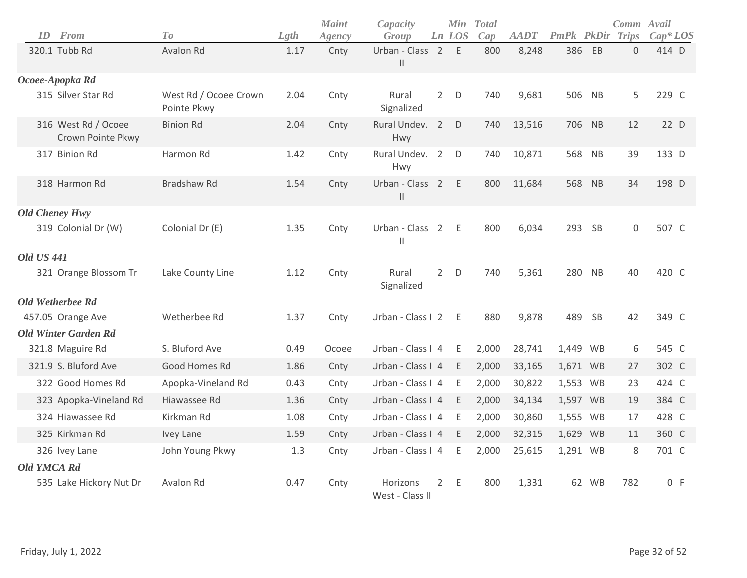| ID                    | From                                     | To                                   | Lgth | <b>Maint</b><br>Agency | Capacity<br>Group                                        |                | Min<br>Ln LOS | <b>Total</b><br>Cap | <b>AADT</b> | <b>PmPk PkDir Trips</b> |       | Comm Avail     | $Cap^*LOS$ |
|-----------------------|------------------------------------------|--------------------------------------|------|------------------------|----------------------------------------------------------|----------------|---------------|---------------------|-------------|-------------------------|-------|----------------|------------|
|                       | 320.1 Tubb Rd                            | Avalon Rd                            | 1.17 | Cnty                   | Urban - Class 2<br>$\begin{array}{c} \hline \end{array}$ |                | E             | 800                 | 8,248       | 386                     | EB    | $\overline{0}$ | 414 D      |
|                       | Ocoee-Apopka Rd                          |                                      |      |                        |                                                          |                |               |                     |             |                         |       |                |            |
|                       | 315 Silver Star Rd                       | West Rd / Ocoee Crown<br>Pointe Pkwy | 2.04 | Cnty                   | Rural<br>Signalized                                      | $2^{\circ}$    | D             | 740                 | 9,681       | 506                     | NB    | 5              | 229 C      |
|                       | 316 West Rd / Ocoee<br>Crown Pointe Pkwy | <b>Binion Rd</b>                     | 2.04 | Cnty                   | Rural Undev. 2<br>Hwy                                    |                | D             | 740                 | 13,516      | 706 NB                  |       | 12             | 22 D       |
|                       | 317 Binion Rd                            | Harmon Rd                            | 1.42 | Cnty                   | Rural Undev. 2<br>Hwy                                    |                | D             | 740                 | 10,871      | 568                     | NB    | 39             | 133 D      |
|                       | 318 Harmon Rd                            | <b>Bradshaw Rd</b>                   | 1.54 | Cnty                   | Urban - Class 2 E<br>Ш                                   |                |               | 800                 | 11,684      | 568                     | NB    | 34             | 198 D      |
| <b>Old Cheney Hwy</b> |                                          |                                      |      |                        |                                                          |                |               |                     |             |                         |       |                |            |
|                       | 319 Colonial Dr (W)                      | Colonial Dr (E)                      | 1.35 | Cnty                   | Urban - Class 2<br>$\mathbf{  }$                         |                | E             | 800                 | 6,034       | 293                     | SB    | $\mathbf 0$    | 507 C      |
| <b>Old US 441</b>     |                                          |                                      |      |                        |                                                          |                |               |                     |             |                         |       |                |            |
|                       | 321 Orange Blossom Tr                    | Lake County Line                     | 1.12 | Cnty                   | Rural<br>Signalized                                      | $2^{\circ}$    | D             | 740                 | 5,361       | 280 NB                  |       | 40             | 420 C      |
|                       | <b>Old Wetherbee Rd</b>                  |                                      |      |                        |                                                          |                |               |                     |             |                         |       |                |            |
|                       | 457.05 Orange Ave                        | Wetherbee Rd                         | 1.37 | Cnty                   | Urban - Class I 2                                        |                | - E           | 880                 | 9,878       | 489                     | SB    | 42             | 349 C      |
|                       | <b>Old Winter Garden Rd</b>              |                                      |      |                        |                                                          |                |               |                     |             |                         |       |                |            |
|                       | 321.8 Maguire Rd                         | S. Bluford Ave                       | 0.49 | Ocoee                  | Urban - Class I 4                                        |                | E             | 2,000               | 28,741      | 1,449 WB                |       | 6              | 545 C      |
|                       | 321.9 S. Bluford Ave                     | Good Homes Rd                        | 1.86 | Cnty                   | Urban - Class I 4                                        |                | E             | 2,000               | 33,165      | 1,671 WB                |       | 27             | 302 C      |
|                       | 322 Good Homes Rd                        | Apopka-Vineland Rd                   | 0.43 | Cnty                   | Urban - Class I 4                                        |                | E             | 2,000               | 30,822      | 1,553 WB                |       | 23             | 424 C      |
|                       | 323 Apopka-Vineland Rd                   | Hiawassee Rd                         | 1.36 | Cnty                   | Urban - Class I 4                                        |                | E             | 2,000               | 34,134      | 1,597 WB                |       | 19             | 384 C      |
|                       | 324 Hiawassee Rd                         | Kirkman Rd                           | 1.08 | Cnty                   | Urban - Class I 4                                        |                | E             | 2,000               | 30,860      | 1,555 WB                |       | 17             | 428 C      |
|                       | 325 Kirkman Rd                           | Ivey Lane                            | 1.59 | Cnty                   | Urban - Class I 4                                        |                | E             | 2,000               | 32,315      | 1,629 WB                |       | 11             | 360 C      |
|                       | 326 Ivey Lane                            | John Young Pkwy                      | 1.3  | Cnty                   | Urban - Class I 4                                        |                | E             | 2,000               | 25,615      | 1,291 WB                |       | 8              | 701 C      |
| <b>Old YMCA Rd</b>    |                                          |                                      |      |                        |                                                          |                |               |                     |             |                         |       |                |            |
|                       | 535 Lake Hickory Nut Dr                  | Avalon Rd                            | 0.47 | Cnty                   | <b>Horizons</b><br>West - Class II                       | $\overline{2}$ | E             | 800                 | 1,331       |                         | 62 WB | 782            | 0 F        |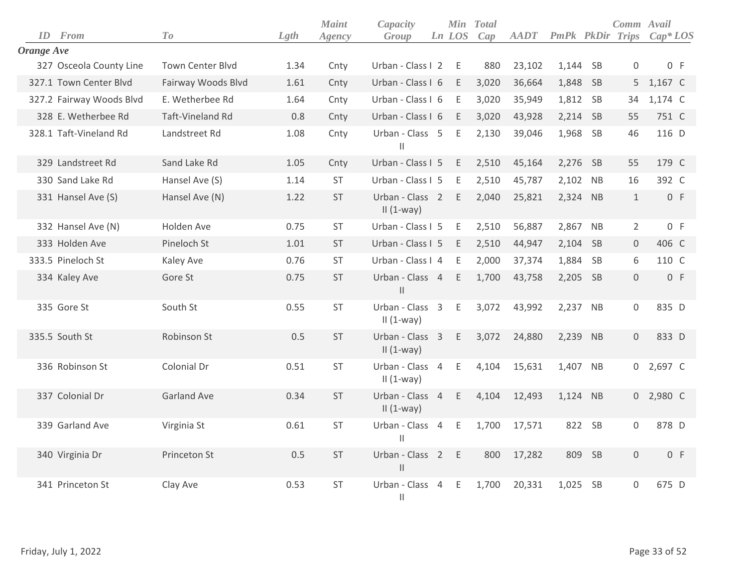| ID         | <b>From</b>              | To                      | Lgth | <b>Maint</b><br>Agency | Capacity<br>Group                             | Ln LOS | Min Total<br>Cap | <b>AADT</b> | <b>PmPk PkDir Trips</b> |           | Comm Avail          | $Cap^*LOS$ |
|------------|--------------------------|-------------------------|------|------------------------|-----------------------------------------------|--------|------------------|-------------|-------------------------|-----------|---------------------|------------|
| Orange Ave |                          |                         |      |                        |                                               |        |                  |             |                         |           |                     |            |
|            | 327 Osceola County Line  | <b>Town Center Blvd</b> | 1.34 | Cnty                   | Urban - Class I 2                             | E      | 880              | 23,102      | 1,144 SB                |           | 0                   | 0 F        |
|            | 327.1 Town Center Blvd   | Fairway Woods Blvd      | 1.61 | Cnty                   | Urban - Class I 6                             | E      | 3,020            | 36,664      | 1,848 SB                |           | 5                   | 1,167 C    |
|            | 327.2 Fairway Woods Blvd | E. Wetherbee Rd         | 1.64 | Cnty                   | Urban - Class I 6                             | E      | 3,020            | 35,949      | 1,812 SB                |           | 34                  | 1,174 C    |
|            | 328 E. Wetherbee Rd      | <b>Taft-Vineland Rd</b> | 0.8  | Cnty                   | Urban - Class I 6                             | E      | 3,020            | 43,928      | 2,214 SB                |           | 55                  | 751 C      |
|            | 328.1 Taft-Vineland Rd   | Landstreet Rd           | 1.08 | Cnty                   | Urban - Class 5<br>$\mathbf{H}$               | E.     | 2,130            | 39,046      | 1,968 SB                |           | 46                  | 116 D      |
|            | 329 Landstreet Rd        | Sand Lake Rd            | 1.05 | Cnty                   | Urban - Class I 5                             | E      | 2,510            | 45,164      | 2,276 SB                |           | 55                  | 179 C      |
|            | 330 Sand Lake Rd         | Hansel Ave (S)          | 1.14 | <b>ST</b>              | Urban - Class I 5                             | E      | 2,510            | 45,787      | 2,102 NB                |           | 16                  | 392 C      |
|            | 331 Hansel Ave (S)       | Hansel Ave (N)          | 1.22 | <b>ST</b>              | Urban - Class 2<br>$II(1-way)$                | Ε      | 2,040            | 25,821      | 2,324 NB                |           | $\mathbf{1}$        | 0 F        |
|            | 332 Hansel Ave (N)       | Holden Ave              | 0.75 | <b>ST</b>              | Urban - Class I 5                             | E      | 2,510            | 56,887      | 2,867 NB                |           | $\overline{2}$      | 0 F        |
|            | 333 Holden Ave           | Pineloch St             | 1.01 | <b>ST</b>              | Urban - Class I 5                             | E      | 2,510            | 44,947      | 2,104 SB                |           | $\mathsf{O}\xspace$ | 406 C      |
|            | 333.5 Pineloch St        | Kaley Ave               | 0.76 | <b>ST</b>              | Urban - Class I 4                             | E      | 2,000            | 37,374      | 1,884 SB                |           | 6                   | 110 C      |
|            | 334 Kaley Ave            | Gore St                 | 0.75 | <b>ST</b>              | Urban - Class 4<br>$\ensuremath{\mathsf{II}}$ | E      | 1,700            | 43,758      | 2,205 SB                |           | $\mathsf{O}\xspace$ | 0 F        |
|            | 335 Gore St              | South St                | 0.55 | ST                     | Urban - Class 3<br>II $(1-way)$               | E      | 3,072            | 43,992      | 2,237 NB                |           | $\mathsf 0$         | 835 D      |
|            | 335.5 South St           | Robinson St             | 0.5  | <b>ST</b>              | Urban - Class 3<br>$II(1-way)$                | E.     | 3,072            | 24,880      | 2,239 NB                |           | $\mathsf{O}\xspace$ | 833 D      |
|            | 336 Robinson St          | Colonial Dr             | 0.51 | <b>ST</b>              | Urban - Class 4<br>$II(1-way)$                | Ε      | 4,104            | 15,631      | 1,407 NB                |           | $\overline{0}$      | 2,697 C    |
|            | 337 Colonial Dr          | <b>Garland Ave</b>      | 0.34 | <b>ST</b>              | Urban - Class 4<br>$II(1-way)$                | E      | 4,104            | 12,493      | 1,124 NB                |           |                     | 0 2,980 C  |
|            | 339 Garland Ave          | Virginia St             | 0.61 | <b>ST</b>              | Urban - Class 4<br>$\mathbf{H}$               | E      | 1,700            | 17,571      |                         | 822 SB    | $\mathsf{O}\xspace$ | 878 D      |
|            | 340 Virginia Dr          | Princeton St            | 0.5  | ST                     | Urban - Class 2 E<br>$\mathsf{I}$             |        | 800              | 17,282      | 809                     | - SB      | $\mathsf{O}\xspace$ | 0 F        |
|            | 341 Princeton St         | Clay Ave                | 0.53 | <b>ST</b>              | Urban - Class 4<br>$\vert\vert$               | E      | 1,700            | 20,331      | 1,025                   | <b>SB</b> | 0                   | 675 D      |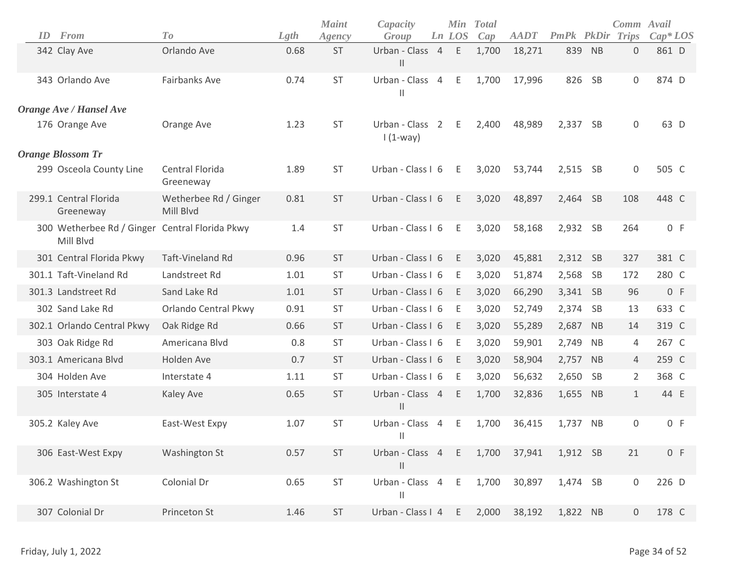| ID | From                                                        | To                                 | Lgth | <b>Maint</b><br>Agency | Capacity<br>Group                             |                | Min<br>Ln LOS | <b>Total</b><br>Cap | <b>AADT</b> | <b>PmPk</b> PkDir |           | Comm Avail<br>Trips | $Cap^*LOS$ |
|----|-------------------------------------------------------------|------------------------------------|------|------------------------|-----------------------------------------------|----------------|---------------|---------------------|-------------|-------------------|-----------|---------------------|------------|
|    | 342 Clay Ave                                                | Orlando Ave                        | 0.68 | ST                     | Urban - Class 4<br>$\ensuremath{\mathsf{II}}$ |                | $\mathsf E$   | 1,700               | 18,271      | 839               | <b>NB</b> | 0                   | 861 D      |
|    | 343 Orlando Ave                                             | <b>Fairbanks Ave</b>               | 0.74 | ST                     | Urban - Class<br>$\mathbf{  }$                | $\overline{4}$ | Ε             | 1,700               | 17,996      | 826               | SB        | 0                   | 874 D      |
|    | Orange Ave / Hansel Ave                                     |                                    |      |                        |                                               |                |               |                     |             |                   |           |                     |            |
|    | 176 Orange Ave                                              | Orange Ave                         | 1.23 | <b>ST</b>              | Urban - Class 2<br>$1(1-way)$                 |                | E             | 2,400               | 48,989      | 2,337 SB          |           | 0                   | 63 D       |
|    | <b>Orange Blossom Tr</b>                                    |                                    |      |                        |                                               |                |               |                     |             |                   |           |                     |            |
|    | 299 Osceola County Line                                     | Central Florida<br>Greeneway       | 1.89 | <b>ST</b>              | Urban - Class I 6                             |                | E             | 3,020               | 53,744      | 2,515             | <b>SB</b> | 0                   | 505 C      |
|    | 299.1 Central Florida<br>Greeneway                          | Wetherbee Rd / Ginger<br>Mill Blvd | 0.81 | <b>ST</b>              | Urban - Class I 6                             |                | E             | 3,020               | 48,897      | 2,464 SB          |           | 108                 | 448 C      |
|    | 300 Wetherbee Rd / Ginger Central Florida Pkwy<br>Mill Blvd |                                    | 1.4  | ST                     | Urban - Class I 6                             |                | Ε             | 3,020               | 58,168      | 2,932             | SB        | 264                 | 0 F        |
|    | 301 Central Florida Pkwy                                    | <b>Taft-Vineland Rd</b>            | 0.96 | <b>ST</b>              | Urban - Class I 6                             |                | E             | 3,020               | 45,881      | 2,312 SB          |           | 327                 | 381 C      |
|    | 301.1 Taft-Vineland Rd                                      | Landstreet Rd                      | 1.01 | <b>ST</b>              | Urban - Class I 6                             |                | Ε             | 3,020               | 51,874      | 2,568             | <b>SB</b> | 172                 | 280 C      |
|    | 301.3 Landstreet Rd                                         | Sand Lake Rd                       | 1.01 | <b>ST</b>              | Urban - Class I 6                             |                | E             | 3,020               | 66,290      | 3,341             | SB        | 96                  | 0 F        |
|    | 302 Sand Lake Rd                                            | Orlando Central Pkwy               | 0.91 | <b>ST</b>              | Urban - Class I 6                             |                | Ε             | 3,020               | 52,749      | 2,374             | <b>SB</b> | 13                  | 633 C      |
|    | 302.1 Orlando Central Pkwy                                  | Oak Ridge Rd                       | 0.66 | <b>ST</b>              | Urban - Class I 6                             |                | E             | 3,020               | 55,289      | 2,687             | <b>NB</b> | 14                  | 319 C      |
|    | 303 Oak Ridge Rd                                            | Americana Blvd                     | 0.8  | <b>ST</b>              | Urban - Class I 6                             |                | Ε             | 3,020               | 59,901      | 2,749             | <b>NB</b> | 4                   | 267 C      |
|    | 303.1 Americana Blvd                                        | Holden Ave                         | 0.7  | <b>ST</b>              | Urban - Class I 6                             |                | E             | 3,020               | 58,904      | 2,757             | <b>NB</b> | 4                   | 259 C      |
|    | 304 Holden Ave                                              | Interstate 4                       | 1.11 | <b>ST</b>              | Urban - Class I 6                             |                | Ε             | 3,020               | 56,632      | 2,650             | <b>SB</b> | $\overline{2}$      | 368 C      |
|    | 305 Interstate 4                                            | Kaley Ave                          | 0.65 | <b>ST</b>              | Urban - Class 4<br>$\mathbf{H}$               |                | Ε             | 1,700               | 32,836      | 1,655             | <b>NB</b> | $\mathbf 1$         | 44 E       |
|    | 305.2 Kaley Ave                                             | East-West Expy                     | 1.07 | ST                     | Urban - Class 4<br>$\mathsf{II}$              |                | Ε             | 1,700               | 36,415      | 1,737             | <b>NB</b> | 0                   | 0 F        |
|    | 306 East-West Expy                                          | <b>Washington St</b>               | 0.57 | ST                     | Urban - Class 4<br>$\vert\vert$               |                | E             | 1,700               | 37,941      | 1,912 SB          |           | 21                  | 0 F        |
|    | 306.2 Washington St                                         | Colonial Dr                        | 0.65 | ST                     | Urban - Class 4<br>$\mathbf{  }$              |                | E             | 1,700               | 30,897      | 1,474 SB          |           | 0                   | 226 D      |
|    | 307 Colonial Dr                                             | Princeton St                       | 1.46 | ST                     | Urban - Class I 4                             |                | E             | 2,000               | 38,192      | 1,822 NB          |           | 0                   | 178 C      |
|    |                                                             |                                    |      |                        |                                               |                |               |                     |             |                   |           |                     |            |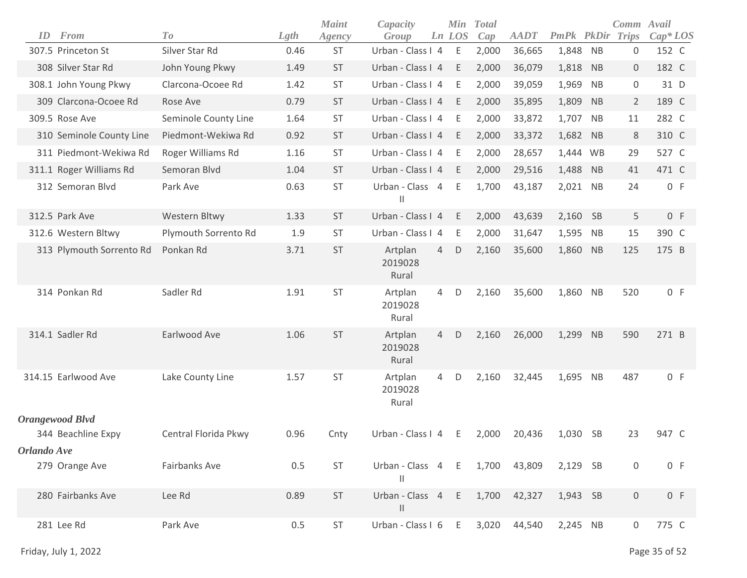| ID          | From                     | To                   | Lgth | <b>Maint</b><br>Agency | Capacity<br>Group                  |                | Min<br>Ln LOS | <b>Total</b><br>Cap | <b>AADT</b> | PmPk     |           | Comm Avail<br><b>PkDir Trips</b> | $Cap^*LOS$ |  |
|-------------|--------------------------|----------------------|------|------------------------|------------------------------------|----------------|---------------|---------------------|-------------|----------|-----------|----------------------------------|------------|--|
|             | 307.5 Princeton St       | Silver Star Rd       | 0.46 | ST                     | Urban - Class I 4                  |                | E             | 2,000               | 36,665      | 1,848    | <b>NB</b> | $\boldsymbol{0}$                 | 152 C      |  |
|             | 308 Silver Star Rd       | John Young Pkwy      | 1.49 | <b>ST</b>              | Urban - Class I 4                  |                | Ε             | 2,000               | 36,079      | 1,818    | <b>NB</b> | $\mathsf{O}\xspace$              | 182 C      |  |
|             | 308.1 John Young Pkwy    | Clarcona-Ocoee Rd    | 1.42 | <b>ST</b>              | Urban - Class I 4                  |                | Ε             | 2,000               | 39,059      | 1,969    | <b>NB</b> | $\boldsymbol{0}$                 | 31 D       |  |
|             | 309 Clarcona-Ocoee Rd    | Rose Ave             | 0.79 | <b>ST</b>              | Urban - Class I 4                  |                | Ε             | 2,000               | 35,895      | 1,809    | <b>NB</b> | $\overline{2}$                   | 189 C      |  |
|             | 309.5 Rose Ave           | Seminole County Line | 1.64 | <b>ST</b>              | Urban - Class I 4                  |                | Ε             | 2,000               | 33,872      | 1,707    | <b>NB</b> | 11                               | 282 C      |  |
|             | 310 Seminole County Line | Piedmont-Wekiwa Rd   | 0.92 | <b>ST</b>              | Urban - Class I 4                  |                | Ε             | 2,000               | 33,372      | 1,682    | <b>NB</b> | 8                                | 310 C      |  |
|             | 311 Piedmont-Wekiwa Rd   | Roger Williams Rd    | 1.16 | <b>ST</b>              | Urban - Class I 4                  |                | Ε             | 2,000               | 28,657      | 1,444 WB |           | 29                               | 527 C      |  |
|             | 311.1 Roger Williams Rd  | Semoran Blvd         | 1.04 | <b>ST</b>              | Urban - Class I 4                  |                | Ε             | 2,000               | 29,516      | 1,488    | <b>NB</b> | 41                               | 471 C      |  |
|             | 312 Semoran Blvd         | Park Ave             | 0.63 | <b>ST</b>              | Urban - Class 4<br>Ш               |                | Ε             | 1,700               | 43,187      | 2,021 NB |           | 24                               | 0 F        |  |
|             | 312.5 Park Ave           | Western Bltwy        | 1.33 | <b>ST</b>              | Urban - Class I 4                  |                | E             | 2,000               | 43,639      | 2,160    | <b>SB</b> | 5                                | 0 F        |  |
|             | 312.6 Western Bltwy      | Plymouth Sorrento Rd | 1.9  | <b>ST</b>              | Urban - Class I 4                  |                | Ε             | 2,000               | 31,647      | 1,595    | <b>NB</b> | 15                               | 390 C      |  |
|             | 313 Plymouth Sorrento Rd | Ponkan Rd            | 3.71 | <b>ST</b>              | Artplan<br>2019028<br>Rural        | $\overline{4}$ | D             | 2,160               | 35,600      | 1,860 NB |           | 125                              | 175 B      |  |
|             | 314 Ponkan Rd            | Sadler Rd            | 1.91 | <b>ST</b>              | Artplan<br>2019028<br>Rural        | 4              | D             | 2,160               | 35,600      | 1,860    | NB        | 520                              | 0 F        |  |
|             | 314.1 Sadler Rd          | Earlwood Ave         | 1.06 | <b>ST</b>              | Artplan<br>2019028<br>Rural        | $\overline{4}$ | D             | 2,160               | 26,000      | 1,299    | <b>NB</b> | 590                              | 271 B      |  |
|             | 314.15 Earlwood Ave      | Lake County Line     | 1.57 | <b>ST</b>              | Artplan<br>2019028<br>Rural        | 4              | D             | 2,160               | 32,445      | 1,695    | <b>NB</b> | 487                              | 0 F        |  |
|             | <b>Orangewood Blvd</b>   |                      |      |                        |                                    |                |               |                     |             |          |           |                                  |            |  |
|             | 344 Beachline Expy       | Central Florida Pkwy | 0.96 | Cnty                   | Urban - Class I 4                  |                | Ε             | 2,000               | 20,436      | 1,030    | -SB       | 23                               | 947 C      |  |
| Orlando Ave |                          |                      |      |                        |                                    |                |               |                     |             |          |           |                                  |            |  |
|             | 279 Orange Ave           | Fairbanks Ave        | 0.5  | ST                     | Urban - Class 4 E<br>$\mathbf{II}$ |                |               | 1,700               | 43,809      | 2,129 SB |           | $\boldsymbol{0}$                 | 0 F        |  |
|             | 280 Fairbanks Ave        | Lee Rd               | 0.89 | <b>ST</b>              | Urban - Class 4<br>$\mathbf{II}$   |                | E             | 1,700               | 42,327      | 1,943 SB |           | $\mathsf{O}\xspace$              | 0 F        |  |
|             | 281 Lee Rd               | Park Ave             | 0.5  | ST                     | Urban - Class I 6                  |                | E             | 3,020               | 44,540      | 2,245 NB |           | 0                                | 775 C      |  |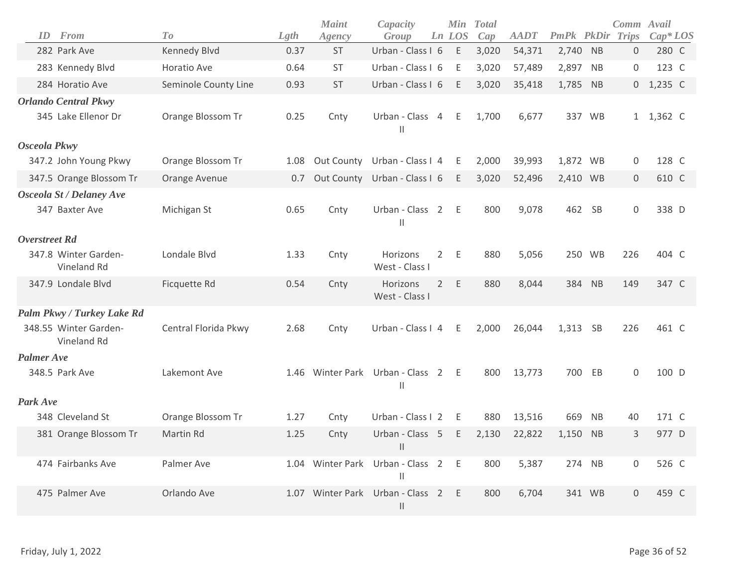| ID                | From                                               | To                   | Lgth | <b>Maint</b><br>Agency | Capacity<br>Group                |                | Min<br>Ln LOS | <b>Total</b><br>Cap | <b>AADT</b> | PmPk PkDir |           | Comm Avail<br><b>Trips</b> | $Cap*LOS$ |
|-------------------|----------------------------------------------------|----------------------|------|------------------------|----------------------------------|----------------|---------------|---------------------|-------------|------------|-----------|----------------------------|-----------|
|                   | 282 Park Ave                                       | Kennedy Blvd         | 0.37 | <b>ST</b>              | Urban - Class I 6                |                | E             | 3,020               | 54,371      | 2,740      | <b>NB</b> | $\mathbf{0}$               | 280 C     |
|                   | 283 Kennedy Blvd                                   | Horatio Ave          | 0.64 | <b>ST</b>              | Urban - Class I 6                |                | $\mathsf E$   | 3,020               | 57,489      | 2,897      | <b>NB</b> | $\mathbf 0$                | 123 C     |
|                   | 284 Horatio Ave                                    | Seminole County Line | 0.93 | <b>ST</b>              | Urban - Class I 6                |                | E             | 3,020               | 35,418      | 1,785 NB   |           | $\overline{0}$             | $1,235$ C |
|                   | <b>Orlando Central Pkwy</b><br>345 Lake Ellenor Dr | Orange Blossom Tr    | 0.25 | Cnty                   | Urban - Class 4<br>$\mathbf{I}$  |                | E             | 1,700               | 6,677       | 337 WB     |           |                            | 1 1,362 C |
| Osceola Pkwy      |                                                    |                      |      |                        |                                  |                |               |                     |             |            |           |                            |           |
|                   | 347.2 John Young Pkwy                              | Orange Blossom Tr    | 1.08 | Out County             | Urban - Class I 4                |                | Ε             | 2,000               | 39,993      | 1,872 WB   |           | $\boldsymbol{0}$           | 128 C     |
|                   | 347.5 Orange Blossom Tr                            | Orange Avenue        | 0.7  | Out County             | Urban - Class I 6                |                | Ε             | 3,020               | 52,496      | 2,410 WB   |           | $\mathsf{O}\xspace$        | 610 C     |
|                   | <b>Osceola St / Delaney Ave</b><br>347 Baxter Ave  | Michigan St          | 0.65 | Cnty                   | Urban - Class 2<br>$\mathsf{I}$  |                | E             | 800                 | 9,078       | 462 SB     |           | $\mathsf{O}\xspace$        | 338 D     |
| Overstreet Rd     |                                                    |                      |      |                        |                                  |                |               |                     |             |            |           |                            |           |
|                   | 347.8 Winter Garden-<br>Vineland Rd                | Londale Blvd         | 1.33 | Cnty                   | Horizons<br>West - Class I       | $2^{\circ}$    | E             | 880                 | 5,056       | 250 WB     |           | 226                        | 404 C     |
|                   | 347.9 Londale Blvd                                 | Ficquette Rd         | 0.54 | Cnty                   | Horizons<br>West - Class I       |                | 2 E           | 880                 | 8,044       | 384 NB     |           | 149                        | 347 C     |
|                   | Palm Pkwy / Turkey Lake Rd                         |                      |      |                        |                                  |                |               |                     |             |            |           |                            |           |
|                   | 348.55 Winter Garden-<br>Vineland Rd               | Central Florida Pkwy | 2.68 | Cnty                   | Urban - Class I 4                |                | E             | 2,000               | 26,044      | 1,313 SB   |           | 226                        | 461 C     |
| <b>Palmer Ave</b> |                                                    |                      |      |                        |                                  |                |               |                     |             |            |           |                            |           |
|                   | 348.5 Park Ave                                     | Lakemont Ave         | 1.46 |                        | Winter Park Urban - Class 2<br>Ш |                | - E           | 800                 | 13,773      | 700        | EB        | $\mathbf 0$                | 100 D     |
| Park Ave          |                                                    |                      |      |                        |                                  |                |               |                     |             |            |           |                            |           |
|                   | 348 Cleveland St                                   | Orange Blossom Tr    | 1.27 | Cnty                   | Urban - Class I 2                |                | E             | 880                 | 13,516      | 669        | <b>NB</b> | 40                         | 171 C     |
|                   | 381 Orange Blossom Tr                              | Martin Rd            | 1.25 | Cnty                   | Urban - Class 5<br>$\mathsf{II}$ |                | E             | 2,130               | 22,822      | 1,150      | NB        | 3                          | 977 D     |
|                   | 474 Fairbanks Ave                                  | Palmer Ave           |      | 1.04 Winter Park       | Urban - Class 2<br>$\mathsf{II}$ |                | E             | 800                 | 5,387       | 274 NB     |           | 0                          | 526 C     |
|                   | 475 Palmer Ave                                     | Orlando Ave          | 1.07 | <b>Winter Park</b>     | Urban - Class<br>$\mathsf{II}$   | $\overline{2}$ | E             | 800                 | 6,704       | 341 WB     |           | 0                          | 459 C     |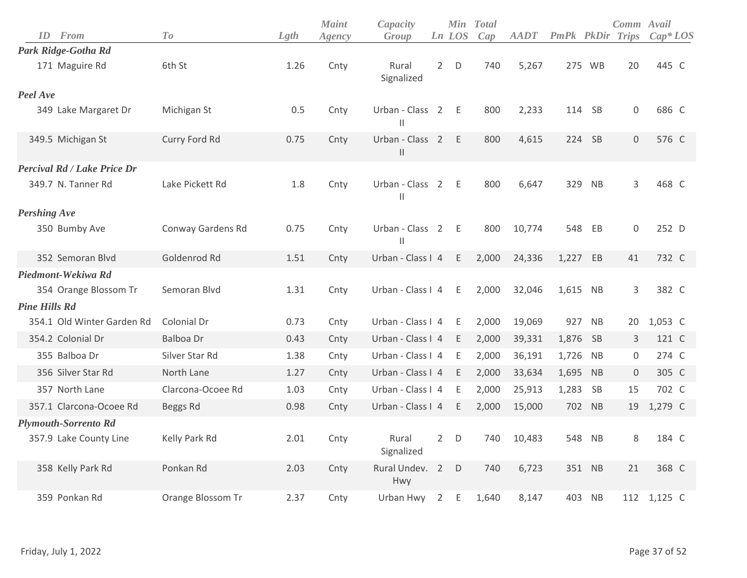| <b>ID</b> From              | T o               | Lgth | <b>Maint</b><br>Agency | Capacity<br>Group                                        |                | Ln LOS      | Min Total<br>Cap | <b>AADT</b> | <b>PmPk PkDir Trips</b> |           | Comm Avail       | $Cap^*LOS$  |
|-----------------------------|-------------------|------|------------------------|----------------------------------------------------------|----------------|-------------|------------------|-------------|-------------------------|-----------|------------------|-------------|
| Park Ridge-Gotha Rd         |                   |      |                        |                                                          |                |             |                  |             |                         |           |                  |             |
| 171 Maguire Rd              | 6th St            | 1.26 | Cnty                   | Rural<br>Signalized                                      | $\overline{2}$ | D           | 740              | 5,267       |                         | 275 WB    | 20               | 445 C       |
| Peel Ave                    |                   |      |                        |                                                          |                |             |                  |             |                         |           |                  |             |
| 349 Lake Margaret Dr        | Michigan St       | 0.5  | Cnty                   | Urban - Class 2<br>$\begin{array}{c} \hline \end{array}$ |                | - E         | 800              | 2,233       | 114                     | - SB      | 0                | 686 C       |
| 349.5 Michigan St           | Curry Ford Rd     | 0.75 | Cnty                   | Urban - Class 2<br>$\vert\vert$                          |                | E           | 800              | 4,615       | 224                     | SB        | $\mathbf 0$      | 576 C       |
| Percival Rd / Lake Price Dr |                   |      |                        |                                                          |                |             |                  |             |                         |           |                  |             |
| 349.7 N. Tanner Rd          | Lake Pickett Rd   | 1.8  | Cnty                   | Urban - Class 2<br>$\mathbf{  }$                         |                | E           | 800              | 6,647       | 329                     | <b>NB</b> | 3                | 468 C       |
| <b>Pershing Ave</b>         |                   |      |                        |                                                          |                |             |                  |             |                         |           |                  |             |
| 350 Bumby Ave               | Conway Gardens Rd | 0.75 | Cnty                   | Urban - Class 2<br>$\begin{array}{c} \hline \end{array}$ |                | - E         | 800              | 10,774      | 548                     | EB        | 0                | 252 D       |
| 352 Semoran Blyd            | Goldenrod Rd      | 1.51 | Cnty                   | Urban - Class I 4                                        |                | E           | 2,000            | 24,336      | 1,227 EB                |           | 41               | 732 C       |
| Piedmont-Wekiwa Rd          |                   |      |                        |                                                          |                |             |                  |             |                         |           |                  |             |
| 354 Orange Blossom Tr       | Semoran Blvd      | 1.31 | Cnty                   | Urban - Class I 4                                        |                | E           | 2,000            | 32,046      | 1,615                   | <b>NB</b> | 3                | 382 C       |
| <b>Pine Hills Rd</b>        |                   |      |                        |                                                          |                |             |                  |             |                         |           |                  |             |
| 354.1 Old Winter Garden Rd  | Colonial Dr       | 0.73 | Cnty                   | Urban - Class I 4                                        |                | E           | 2,000            | 19,069      | 927                     | <b>NB</b> | 20               | 1,053 C     |
| 354.2 Colonial Dr           | <b>Balboa Dr</b>  | 0.43 | Cnty                   | Urban - Class I 4                                        |                | E           | 2,000            | 39,331      | 1,876 SB                |           | 3                | 121 C       |
| 355 Balboa Dr               | Silver Star Rd    | 1.38 | Cnty                   | Urban - Class I 4                                        |                | E           | 2,000            | 36,191      | 1,726                   | <b>NB</b> | $\boldsymbol{0}$ | 274 C       |
| 356 Silver Star Rd          | North Lane        | 1.27 | Cnty                   | Urban - Class I 4                                        |                | E           | 2,000            | 33,634      | 1,695 NB                |           | $\mathbf 0$      | 305 C       |
| 357 North Lane              | Clarcona-Ocoee Rd | 1.03 | Cnty                   | Urban - Class I 4                                        |                | E           | 2,000            | 25,913      | 1,283                   | SB        | 15               | 702 C       |
| 357.1 Clarcona-Ocoee Rd     | Beggs Rd          | 0.98 | Cnty                   | Urban - Class I 4                                        |                | E           | 2,000            | 15,000      | 702                     | <b>NB</b> | 19               | 1,279 C     |
| <b>Plymouth-Sorrento Rd</b> |                   |      |                        |                                                          |                |             |                  |             |                         |           |                  |             |
| 357.9 Lake County Line      | Kelly Park Rd     | 2.01 | Cnty                   | Rural<br>Signalized                                      | $\overline{2}$ | $\mathsf D$ | 740              | 10,483      | 548                     | NB        | 8                | 184 C       |
| 358 Kelly Park Rd           | Ponkan Rd         | 2.03 | Cnty                   | Rural Undev. 2<br>Hwy                                    |                | D           | 740              | 6,723       | 351                     | <b>NB</b> | 21               | 368 C       |
| 359 Ponkan Rd               | Orange Blossom Tr | 2.37 | Cnty                   | Urban Hwy                                                | $\overline{2}$ | E           | 1,640            | 8,147       | 403                     | <b>NB</b> |                  | 112 1,125 C |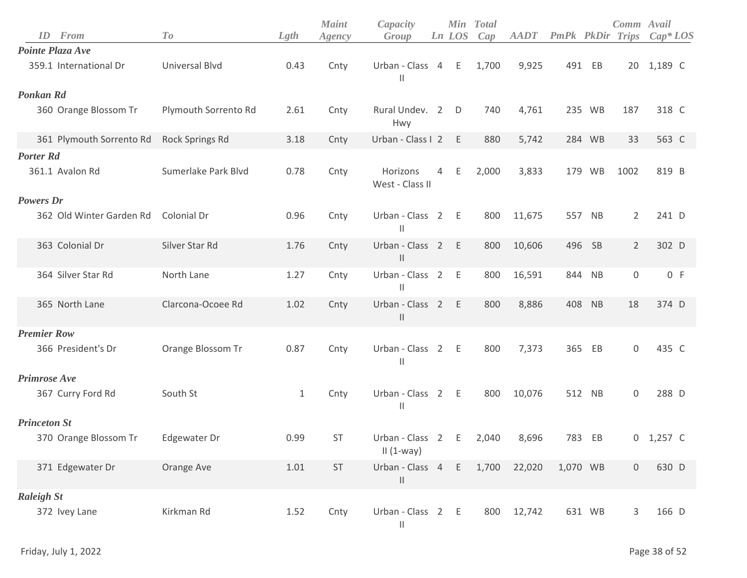|                     | <b>ID</b> From           | To                    | Lgth         | <b>Maint</b><br>Agency | Capacity<br>Group                  |   | Ln LOS | Min Total<br>Cap | <b>AADT</b> | <b>PmPk</b> PkDir |        | Comm Avail<br>Trips | $Cap^*LOS$  |
|---------------------|--------------------------|-----------------------|--------------|------------------------|------------------------------------|---|--------|------------------|-------------|-------------------|--------|---------------------|-------------|
|                     | Pointe Plaza Ave         |                       |              |                        |                                    |   |        |                  |             |                   |        |                     |             |
|                     | 359.1 International Dr   | <b>Universal Blvd</b> | 0.43         | Cnty                   | Urban - Class 4<br>$\mathbf{H}$    |   | E      | 1,700            | 9,925       |                   | 491 EB |                     | 20 1,189 C  |
| <b>Ponkan Rd</b>    |                          |                       |              |                        |                                    |   |        |                  |             |                   |        |                     |             |
|                     | 360 Orange Blossom Tr    | Plymouth Sorrento Rd  | 2.61         | Cnty                   | Rural Undev. 2<br>Hwy              |   | D      | 740              | 4,761       |                   | 235 WB | 187                 | 318 C       |
|                     | 361 Plymouth Sorrento Rd | Rock Springs Rd       | 3.18         | Cnty                   | Urban - Class I 2                  |   | E      | 880              | 5,742       |                   | 284 WB | 33                  | 563 C       |
| <b>Porter Rd</b>    |                          |                       |              |                        |                                    |   |        |                  |             |                   |        |                     |             |
|                     | 361.1 Avalon Rd          | Sumerlake Park Blvd   | 0.78         | Cnty                   | Horizons<br>West - Class II        | 4 | Ε      | 2,000            | 3,833       |                   | 179 WB | 1002                | 819 B       |
| <b>Powers</b> Dr    |                          |                       |              |                        |                                    |   |        |                  |             |                   |        |                     |             |
|                     | 362 Old Winter Garden Rd | Colonial Dr           | 0.96         | Cnty                   | Urban - Class 2<br>$\mathbf{H}$    |   | E      | 800              | 11,675      | 557               | NB     | $\overline{2}$      | 241 D       |
|                     | 363 Colonial Dr          | Silver Star Rd        | 1.76         | Cnty                   | Urban - Class 2<br>$\mathbf{H}$    |   | E      | 800              | 10,606      |                   | 496 SB | $\overline{2}$      | 302 D       |
|                     | 364 Silver Star Rd       | North Lane            | 1.27         | Cnty                   | Urban - Class 2<br>Ш               |   | E      | 800              | 16,591      |                   | 844 NB | 0                   | 0 F         |
|                     | 365 North Lane           | Clarcona-Ocoee Rd     | 1.02         | Cnty                   | Urban - Class 2<br>$\mathbf{H}$    |   | E      | 800              | 8,886       |                   | 408 NB | 18                  | 374 D       |
| <b>Premier Row</b>  |                          |                       |              |                        |                                    |   |        |                  |             |                   |        |                     |             |
|                     | 366 President's Dr       | Orange Blossom Tr     | 0.87         | Cnty                   | Urban - Class 2 E<br>$\mathbf{H}$  |   |        | 800              | 7,373       | 365               | EB     | $\mathbf 0$         | 435 C       |
| <b>Primrose Ave</b> |                          |                       |              |                        |                                    |   |        |                  |             |                   |        |                     |             |
|                     | 367 Curry Ford Rd        | South St              | $\mathbf{1}$ | Cnty                   | Urban - Class 2 E<br>$\mathbf{H}$  |   |        | 800              | 10,076      |                   | 512 NB | $\mathbf 0$         | 288 D       |
| <b>Princeton St</b> |                          |                       |              |                        |                                    |   |        |                  |             |                   |        |                     |             |
|                     | 370 Orange Blossom Tr    | Edgewater Dr          | 0.99         | <b>ST</b>              | Urban - Class 2<br>$II(1-way)$     |   | E      | 2,040            | 8,696       | 783               | EB     |                     | $0$ 1,257 C |
|                     | 371 Edgewater Dr         | Orange Ave            | 1.01         | ST                     | Urban - Class 4 E<br>$\mathbf{  }$ |   |        | 1,700            | 22,020      | 1,070 WB          |        | $\mathbf 0$         | 630 D       |
| <b>Raleigh St</b>   |                          |                       |              |                        |                                    |   |        |                  |             |                   |        |                     |             |
|                     | 372 Ivey Lane            | Kirkman Rd            | 1.52         | Cnty                   | Urban - Class 2 E<br>$\mid \mid$   |   |        | 800              | 12,742      |                   | 631 WB | 3                   | 166 D       |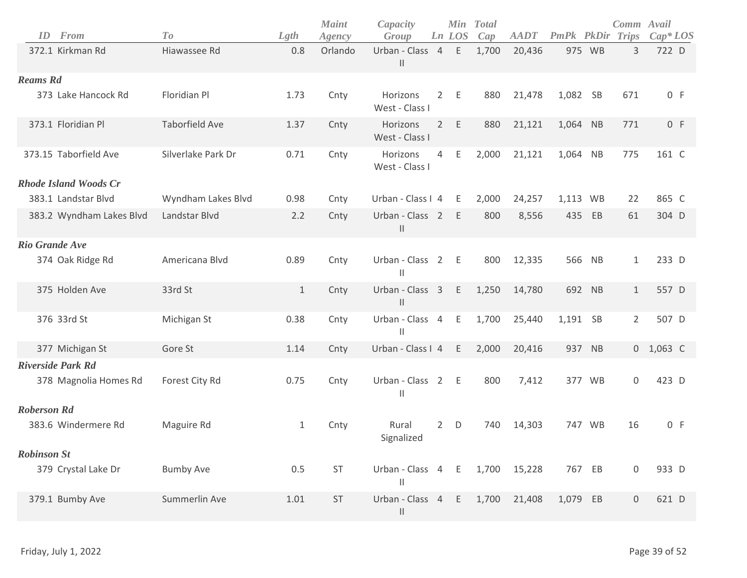| ID<br>From                   | To                    | Lgth  | <b>Maint</b><br>Agency | Capacity<br>Group                  |                | <b>Min</b><br>Ln LOS | <b>Total</b><br>Cap | <b>AADT</b> | <b>PmPk PkDir Trips</b> |           | Comm Avail          | $Cap^*LOS$  |
|------------------------------|-----------------------|-------|------------------------|------------------------------------|----------------|----------------------|---------------------|-------------|-------------------------|-----------|---------------------|-------------|
| 372.1 Kirkman Rd             | Hiawassee Rd          | 0.8   | Orlando                | Urban - Class 4 E<br>$\mathbf{  }$ |                |                      | 1,700               | 20,436      |                         | 975 WB    | 3                   | 722 D       |
| <b>Reams Rd</b>              |                       |       |                        |                                    |                |                      |                     |             |                         |           |                     |             |
| 373 Lake Hancock Rd          | Floridian Pl          | 1.73  | Cnty                   | Horizons<br>West - Class I         | $2^{\circ}$    | E                    | 880                 | 21,478      | 1,082 SB                |           | 671                 | 0 F         |
| 373.1 Floridian Pl           | <b>Taborfield Ave</b> | 1.37  | Cnty                   | Horizons<br>West - Class I         | $2^{\circ}$    | E                    | 880                 | 21,121      | 1,064 NB                |           | 771                 | 0 F         |
| 373.15 Taborfield Ave        | Silverlake Park Dr    | 0.71  | Cnty                   | Horizons<br>West - Class I         | $\overline{4}$ | E                    | 2,000               | 21,121      | 1,064 NB                |           | 775                 | 161 C       |
| <b>Rhode Island Woods Cr</b> |                       |       |                        |                                    |                |                      |                     |             |                         |           |                     |             |
| 383.1 Landstar Blvd          | Wyndham Lakes Blvd    | 0.98  | Cnty                   | Urban - Class I 4                  |                | E                    | 2,000               | 24,257      | 1,113 WB                |           | 22                  | 865 C       |
| 383.2 Wyndham Lakes Blvd     | Landstar Blvd         | 2.2   | Cnty                   | Urban - Class 2<br>$\mathbf{  }$   |                | E                    | 800                 | 8,556       | 435                     | EB        | 61                  | 304 D       |
| <b>Rio Grande Ave</b>        |                       |       |                        |                                    |                |                      |                     |             |                         |           |                     |             |
| 374 Oak Ridge Rd             | Americana Blvd        | 0.89  | Cnty                   | Urban - Class 2<br>$\mathbf{H}$    |                | $-E$                 | 800                 | 12,335      | 566                     | NB        | $\mathbf{1}$        | 233 D       |
| 375 Holden Ave               | 33rd St               | $1\,$ | Cnty                   | Urban - Class 3<br>$\mid \mid$     |                | E                    | 1,250               | 14,780      | 692 NB                  |           | $\mathbf{1}$        | 557 D       |
| 376 33rd St                  | Michigan St           | 0.38  | Cnty                   | Urban - Class 4<br>$\mathbf{H}$    |                | E                    | 1,700               | 25,440      | 1,191 SB                |           | $\overline{2}$      | 507 D       |
| 377 Michigan St              | Gore St               | 1.14  | Cnty                   | Urban - Class I 4                  |                | E                    | 2,000               | 20,416      | 937 NB                  |           |                     | $0$ 1,063 C |
| <b>Riverside Park Rd</b>     |                       |       |                        |                                    |                |                      |                     |             |                         |           |                     |             |
| 378 Magnolia Homes Rd        | Forest City Rd        | 0.75  | Cnty                   | Urban - Class 2 E<br>Ш             |                |                      | 800                 | 7,412       |                         | 377 WB    | $\boldsymbol{0}$    | 423 D       |
| <b>Roberson Rd</b>           |                       |       |                        |                                    |                |                      |                     |             |                         |           |                     |             |
| 383.6 Windermere Rd          | Maguire Rd            | 1     | Cnty                   | Rural<br>Signalized                | $2^{\circ}$    | D                    | 740                 | 14,303      | 747                     | <b>WB</b> | 16                  | 0 F         |
| <b>Robinson St</b>           |                       |       |                        |                                    |                |                      |                     |             |                         |           |                     |             |
| 379 Crystal Lake Dr          | <b>Bumby Ave</b>      | 0.5   | ST                     | Urban - Class 4 E<br>Ш             |                |                      | 1,700               | 15,228      | 767 EB                  |           | $\mathsf{O}\xspace$ | 933 D       |
| 379.1 Bumby Ave              | Summerlin Ave         | 1.01  | ST                     | Urban - Class 4<br>$\vert \vert$   |                | E                    | 1,700               | 21,408      | 1,079 EB                |           | $\boldsymbol{0}$    | 621 D       |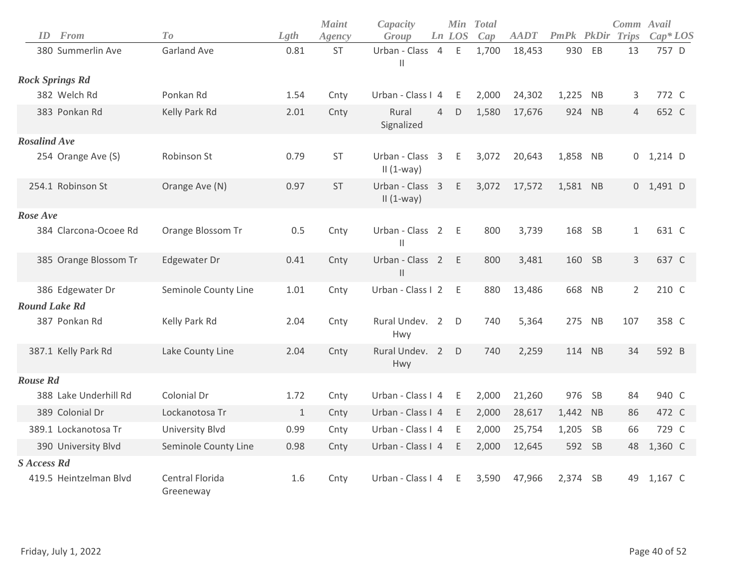| ID<br><b>From</b>      | To                           | Lgth         | <b>Maint</b> | Capacity<br>Group                             |                | <b>Min</b><br>Ln LOS | <b>Total</b><br>Cap | <b>AADT</b> | PmPk PkDir |           | Comm Avail<br>Trips | $Cap^*LOS$  |
|------------------------|------------------------------|--------------|--------------|-----------------------------------------------|----------------|----------------------|---------------------|-------------|------------|-----------|---------------------|-------------|
| 380 Summerlin Ave      | <b>Garland Ave</b>           | 0.81         | Agency<br>ST | Urban - Class<br>$\vert\vert$                 | $\overline{4}$ | Ε                    | 1,700               | 18,453      | 930        | EB        | 13                  | 757 D       |
| <b>Rock Springs Rd</b> |                              |              |              |                                               |                |                      |                     |             |            |           |                     |             |
| 382 Welch Rd           | Ponkan Rd                    | 1.54         | Cnty         | Urban - Class I 4                             |                | E                    | 2,000               | 24,302      | 1,225      | NB        | 3                   | 772 C       |
| 383 Ponkan Rd          | Kelly Park Rd                | 2.01         | Cnty         | Rural<br>Signalized                           | $\overline{4}$ | D                    | 1,580               | 17,676      | 924        | <b>NB</b> | 4                   | 652 C       |
| <b>Rosalind Ave</b>    |                              |              |              |                                               |                |                      |                     |             |            |           |                     |             |
| 254 Orange Ave (S)     | Robinson St                  | 0.79         | <b>ST</b>    | Urban - Class 3<br>$II(1-way)$                |                | Ε                    | 3,072               | 20,643      | 1,858 NB   |           |                     | $0$ 1,214 D |
| 254.1 Robinson St      | Orange Ave (N)               | 0.97         | <b>ST</b>    | Urban - Class 3<br>$II(1-way)$                |                | Ε                    | 3,072               | 17,572      | 1,581 NB   |           |                     | $0$ 1,491 D |
| Rose Ave               |                              |              |              |                                               |                |                      |                     |             |            |           |                     |             |
| 384 Clarcona-Ocoee Rd  | Orange Blossom Tr            | 0.5          | Cnty         | Urban - Class 2<br>$\mathbf{H}$               |                | E                    | 800                 | 3,739       | 168        | <b>SB</b> | $\mathbf{1}$        | 631 C       |
| 385 Orange Blossom Tr  | Edgewater Dr                 | 0.41         | Cnty         | Urban - Class 2<br>$\ensuremath{\mathsf{II}}$ |                | E                    | 800                 | 3,481       | 160        | SB        | 3                   | 637 C       |
| 386 Edgewater Dr       | Seminole County Line         | 1.01         | Cnty         | Urban - Class I 2                             |                | Ε                    | 880                 | 13,486      |            | 668 NB    | $\overline{2}$      | 210 C       |
| <b>Round Lake Rd</b>   |                              |              |              |                                               |                |                      |                     |             |            |           |                     |             |
| 387 Ponkan Rd          | Kelly Park Rd                | 2.04         | Cnty         | Rural Undev. 2<br>Hwy                         |                | D                    | 740                 | 5,364       |            | 275 NB    | 107                 | 358 C       |
| 387.1 Kelly Park Rd    | Lake County Line             | 2.04         | Cnty         | Rural Undev. 2<br>Hwy                         |                | D                    | 740                 | 2,259       |            | 114 NB    | 34                  | 592 B       |
| <b>Rouse Rd</b>        |                              |              |              |                                               |                |                      |                     |             |            |           |                     |             |
| 388 Lake Underhill Rd  | Colonial Dr                  | 1.72         | Cnty         | Urban - Class I 4                             |                | E                    | 2,000               | 21,260      | 976        | <b>SB</b> | 84                  | 940 C       |
| 389 Colonial Dr        | Lockanotosa Tr               | $\mathbf{1}$ | Cnty         | Urban - Class I 4                             |                | E                    | 2,000               | 28,617      | 1,442      | <b>NB</b> | 86                  | 472 C       |
| 389.1 Lockanotosa Tr   | <b>University Blvd</b>       | 0.99         | Cnty         | Urban - Class I 4                             |                | E                    | 2,000               | 25,754      | 1,205      | <b>SB</b> | 66                  | 729 C       |
| 390 University Blvd    | Seminole County Line         | 0.98         | Cnty         | Urban - Class I 4                             |                | Ε                    | 2,000               | 12,645      |            | 592 SB    | 48                  | 1,360 C     |
| <b>S</b> Access Rd     |                              |              |              |                                               |                |                      |                     |             |            |           |                     |             |
| 419.5 Heintzelman Blvd | Central Florida<br>Greeneway | 1.6          | Cnty         | Urban - Class I 4                             |                | E.                   | 3,590               | 47,966      | 2,374      | <b>SB</b> | 49                  | 1,167 C     |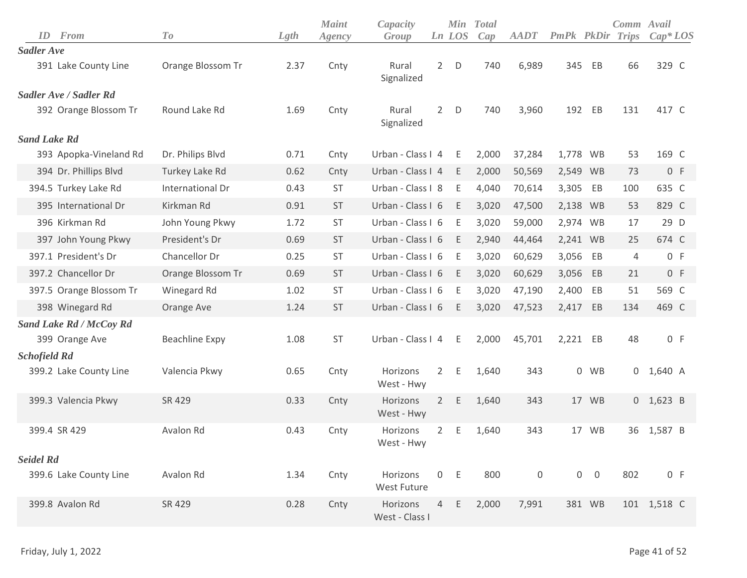| From<br>ID                     | To                | Lgth | <b>Maint</b><br>Agency | Capacity<br>Group          |                | Ln LOS      | Min Total<br>Cap | <b>AADT</b> | PmPk PkDir Trips |            | Comm Avail     | $Cap^*LOS$  |
|--------------------------------|-------------------|------|------------------------|----------------------------|----------------|-------------|------------------|-------------|------------------|------------|----------------|-------------|
| <b>Sadler Ave</b>              |                   |      |                        |                            |                |             |                  |             |                  |            |                |             |
| 391 Lake County Line           | Orange Blossom Tr | 2.37 | Cnty                   | Rural<br>Signalized        | $2^{\circ}$    | $\mathsf D$ | 740              | 6,989       | 345              | EB         | 66             | 329 C       |
| Sadler Ave / Sadler Rd         |                   |      |                        |                            |                |             |                  |             |                  |            |                |             |
| 392 Orange Blossom Tr          | Round Lake Rd     | 1.69 | Cnty                   | Rural<br>Signalized        | $2^{\circ}$    | D           | 740              | 3,960       |                  | 192 EB     | 131            | 417 C       |
| <b>Sand Lake Rd</b>            |                   |      |                        |                            |                |             |                  |             |                  |            |                |             |
| 393 Apopka-Vineland Rd         | Dr. Philips Blvd  | 0.71 | Cnty                   | Urban - Class I 4          |                | E           | 2,000            | 37,284      | 1,778 WB         |            | 53             | 169 C       |
| 394 Dr. Phillips Blvd          | Turkey Lake Rd    | 0.62 | Cnty                   | Urban - Class I 4          |                | E           | 2,000            | 50,569      | 2,549 WB         |            | 73             | 0 F         |
| 394.5 Turkey Lake Rd           | International Dr  | 0.43 | ST                     | Urban - Class I 8          |                | E           | 4,040            | 70,614      | 3,305            | EB         | 100            | 635 C       |
| 395 International Dr           | Kirkman Rd        | 0.91 | <b>ST</b>              | Urban - Class I 6          |                | E           | 3,020            | 47,500      | 2,138 WB         |            | 53             | 829 C       |
| 396 Kirkman Rd                 | John Young Pkwy   | 1.72 | ST                     | Urban - Class I 6          |                | Ε           | 3,020            | 59,000      | 2,974 WB         |            | 17             | 29 D        |
| 397 John Young Pkwy            | President's Dr    | 0.69 | <b>ST</b>              | Urban - Class I 6          |                | E           | 2,940            | 44,464      | 2,241 WB         |            | 25             | 674 C       |
| 397.1 President's Dr           | Chancellor Dr     | 0.25 | <b>ST</b>              | Urban - Class I 6          |                | E           | 3,020            | 60,629      | 3,056            | EB         | $\overline{4}$ | 0 F         |
| 397.2 Chancellor Dr            | Orange Blossom Tr | 0.69 | <b>ST</b>              | Urban - Class I 6          |                | E           | 3,020            | 60,629      | 3,056            | EB         | 21             | 0 F         |
| 397.5 Orange Blossom Tr        | Winegard Rd       | 1.02 | <b>ST</b>              | Urban - Class I 6          |                | Ε           | 3,020            | 47,190      | 2,400            | EB         | 51             | 569 C       |
| 398 Winegard Rd                | Orange Ave        | 1.24 | <b>ST</b>              | Urban - Class I 6          |                | E           | 3,020            | 47,523      | 2,417 EB         |            | 134            | 469 C       |
| <b>Sand Lake Rd / McCoy Rd</b> |                   |      |                        |                            |                |             |                  |             |                  |            |                |             |
| 399 Orange Ave                 | Beachline Expy    | 1.08 | <b>ST</b>              | Urban - Class I 4          |                | E           | 2,000            | 45,701      | 2,221 EB         |            | 48             | 0 F         |
| <b>Schofield Rd</b>            |                   |      |                        |                            |                |             |                  |             |                  |            |                |             |
| 399.2 Lake County Line         | Valencia Pkwy     | 0.65 | Cnty                   | Horizons<br>West - Hwy     | $2^{\circ}$    | E.          | 1,640            | 343         |                  | 0 WB       | 0              | 1,640 A     |
| 399.3 Valencia Pkwy            | SR 429            | 0.33 | Cnty                   | Horizons<br>West - Hwy     | $\overline{2}$ | E.          | 1,640            | 343         |                  | 17 WB      |                | $0$ 1,623 B |
| 399.4 SR 429                   | Avalon Rd         | 0.43 | Cnty                   | Horizons<br>West - Hwy     | $\mathbf{2}$   | Ε           | 1,640            | 343         |                  | 17 WB      | 36             | 1,587 B     |
| <b>Seidel Rd</b>               |                   |      |                        |                            |                |             |                  |             |                  |            |                |             |
| 399.6 Lake County Line         | Avalon Rd         | 1.34 | Cnty                   | Horizons<br>West Future    |                | 0 E         | 800              | 0           |                  | $0\quad 0$ | 802            | 0 F         |
| 399.8 Avalon Rd                | SR 429            | 0.28 | Cnty                   | Horizons<br>West - Class I | $\overline{4}$ | Ε           | 2,000            | 7,991       |                  | 381 WB     |                | 101 1,518 C |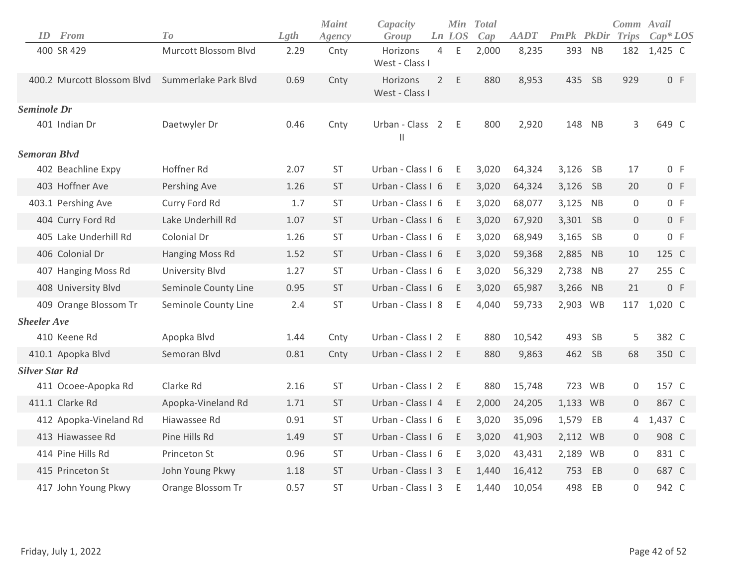| ID                    | From                       | To                     | Lgth | <b>Maint</b><br>Agency | Capacity<br>Group                |                | Min<br>Ln LOS | <b>Total</b><br>Cap | <b>AADT</b> | PmPk PkDir |           | Comm Avail<br>Trips | $Cap^*LOS$ |
|-----------------------|----------------------------|------------------------|------|------------------------|----------------------------------|----------------|---------------|---------------------|-------------|------------|-----------|---------------------|------------|
|                       | 400 SR 429                 | Murcott Blossom Blvd   | 2.29 | Cnty                   | Horizons<br>West - Class I       | 4              | E             | 2,000               | 8,235       | 393        | <b>NB</b> | 182                 | 1,425 C    |
|                       | 400.2 Murcott Blossom Blvd | Summerlake Park Blvd   | 0.69 | Cnty                   | Horizons<br>West - Class I       | $\overline{2}$ | $\mathsf E$   | 880                 | 8,953       | 435        | SB        | 929                 | 0 F        |
| <b>Seminole Dr</b>    |                            |                        |      |                        |                                  |                |               |                     |             |            |           |                     |            |
|                       | 401 Indian Dr              | Daetwyler Dr           | 0.46 | Cnty                   | Urban - Class 2<br>$\mathsf{II}$ |                | E             | 800                 | 2,920       | 148        | <b>NB</b> | 3                   | 649 C      |
| <b>Semoran Blvd</b>   |                            |                        |      |                        |                                  |                |               |                     |             |            |           |                     |            |
|                       | 402 Beachline Expy         | Hoffner Rd             | 2.07 | <b>ST</b>              | Urban - Class I 6                |                | E             | 3,020               | 64,324      | 3,126      | <b>SB</b> | 17                  | 0 F        |
|                       | 403 Hoffner Ave            | Pershing Ave           | 1.26 | ST                     | Urban - Class I 6                |                | E             | 3,020               | 64,324      | 3,126 SB   |           | 20                  | 0 F        |
|                       | 403.1 Pershing Ave         | Curry Ford Rd          | 1.7  | <b>ST</b>              | Urban - Class I 6                |                | E             | 3,020               | 68,077      | 3,125      | <b>NB</b> | 0                   | 0 F        |
|                       | 404 Curry Ford Rd          | Lake Underhill Rd      | 1.07 | ST                     | Urban - Class I 6                |                | E             | 3,020               | 67,920      | 3,301      | SB        | $\mathbf 0$         | 0 F        |
|                       | 405 Lake Underhill Rd      | Colonial Dr            | 1.26 | ST                     | Urban - Class I 6                |                | Ε             | 3,020               | 68,949      | 3,165      | SB        | 0                   | 0 F        |
|                       | 406 Colonial Dr            | Hanging Moss Rd        | 1.52 | <b>ST</b>              | Urban - Class I 6                |                | E             | 3,020               | 59,368      | 2,885      | <b>NB</b> | 10                  | 125 C      |
|                       | 407 Hanging Moss Rd        | <b>University Blvd</b> | 1.27 | <b>ST</b>              | Urban - Class I 6                |                | E             | 3,020               | 56,329      | 2,738      | <b>NB</b> | 27                  | 255 C      |
|                       | 408 University Blvd        | Seminole County Line   | 0.95 | <b>ST</b>              | Urban - Class I 6                |                | E             | 3,020               | 65,987      | 3,266      | NB        | 21                  | 0 F        |
|                       | 409 Orange Blossom Tr      | Seminole County Line   | 2.4  | <b>ST</b>              | Urban - Class I 8                |                | Ε             | 4,040               | 59,733      | 2,903 WB   |           | 117                 | 1,020 C    |
| <b>Sheeler Ave</b>    |                            |                        |      |                        |                                  |                |               |                     |             |            |           |                     |            |
|                       | 410 Keene Rd               | Apopka Blvd            | 1.44 | Cnty                   | Urban - Class I 2                |                | E.            | 880                 | 10,542      | 493        | SB        | 5                   | 382 C      |
|                       | 410.1 Apopka Blvd          | Semoran Blvd           | 0.81 | Cnty                   | Urban - Class I 2                |                | E             | 880                 | 9,863       | 462        | SB        | 68                  | 350 C      |
| <b>Silver Star Rd</b> |                            |                        |      |                        |                                  |                |               |                     |             |            |           |                     |            |
|                       | 411 Ocoee-Apopka Rd        | Clarke Rd              | 2.16 | <b>ST</b>              | Urban - Class I 2                |                | E             | 880                 | 15,748      |            | 723 WB    | 0                   | 157 C      |
|                       | 411.1 Clarke Rd            | Apopka-Vineland Rd     | 1.71 | <b>ST</b>              | Urban - Class I 4                |                | E             | 2,000               | 24,205      | 1,133 WB   |           | 0                   | 867 C      |
|                       | 412 Apopka-Vineland Rd     | Hiawassee Rd           | 0.91 | <b>ST</b>              | Urban - Class I 6                |                | E             | 3,020               | 35,096      | 1,579      | EB        | 4                   | 1,437 C    |
|                       | 413 Hiawassee Rd           | Pine Hills Rd          | 1.49 | <b>ST</b>              | Urban - Class I 6                |                | E             | 3,020               | 41,903      | 2,112 WB   |           | 0                   | 908 C      |
|                       | 414 Pine Hills Rd          | Princeton St           | 0.96 | <b>ST</b>              | Urban - Class I 6                |                | E             | 3,020               | 43,431      | 2,189 WB   |           | 0                   | 831 C      |
|                       | 415 Princeton St           | John Young Pkwy        | 1.18 | <b>ST</b>              | Urban - Class I 3                |                | E             | 1,440               | 16,412      | 753        | EB        | $\mathbf 0$         | 687 C      |
|                       | 417 John Young Pkwy        | Orange Blossom Tr      | 0.57 | <b>ST</b>              | Urban - Class I 3                |                | Ε             | 1,440               | 10,054      | 498        | EB        | $\mathbf 0$         | 942 C      |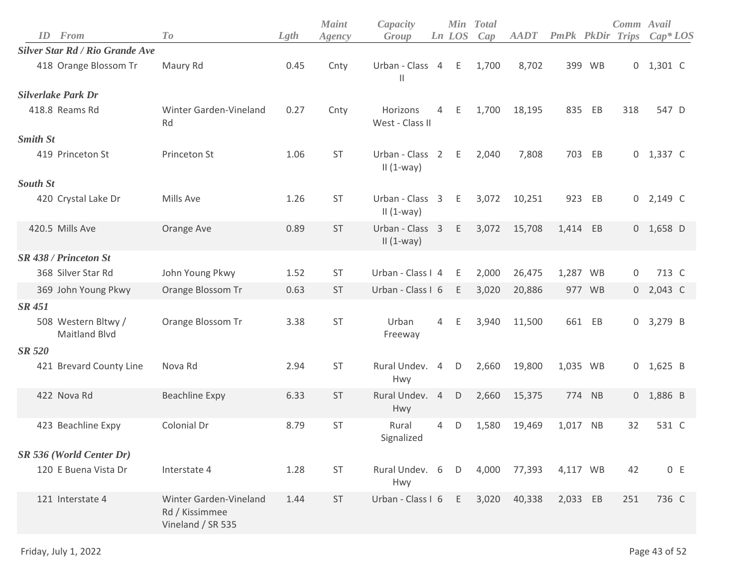| ID              | From                                        | To                                                            | Lgth | <b>Maint</b><br>Agency | Capacity<br>Group                  |                | Ln LOS | Min Total<br>Cap | <b>AADT</b> | <b>PmPk PkDir Trips</b> |           | Comm Avail       | $Cap^*LOS$  |
|-----------------|---------------------------------------------|---------------------------------------------------------------|------|------------------------|------------------------------------|----------------|--------|------------------|-------------|-------------------------|-----------|------------------|-------------|
|                 | <b>Silver Star Rd / Rio Grande Ave</b>      |                                                               |      |                        |                                    |                |        |                  |             |                         |           |                  |             |
|                 | 418 Orange Blossom Tr                       | Maury Rd                                                      | 0.45 | Cnty                   | Urban - Class 4 E<br>$\mathbf{  }$ |                |        | 1,700            | 8,702       | 399                     | <b>WB</b> |                  | $0$ 1,301 C |
|                 | <b>Silverlake Park Dr</b>                   |                                                               |      |                        |                                    |                |        |                  |             |                         |           |                  |             |
|                 | 418.8 Reams Rd                              | Winter Garden-Vineland<br>Rd                                  | 0.27 | Cnty                   | Horizons<br>West - Class II        | $\overline{4}$ | E      | 1,700            | 18,195      | 835                     | EB        | 318              | 547 D       |
| <b>Smith St</b> |                                             |                                                               |      |                        |                                    |                |        |                  |             |                         |           |                  |             |
|                 | 419 Princeton St                            | Princeton St                                                  | 1.06 | <b>ST</b>              | Urban - Class 2<br>$II(1-way)$     |                | E      | 2,040            | 7,808       | 703                     | EB        |                  | $0$ 1,337 C |
| <b>South St</b> |                                             |                                                               |      |                        |                                    |                |        |                  |             |                         |           |                  |             |
|                 | 420 Crystal Lake Dr                         | Mills Ave                                                     | 1.26 | <b>ST</b>              | Urban - Class 3<br>$II(1-way)$     |                | E      | 3,072            | 10,251      | 923                     | EB        |                  | $0$ 2,149 C |
|                 | 420.5 Mills Ave                             | Orange Ave                                                    | 0.89 | <b>ST</b>              | Urban - Class 3<br>$II(1-way)$     |                | E      | 3,072            | 15,708      | 1,414 EB                |           |                  | $0$ 1,658 D |
|                 | <b>SR 438 / Princeton St</b>                |                                                               |      |                        |                                    |                |        |                  |             |                         |           |                  |             |
|                 | 368 Silver Star Rd                          | John Young Pkwy                                               | 1.52 | <b>ST</b>              | Urban - Class I 4                  |                | E      | 2,000            | 26,475      |                         | 1,287 WB  | $\boldsymbol{0}$ | 713 C       |
|                 | 369 John Young Pkwy                         | Orange Blossom Tr                                             | 0.63 | <b>ST</b>              | Urban - Class I 6                  |                | E      | 3,020            | 20,886      |                         | 977 WB    | 0                | 2,043 C     |
| <b>SR 451</b>   |                                             |                                                               |      |                        |                                    |                |        |                  |             |                         |           |                  |             |
|                 | 508 Western Bltwy /<br><b>Maitland Blvd</b> | Orange Blossom Tr                                             | 3.38 | ST                     | Urban<br>Freeway                   | $\overline{4}$ | E      | 3,940            | 11,500      |                         | 661 EB    |                  | $0$ 3,279 B |
| <b>SR 520</b>   |                                             |                                                               |      |                        |                                    |                |        |                  |             |                         |           |                  |             |
|                 | 421 Brevard County Line                     | Nova Rd                                                       | 2.94 | <b>ST</b>              | Rural Undev. 4<br>Hwy              |                | D      | 2,660            | 19,800      | 1,035 WB                |           |                  | $0$ 1,625 B |
|                 | 422 Nova Rd                                 | <b>Beachline Expy</b>                                         | 6.33 | <b>ST</b>              | Rural Undev. 4<br>Hwy              |                | D      | 2,660            | 15,375      |                         | 774 NB    |                  | $0$ 1,886 B |
|                 | 423 Beachline Expy                          | Colonial Dr                                                   | 8.79 | <b>ST</b>              | Rural<br>Signalized                | $\overline{4}$ | D      | 1,580            | 19,469      | 1,017                   | <b>NB</b> | 32               | 531 C       |
|                 | SR 536 (World Center Dr)                    |                                                               |      |                        |                                    |                |        |                  |             |                         |           |                  |             |
|                 | 120 E Buena Vista Dr                        | Interstate 4                                                  | 1.28 | ST                     | Rural Undev. 6<br>Hwy              |                | D      | 4,000            | 77,393      | 4,117 WB                |           | 42               | 0 E         |
|                 | 121 Interstate 4                            | Winter Garden-Vineland<br>Rd / Kissimmee<br>Vineland / SR 535 | 1.44 | ST                     | Urban - Class I 6                  |                | E      | 3,020            | 40,338      | 2,033 EB                |           | 251              | 736 C       |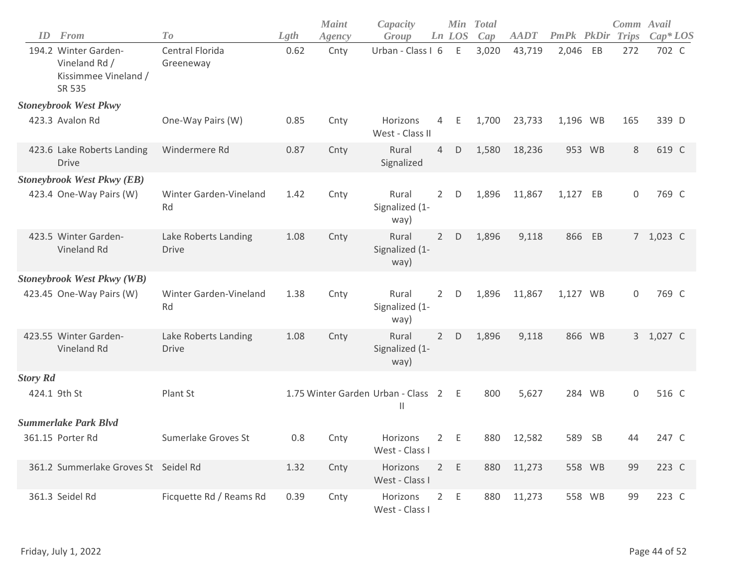| ID              | From                                                                    | To                                   | Lgth | <b>Maint</b><br>Agency | Capacity<br>Group                                  |                | Ln LOS      | Min Total<br>Cap | <b>AADT</b> | PmPk PkDir |           | Comm Avail<br><b>Trips</b> | $Cap*LOS$ |
|-----------------|-------------------------------------------------------------------------|--------------------------------------|------|------------------------|----------------------------------------------------|----------------|-------------|------------------|-------------|------------|-----------|----------------------------|-----------|
|                 | 194.2 Winter Garden-<br>Vineland Rd /<br>Kissimmee Vineland /<br>SR 535 | Central Florida<br>Greeneway         | 0.62 | Cnty                   | Urban - Class I 6                                  |                | $\mathsf E$ | 3,020            | 43,719      | 2,046      | EB        | 272                        | 702 C     |
|                 | <b>Stoneybrook West Pkwy</b>                                            |                                      |      |                        |                                                    |                |             |                  |             |            |           |                            |           |
|                 | 423.3 Avalon Rd                                                         | One-Way Pairs (W)                    | 0.85 | Cnty                   | Horizons<br>West - Class II                        | 4              | Ε           | 1,700            | 23,733      | 1,196 WB   |           | 165                        | 339 D     |
|                 | 423.6 Lake Roberts Landing<br><b>Drive</b>                              | Windermere Rd                        | 0.87 | Cnty                   | Rural<br>Signalized                                | 4              | D           | 1,580            | 18,236      |            | 953 WB    | 8                          | 619 C     |
|                 | <b>Stoneybrook West Pkwy (EB)</b>                                       |                                      |      |                        |                                                    |                |             |                  |             |            |           |                            |           |
|                 | 423.4 One-Way Pairs (W)                                                 | <b>Winter Garden-Vineland</b><br>Rd  | 1.42 | Cnty                   | Rural<br>Signalized (1-<br>way)                    | $2^{\circ}$    | D           | 1,896            | 11,867      | 1,127 EB   |           | $\mathbf 0$                | 769 C     |
|                 | 423.5 Winter Garden-<br>Vineland Rd                                     | Lake Roberts Landing<br><b>Drive</b> | 1.08 | Cnty                   | Rural<br>Signalized (1-<br>way)                    | $\overline{2}$ | D           | 1,896            | 9,118       | 866        | EB        |                            | 7 1,023 C |
|                 | <b>Stoneybrook West Pkwy (WB)</b>                                       |                                      |      |                        |                                                    |                |             |                  |             |            |           |                            |           |
|                 | 423.45 One-Way Pairs (W)                                                | Winter Garden-Vineland<br>Rd         | 1.38 | Cnty                   | Rural<br>Signalized (1-<br>way)                    | $\overline{2}$ | $\mathsf D$ | 1,896            | 11,867      | 1,127 WB   |           | 0                          | 769 C     |
|                 | 423.55 Winter Garden-<br>Vineland Rd                                    | Lake Roberts Landing<br><b>Drive</b> | 1.08 | Cnty                   | Rural<br>Signalized (1-<br>way)                    | $2^{\circ}$    | D           | 1,896            | 9,118       |            | 866 WB    |                            | 3 1,027 C |
| <b>Story Rd</b> |                                                                         |                                      |      |                        |                                                    |                |             |                  |             |            |           |                            |           |
|                 | 424.1 9th St                                                            | Plant St                             |      |                        | 1.75 Winter Garden Urban - Class 2<br>$\mathbf{H}$ |                | Ε           | 800              | 5,627       |            | 284 WB    | $\mathbf 0$                | 516 C     |
|                 | <b>Summerlake Park Blvd</b>                                             |                                      |      |                        |                                                    |                |             |                  |             |            |           |                            |           |
|                 | 361.15 Porter Rd                                                        | Sumerlake Groves St                  | 0.8  | Cnty                   | Horizons<br>West - Class I                         | $2^{\circ}$    | E           | 880              | 12,582      | 589        | <b>SB</b> | 44                         | 247 C     |
|                 | 361.2 Summerlake Groves St Seidel Rd                                    |                                      | 1.32 | Cnty                   | Horizons<br>West - Class I                         | $2^{\circ}$    | $\mathsf E$ | 880              | 11,273      |            | 558 WB    | 99                         | 223 C     |
|                 | 361.3 Seidel Rd                                                         | Ficquette Rd / Reams Rd              | 0.39 | Cnty                   | Horizons<br>West - Class I                         | $2^{\circ}$    | E           | 880              | 11,273      |            | 558 WB    | 99                         | 223 C     |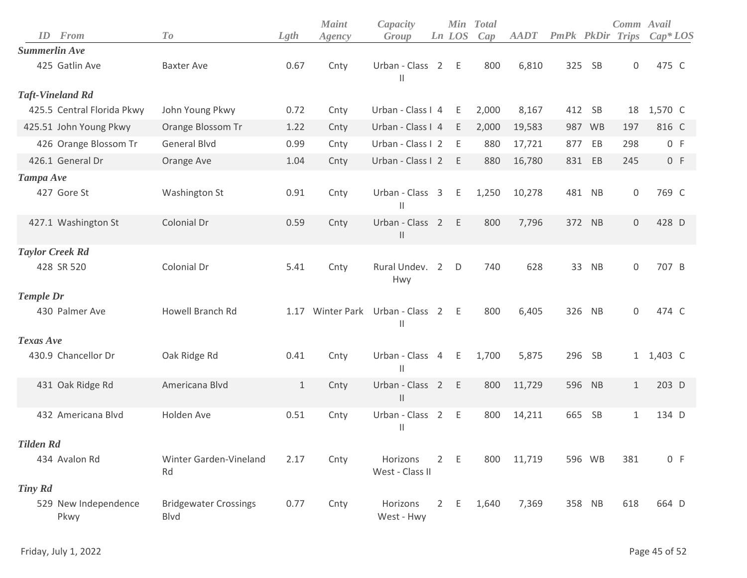|                        |                              |                                      |       | <b>Maint</b> | Capacity                                      |                |              | Min Total |             |                   |           | Comm Avail          |            |
|------------------------|------------------------------|--------------------------------------|-------|--------------|-----------------------------------------------|----------------|--------------|-----------|-------------|-------------------|-----------|---------------------|------------|
| ID                     | From                         | T o                                  | Lgth  | Agency       | Group                                         |                | Ln LOS       | Cap       | <b>AADT</b> | <b>PmPk</b> PkDir |           | <b>Trips</b>        | $Cap^*LOS$ |
| <b>Summerlin Ave</b>   |                              |                                      |       |              |                                               |                |              |           |             |                   |           |                     |            |
|                        | 425 Gatlin Ave               | <b>Baxter Ave</b>                    | 0.67  | Cnty         | Urban - Class 2<br>$\mathsf{I}$               |                | E            | 800       | 6,810       | 325               | <b>SB</b> | $\mathsf{O}\xspace$ | 475 C      |
|                        | <b>Taft-Vineland Rd</b>      |                                      |       |              |                                               |                |              |           |             |                   |           |                     |            |
|                        | 425.5 Central Florida Pkwy   | John Young Pkwy                      | 0.72  | Cnty         | Urban - Class I 4                             |                | E            | 2,000     | 8,167       |                   | 412 SB    | 18                  | 1,570 C    |
|                        | 425.51 John Young Pkwy       | Orange Blossom Tr                    | 1.22  | Cnty         | Urban - Class I 4                             |                | E            | 2,000     | 19,583      |                   | 987 WB    | 197                 | 816 C      |
|                        | 426 Orange Blossom Tr        | <b>General Blvd</b>                  | 0.99  | Cnty         | Urban - Class I 2                             |                | E            | 880       | 17,721      | 877               | EB        | 298                 | 0 F        |
|                        | 426.1 General Dr             | Orange Ave                           | 1.04  | Cnty         | Urban - Class I 2                             |                | $-E$         | 880       | 16,780      | 831               | EB        | 245                 | 0 F        |
| Tampa Ave              |                              |                                      |       |              |                                               |                |              |           |             |                   |           |                     |            |
|                        | 427 Gore St                  | Washington St                        | 0.91  | Cnty         | Urban - Class 3<br>$\mathbf{I}$               |                | E            | 1,250     | 10,278      |                   | 481 NB    | $\mathsf{O}\xspace$ | 769 C      |
|                        | 427.1 Washington St          | Colonial Dr                          | 0.59  | Cnty         | Urban - Class 2<br>$\vert$                    |                | E            | 800       | 7,796       |                   | 372 NB    | $\mathsf{O}\xspace$ | 428 D      |
| <b>Taylor Creek Rd</b> |                              |                                      |       |              |                                               |                |              |           |             |                   |           |                     |            |
|                        | 428 SR 520                   | Colonial Dr                          | 5.41  | Cnty         | Rural Undev. 2<br>Hwy                         |                | $\mathsf{D}$ | 740       | 628         | 33                | NB        | 0                   | 707 B      |
| <b>Temple Dr</b>       |                              |                                      |       |              |                                               |                |              |           |             |                   |           |                     |            |
|                        | 430 Palmer Ave               | Howell Branch Rd                     | 1.17  |              | Winter Park Urban - Class 2 E<br>$\mathsf{I}$ |                |              | 800       | 6,405       | 326               | NB        | $\mathsf{O}\xspace$ | 474 C      |
| Texas Ave              |                              |                                      |       |              |                                               |                |              |           |             |                   |           |                     |            |
|                        | 430.9 Chancellor Dr          | Oak Ridge Rd                         | 0.41  | Cnty         | Urban - Class 4<br>$\mathbf{  }$              |                | E            | 1,700     | 5,875       | 296               | <b>SB</b> |                     | 1 1,403 C  |
|                        | 431 Oak Ridge Rd             | Americana Blvd                       | $1\,$ | Cnty         | Urban - Class 2<br>$\mathsf{II}$              |                | E            | 800       | 11,729      | 596               | NB        | $\mathbf{1}$        | 203 D      |
|                        | 432 Americana Blvd           | Holden Ave                           | 0.51  | Cnty         | Urban - Class 2<br>$\mathbf{I}$               |                | E            | 800       | 14,211      | 665               | <b>SB</b> | 1                   | 134 D      |
| <b>Tilden Rd</b>       |                              |                                      |       |              |                                               |                |              |           |             |                   |           |                     |            |
|                        | 434 Avalon Rd                | Winter Garden-Vineland<br>Rd         | 2.17  | Cnty         | Horizons<br>West - Class II                   |                | 2 E          | 800       | 11,719      |                   | 596 WB    | 381                 | 0 F        |
| <b>Tiny Rd</b>         |                              |                                      |       |              |                                               |                |              |           |             |                   |           |                     |            |
|                        | 529 New Independence<br>Pkwy | <b>Bridgewater Crossings</b><br>Blvd | 0.77  | Cnty         | Horizons<br>West - Hwy                        | $\overline{2}$ | E            | 1,640     | 7,369       |                   | 358 NB    | 618                 | 664 D      |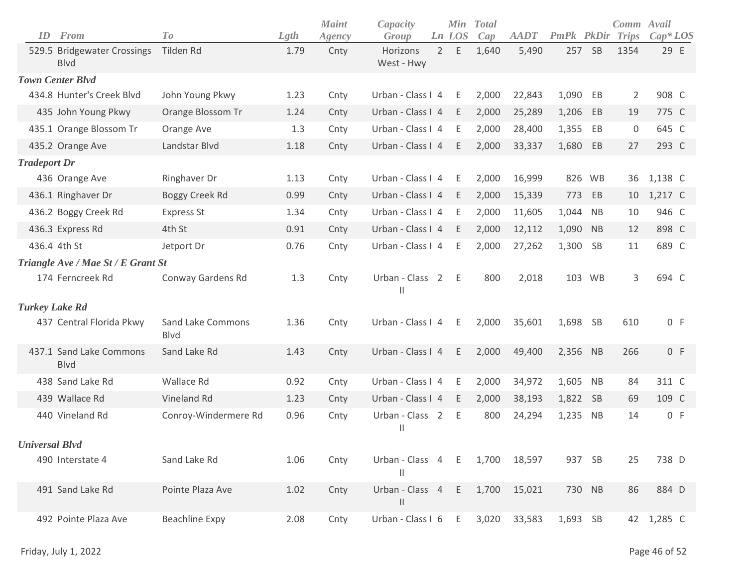| ID                    | <b>From</b>                            | To                               | Lgth | <b>Maint</b><br>Agency | Capacity<br>Group      |             | Min<br>Ln LOS | <b>Total</b><br>Cap | <b>AADT</b> | <b>PmPk</b> PkDir |           | Comm Avail<br>Trips | $Cap^*LOS$ |  |
|-----------------------|----------------------------------------|----------------------------------|------|------------------------|------------------------|-------------|---------------|---------------------|-------------|-------------------|-----------|---------------------|------------|--|
|                       | 529.5 Bridgewater Crossings<br>Blvd    | Tilden Rd                        | 1.79 | Cnty                   | Horizons<br>West - Hwy | $2^{\circ}$ | E             | 1,640               | 5,490       | 257 SB            |           | 1354                | 29 E       |  |
|                       | <b>Town Center Blvd</b>                |                                  |      |                        |                        |             |               |                     |             |                   |           |                     |            |  |
|                       | 434.8 Hunter's Creek Blvd              | John Young Pkwy                  | 1.23 | Cnty                   | Urban - Class I 4      |             | E             | 2,000               | 22,843      | 1,090 EB          |           | 2                   | 908 C      |  |
|                       | 435 John Young Pkwy                    | Orange Blossom Tr                | 1.24 | Cnty                   | Urban - Class I 4      |             | E             | 2,000               | 25,289      | 1,206             | EB        | 19                  | 775 C      |  |
|                       | 435.1 Orange Blossom Tr                | Orange Ave                       | 1.3  | Cnty                   | Urban - Class I 4      |             | E             | 2,000               | 28,400      | 1,355             | EB        | 0                   | 645 C      |  |
|                       | 435.2 Orange Ave                       | Landstar Blvd                    | 1.18 | Cnty                   | Urban - Class I 4      |             | E             | 2,000               | 33,337      | 1,680             | EB        | 27                  | 293 C      |  |
| <b>Tradeport Dr</b>   |                                        |                                  |      |                        |                        |             |               |                     |             |                   |           |                     |            |  |
|                       | 436 Orange Ave                         | Ringhaver Dr                     | 1.13 | Cnty                   | Urban - Class I 4      |             | - E           | 2,000               | 16,999      | 826 WB            |           | 36                  | 1,138 C    |  |
|                       | 436.1 Ringhaver Dr                     | Boggy Creek Rd                   | 0.99 | Cnty                   | Urban - Class I 4      |             | E             | 2,000               | 15,339      | 773               | EB        | 10                  | 1,217 C    |  |
|                       | 436.2 Boggy Creek Rd                   | <b>Express St</b>                | 1.34 | Cnty                   | Urban - Class I 4      |             | E             | 2,000               | 11,605      | 1,044             | <b>NB</b> | 10                  | 946 C      |  |
|                       | 436.3 Express Rd                       | 4th St                           | 0.91 | Cnty                   | Urban - Class I 4      |             | - E           | 2,000               | 12,112      | 1,090             | <b>NB</b> | 12                  | 898 C      |  |
|                       | 436.4 4th St                           | Jetport Dr                       | 0.76 | Cnty                   | Urban - Class I 4      |             | E             | 2,000               | 27,262      | 1,300             | SB        | 11                  | 689 C      |  |
|                       | Triangle Ave / Mae St / E Grant St     |                                  |      |                        |                        |             |               |                     |             |                   |           |                     |            |  |
|                       | 174 Ferncreek Rd                       | Conway Gardens Rd                | 1.3  | Cnty                   | Urban - Class 2 E<br>Ш |             |               | 800                 | 2,018       |                   | 103 WB    | 3                   | 694 C      |  |
| <b>Turkey Lake Rd</b> |                                        |                                  |      |                        |                        |             |               |                     |             |                   |           |                     |            |  |
|                       | 437 Central Florida Pkwy               | Sand Lake Commons<br><b>Blvd</b> | 1.36 | Cnty                   | Urban - Class I 4      |             | E             | 2,000               | 35,601      | 1,698 SB          |           | 610                 | 0 F        |  |
|                       | 437.1 Sand Lake Commons<br><b>Blvd</b> | Sand Lake Rd                     | 1.43 | Cnty                   | Urban - Class I 4      |             | E             | 2,000               | 49,400      | 2,356 NB          |           | 266                 | 0 F        |  |
|                       | 438 Sand Lake Rd                       | Wallace Rd                       | 0.92 | Cnty                   | Urban - Class I 4      |             | E             | 2,000               | 34,972      | 1,605             | <b>NB</b> | 84                  | 311 C      |  |
|                       | 439 Wallace Rd                         | Vineland Rd                      | 1.23 | Cnty                   | Urban - Class I 4      |             | E             | 2,000               | 38,193      | 1,822 SB          |           | 69                  | 109 C      |  |
|                       | 440 Vineland Rd                        | Conroy-Windermere Rd             | 0.96 | Cnty                   | Urban - Class 2<br>Ш   |             | E             | 800                 | 24,294      | 1,235             | <b>NB</b> | 14                  | 0 F        |  |
| <b>Universal Blvd</b> |                                        |                                  |      |                        |                        |             |               |                     |             |                   |           |                     |            |  |
|                       | 490 Interstate 4                       | Sand Lake Rd                     | 1.06 | Cnty                   | Urban - Class 4 E<br>Ш |             |               | 1,700               | 18,597      | 937 SB            |           | 25                  | 738 D      |  |
|                       | 491 Sand Lake Rd                       | Pointe Plaza Ave                 | 1.02 | Cnty                   | Urban - Class 4 E<br>Ш |             |               | 1,700               | 15,021      | 730 NB            |           | 86                  | 884 D      |  |
|                       | 492 Pointe Plaza Ave                   | <b>Beachline Expy</b>            | 2.08 | Cnty                   | Urban - Class I 6      |             | E             | 3,020               | 33,583      | 1,693 SB          |           | 42                  | 1,285 C    |  |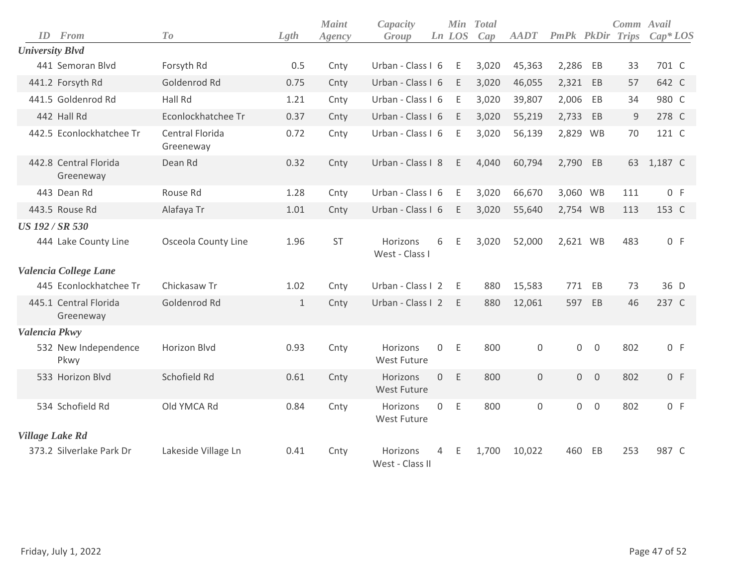| ID                     | From                               | To                           | Lgth         | <b>Maint</b><br>Agency | Capacity<br>Group              |              | <b>Min</b><br>Ln LOS | <b>Total</b><br>Cap | <b>AADT</b> | <b>PmPk</b> PkDir |                | Comm Avail<br>Trips | $Cap^*LOS$ |
|------------------------|------------------------------------|------------------------------|--------------|------------------------|--------------------------------|--------------|----------------------|---------------------|-------------|-------------------|----------------|---------------------|------------|
| <b>University Blvd</b> |                                    |                              |              |                        |                                |              |                      |                     |             |                   |                |                     |            |
|                        | 441 Semoran Blvd                   | Forsyth Rd                   | 0.5          | Cnty                   | Urban - Class I 6              |              | E                    | 3,020               | 45,363      | 2,286             | EB             | 33                  | 701 C      |
|                        | 441.2 Forsyth Rd                   | Goldenrod Rd                 | 0.75         | Cnty                   | Urban - Class I 6              |              | E                    | 3,020               | 46,055      | 2,321             | EB             | 57                  | 642 C      |
|                        | 441.5 Goldenrod Rd                 | Hall Rd                      | 1.21         | Cnty                   | Urban - Class I 6              |              | Ε                    | 3,020               | 39,807      | 2,006             | EB             | 34                  | 980 C      |
|                        | 442 Hall Rd                        | Econlockhatchee Tr           | 0.37         | Cnty                   | Urban - Class I 6              |              | E                    | 3,020               | 55,219      | 2,733             | EB             | $9\,$               | 278 C      |
|                        | 442.5 Econlockhatchee Tr           | Central Florida<br>Greeneway | 0.72         | Cnty                   | Urban - Class I 6              |              | Ε                    | 3,020               | 56,139      | 2,829 WB          |                | 70                  | 121 C      |
|                        | 442.8 Central Florida<br>Greeneway | Dean Rd                      | 0.32         | Cnty                   | Urban - Class I 8              |              | Ε                    | 4,040               | 60,794      | 2,790 EB          |                | 63                  | 1,187 C    |
|                        | 443 Dean Rd                        | Rouse Rd                     | 1.28         | Cnty                   | Urban - Class I 6              |              | Ε                    | 3,020               | 66,670      | 3,060 WB          |                | 111                 | 0 F        |
|                        | 443.5 Rouse Rd                     | Alafaya Tr                   | 1.01         | Cnty                   | Urban - Class I 6              |              | E                    | 3,020               | 55,640      | 2,754 WB          |                | 113                 | 153 C      |
| <b>US 192 / SR 530</b> |                                    |                              |              |                        |                                |              |                      |                     |             |                   |                |                     |            |
|                        | 444 Lake County Line               | Osceola County Line          | 1.96         | <b>ST</b>              | Horizons<br>West - Class I     | 6            | Ε                    | 3,020               | 52,000      | 2,621 WB          |                | 483                 | 0 F        |
|                        | Valencia College Lane              |                              |              |                        |                                |              |                      |                     |             |                   |                |                     |            |
|                        | 445 Econlockhatchee Tr             | Chickasaw Tr                 | 1.02         | Cnty                   | Urban - Class I 2              |              | E                    | 880                 | 15,583      |                   | 771 EB         | 73                  | 36 D       |
|                        | 445.1 Central Florida<br>Greeneway | Goldenrod Rd                 | $\mathbf{1}$ | Cnty                   | Urban - Class I 2              |              | E                    | 880                 | 12,061      | 597               | EB             | 46                  | 237 C      |
| Valencia Pkwy          |                                    |                              |              |                        |                                |              |                      |                     |             |                   |                |                     |            |
|                        | 532 New Independence<br>Pkwy       | Horizon Blvd                 | 0.93         | Cnty                   | Horizons<br><b>West Future</b> | 0            | Ε                    | 800                 | 0           | 0                 | $\mathbf 0$    | 802                 | 0 F        |
|                        | 533 Horizon Blvd                   | Schofield Rd                 | 0.61         | Cnty                   | Horizons<br><b>West Future</b> | $\mathbf{O}$ | E                    | 800                 | $\mathbf 0$ |                   | $0\quad 0$     | 802                 | 0 F        |
|                        | 534 Schofield Rd                   | Old YMCA Rd                  | 0.84         | Cnty                   | Horizons<br>West Future        | $\mathbf 0$  | $\mathsf E$          | 800                 | $\mathsf 0$ | $\overline{0}$    | $\overline{0}$ | 802                 | 0 F        |
| <b>Village Lake Rd</b> |                                    |                              |              |                        |                                |              |                      |                     |             |                   |                |                     |            |
|                        | 373.2 Silverlake Park Dr           | Lakeside Village Ln          | 0.41         | Cnty                   | Horizons<br>West - Class II    | 4            | Ε                    | 1,700               | 10,022      | 460               | EB             | 253                 | 987 C      |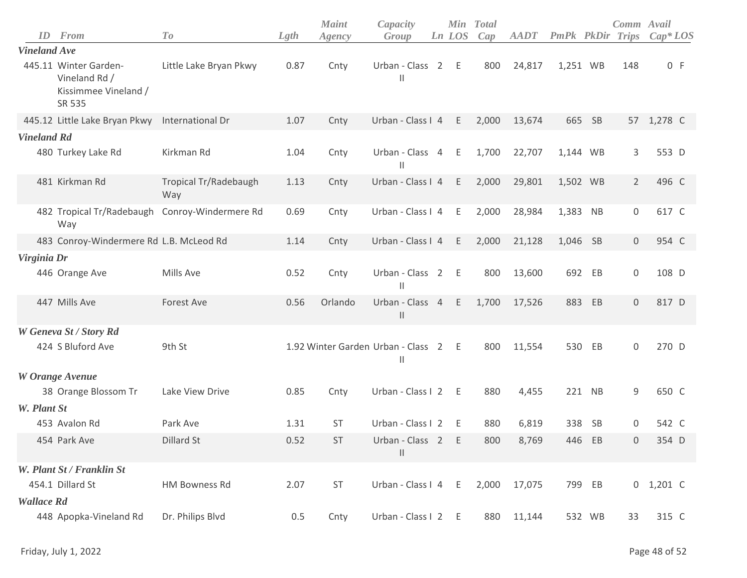| ID                  | From                                                                     | To                           | Lgth | <b>Maint</b><br>Agency               | Capacity<br>Group                  | Ln LOS | Min Total<br>Cap | <b>AADT</b> | PmPk PkDir |           | Comm Avail<br><b>Trips</b> | $Cap*LOS$   |
|---------------------|--------------------------------------------------------------------------|------------------------------|------|--------------------------------------|------------------------------------|--------|------------------|-------------|------------|-----------|----------------------------|-------------|
| <b>Vineland Ave</b> |                                                                          |                              |      |                                      |                                    |        |                  |             |            |           |                            |             |
|                     | 445.11 Winter Garden-<br>Vineland Rd /<br>Kissimmee Vineland /<br>SR 535 | Little Lake Bryan Pkwy       | 0.87 | Cnty                                 | Urban - Class 2<br>$\mathsf{I}$    | E      | 800              | 24,817      | 1,251 WB   |           | 148                        | 0 F         |
|                     | 445.12 Little Lake Bryan Pkwy                                            | International Dr             | 1.07 | Cnty                                 | Urban - Class I 4                  | E      | 2,000            | 13,674      |            | 665 SB    | 57                         | 1,278 C     |
| <b>Vineland Rd</b>  |                                                                          |                              |      |                                      |                                    |        |                  |             |            |           |                            |             |
|                     | 480 Turkey Lake Rd                                                       | Kirkman Rd                   | 1.04 | Cnty                                 | Urban - Class 4 E<br>$\mathsf{II}$ |        | 1,700            | 22,707      | 1,144 WB   |           | 3                          | 553 D       |
|                     | 481 Kirkman Rd                                                           | Tropical Tr/Radebaugh<br>Way | 1.13 | Cnty                                 | Urban - Class I 4                  | E      | 2,000            | 29,801      | 1,502 WB   |           | $\overline{2}$             | 496 C       |
|                     | 482 Tropical Tr/Radebaugh<br>Way                                         | Conroy-Windermere Rd         | 0.69 | Cnty                                 | Urban - Class I 4                  | E      | 2,000            | 28,984      | 1,383 NB   |           | $\boldsymbol{0}$           | 617 C       |
|                     | 483 Conroy-Windermere Rd L.B. McLeod Rd                                  |                              | 1.14 | Cnty                                 | Urban - Class I 4                  | E      | 2,000            | 21,128      | 1,046 SB   |           | $\mathbf{0}$               | 954 C       |
| Virginia Dr         |                                                                          |                              |      |                                      |                                    |        |                  |             |            |           |                            |             |
|                     | 446 Orange Ave                                                           | Mills Ave                    | 0.52 | Cnty                                 | Urban - Class 2<br>Ш               | - E    | 800              | 13,600      |            | 692 EB    | $\boldsymbol{0}$           | 108 D       |
|                     | 447 Mills Ave                                                            | <b>Forest Ave</b>            | 0.56 | Orlando                              | Urban - Class 4<br>$\mathsf{I}$    | E      | 1,700            | 17,526      | 883        | EB        | $\mathsf{O}\xspace$        | 817 D       |
|                     | W Geneva St / Story Rd                                                   |                              |      |                                      |                                    |        |                  |             |            |           |                            |             |
|                     | 424 S Bluford Ave                                                        | 9th St                       |      | 1.92 Winter Garden Urban - Class 2 E | $\mathbf{  }$                      |        | 800              | 11,554      | 530        | EB        | 0                          | 270 D       |
|                     | W Orange Avenue                                                          |                              |      |                                      |                                    |        |                  |             |            |           |                            |             |
|                     | 38 Orange Blossom Tr                                                     | Lake View Drive              | 0.85 | Cnty                                 | Urban - Class I 2                  | $-E$   | 880              | 4,455       |            | 221 NB    | $\mathsf 9$                | 650 C       |
| W. Plant St         |                                                                          |                              |      |                                      |                                    |        |                  |             |            |           |                            |             |
|                     | 453 Avalon Rd                                                            | Park Ave                     | 1.31 | <b>ST</b>                            | Urban - Class I 2                  | E      | 880              | 6,819       | 338        | <b>SB</b> | 0                          | 542 C       |
|                     | 454 Park Ave                                                             | <b>Dillard St</b>            | 0.52 | <b>ST</b>                            | Urban - Class 2<br>$\mathsf{II}$   | - E    | 800              | 8,769       |            | 446 EB    | $\Omega$                   | 354 D       |
|                     | W. Plant St / Franklin St                                                |                              |      |                                      |                                    |        |                  |             |            |           |                            |             |
|                     | 454.1 Dillard St                                                         | <b>HM Bowness Rd</b>         | 2.07 | ST                                   | Urban - Class I 4 E                |        | 2,000            | 17,075      |            | 799 EB    |                            | $0$ 1,201 C |
| <b>Wallace Rd</b>   |                                                                          |                              |      |                                      |                                    |        |                  |             |            |           |                            |             |
|                     | 448 Apopka-Vineland Rd                                                   | Dr. Philips Blvd             | 0.5  | Cnty                                 | Urban - Class I 2 E                |        | 880              | 11,144      |            | 532 WB    | 33                         | 315 C       |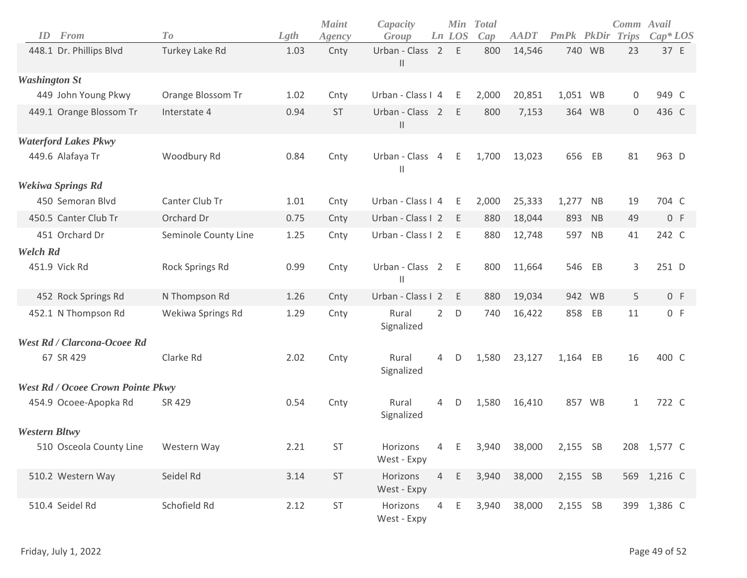| ID                   | From                                     | T o                  | Lgth | <b>Maint</b><br>Agency | Capacity<br>Group                 |                | Min<br>Ln LOS | <b>Total</b><br>Cap | <b>AADT</b> | PmPk     | PkDir     | Comm Avail<br>Trips | $Cap*LOS$   |
|----------------------|------------------------------------------|----------------------|------|------------------------|-----------------------------------|----------------|---------------|---------------------|-------------|----------|-----------|---------------------|-------------|
|                      | 448.1 Dr. Phillips Blvd                  | Turkey Lake Rd       | 1.03 | Cnty                   | Urban - Class 2 E<br>$\mathsf{I}$ |                |               | 800                 | 14,546      |          | 740 WB    | 23                  | 37 E        |
| <b>Washington St</b> |                                          |                      |      |                        |                                   |                |               |                     |             |          |           |                     |             |
|                      | 449 John Young Pkwy                      | Orange Blossom Tr    | 1.02 | Cnty                   | Urban - Class I 4                 |                | Ε             | 2,000               | 20,851      | 1,051 WB |           | 0                   | 949 C       |
|                      | 449.1 Orange Blossom Tr                  | Interstate 4         | 0.94 | <b>ST</b>              | Urban - Class 2<br>$\mathbf{  }$  |                | E             | 800                 | 7,153       |          | 364 WB    | $\mathsf{O}$        | 436 C       |
|                      | <b>Waterford Lakes Pkwy</b>              |                      |      |                        |                                   |                |               |                     |             |          |           |                     |             |
|                      | 449.6 Alafaya Tr                         | Woodbury Rd          | 0.84 | Cnty                   | Urban - Class 4<br>Ш              |                | E             | 1,700               | 13,023      | 656      | EB        | 81                  | 963 D       |
|                      | <b>Wekiwa Springs Rd</b>                 |                      |      |                        |                                   |                |               |                     |             |          |           |                     |             |
|                      | 450 Semoran Blvd                         | Canter Club Tr       | 1.01 | Cnty                   | Urban - Class I 4                 |                | E             | 2,000               | 25,333      | 1,277    | <b>NB</b> | 19                  | 704 C       |
|                      | 450.5 Canter Club Tr                     | Orchard Dr           | 0.75 | Cnty                   | Urban - Class I 2                 |                | - E           | 880                 | 18,044      | 893      | <b>NB</b> | 49                  | 0 F         |
|                      | 451 Orchard Dr                           | Seminole County Line | 1.25 | Cnty                   | Urban - Class I 2                 |                | E             | 880                 | 12,748      | 597      | <b>NB</b> | 41                  | 242 C       |
| <b>Welch Rd</b>      |                                          |                      |      |                        |                                   |                |               |                     |             |          |           |                     |             |
|                      | 451.9 Vick Rd                            | Rock Springs Rd      | 0.99 | Cnty                   | Urban - Class 2<br>Ш              |                | - E           | 800                 | 11,664      | 546      | EB        | 3                   | 251 D       |
|                      | 452 Rock Springs Rd                      | N Thompson Rd        | 1.26 | Cnty                   | Urban - Class I 2                 |                | E             | 880                 | 19,034      |          | 942 WB    | 5                   | 0 F         |
|                      | 452.1 N Thompson Rd                      | Wekiwa Springs Rd    | 1.29 | Cnty                   | Rural<br>Signalized               | $\overline{2}$ | D             | 740                 | 16,422      | 858      | EB        | 11                  | 0 F         |
|                      | <b>West Rd / Clarcona-Ocoee Rd</b>       |                      |      |                        |                                   |                |               |                     |             |          |           |                     |             |
|                      | 67 SR 429                                | Clarke Rd            | 2.02 | Cnty                   | Rural<br>Signalized               | 4              | D             | 1,580               | 23,127      | 1,164    | EB        | 16                  | 400 C       |
|                      | <b>West Rd / Ocoee Crown Pointe Pkwy</b> |                      |      |                        |                                   |                |               |                     |             |          |           |                     |             |
|                      | 454.9 Ocoee-Apopka Rd                    | SR 429               | 0.54 | Cnty                   | Rural<br>Signalized               | 4              | D             | 1,580               | 16,410      |          | 857 WB    | $\mathbf{1}$        | 722 C       |
| <b>Western Bltwy</b> |                                          |                      |      |                        |                                   |                |               |                     |             |          |           |                     |             |
|                      | 510 Osceola County Line                  | Western Way          | 2.21 | <b>ST</b>              | Horizons<br>West - Expy           | $\overline{4}$ | E             | 3,940               | 38,000      | 2,155 SB |           |                     | 208 1,577 C |
|                      | 510.2 Western Way                        | Seidel Rd            | 3.14 | ST                     | Horizons<br>West - Expy           | $4 -$          | $\mathsf E$   | 3,940               | 38,000      | 2,155 SB |           |                     | 569 1,216 C |
|                      | 510.4 Seidel Rd                          | Schofield Rd         | 2.12 | ST                     | Horizons<br>West - Expy           |                | 4 E           | 3,940               | 38,000      | 2,155 SB |           |                     | 399 1,386 C |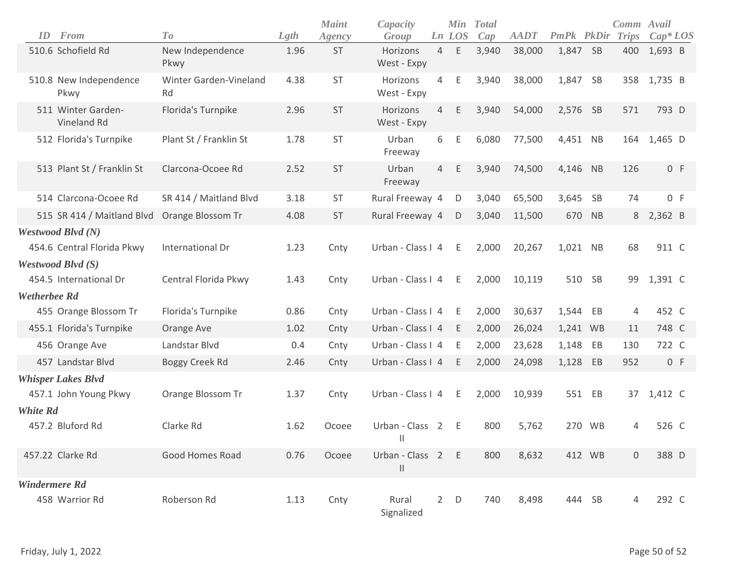| ID                   | <b>From</b>                       | To                           | Lgth | <b>Maint</b><br>Agency | Capacity<br>Group               |                | <b>Min</b><br>Ln LOS | <b>Total</b><br>Cap | <b>AADT</b> | <b>PmPk</b> PkDir |           | Comm Avail<br><b>Trips</b> | $Cap^*LOS$      |  |
|----------------------|-----------------------------------|------------------------------|------|------------------------|---------------------------------|----------------|----------------------|---------------------|-------------|-------------------|-----------|----------------------------|-----------------|--|
|                      | 510.6 Schofield Rd                | New Independence<br>Pkwy     | 1.96 | ST                     | Horizons<br>West - Expy         | $\overline{4}$ | Ε                    | 3,940               | 38,000      | 1,847             | <b>SB</b> | 400                        | 1,693 B         |  |
|                      | 510.8 New Independence<br>Pkwy    | Winter Garden-Vineland<br>Rd | 4.38 | <b>ST</b>              | Horizons<br>West - Expy         | 4              | Ε                    | 3,940               | 38,000      | 1,847             | SB        | 358                        | 1,735 B         |  |
|                      | 511 Winter Garden-<br>Vineland Rd | Florida's Turnpike           | 2.96 | <b>ST</b>              | Horizons<br>West - Expy         | 4              | E                    | 3,940               | 54,000      | 2,576 SB          |           | 571                        | 793 D           |  |
|                      | 512 Florida's Turnpike            | Plant St / Franklin St       | 1.78 | <b>ST</b>              | Urban<br>Freeway                | 6              | Ε                    | 6,080               | 77,500      | 4,451 NB          |           | 164                        | 1,465 D         |  |
|                      | 513 Plant St / Franklin St        | Clarcona-Ocoee Rd            | 2.52 | <b>ST</b>              | Urban<br>Freeway                | 4              | Ε                    | 3,940               | 74,500      | 4,146             | NB        | 126                        | 0 F             |  |
|                      | 514 Clarcona-Ocoee Rd             | SR 414 / Maitland Blvd       | 3.18 | ST                     | Rural Freeway 4                 |                | D                    | 3,040               | 65,500      | 3,645             | <b>SB</b> | 74                         | 0 F             |  |
|                      | 515 SR 414 / Maitland Blvd        | Orange Blossom Tr            | 4.08 | <b>ST</b>              | Rural Freeway 4                 |                | D                    | 3,040               | 11,500      | 670               | <b>NB</b> | 8                          | $2,362 \quad B$ |  |
|                      | Westwood Blvd (N)                 |                              |      |                        |                                 |                |                      |                     |             |                   |           |                            |                 |  |
|                      | 454.6 Central Florida Pkwy        | International Dr             | 1.23 | Cnty                   | Urban - Class I 4               |                | E                    | 2,000               | 20,267      | 1,021 NB          |           | 68                         | 911 C           |  |
|                      | Westwood Blvd (S)                 |                              |      |                        |                                 |                |                      |                     |             |                   |           |                            |                 |  |
|                      | 454.5 International Dr            | Central Florida Pkwy         | 1.43 | Cnty                   | Urban - Class I 4               |                | Ε                    | 2,000               | 10,119      | 510               | <b>SB</b> | 99                         | 1,391 C         |  |
| <b>Wetherbee Rd</b>  |                                   |                              |      |                        |                                 |                |                      |                     |             |                   |           |                            |                 |  |
|                      | 455 Orange Blossom Tr             | Florida's Turnpike           | 0.86 | Cnty                   | Urban - Class I 4               |                | E.                   | 2,000               | 30,637      | 1,544 EB          |           | 4                          | 452 C           |  |
|                      | 455.1 Florida's Turnpike          | Orange Ave                   | 1.02 | Cnty                   | Urban - Class I 4               |                | E.                   | 2,000               | 26,024      | 1,241 WB          |           | 11                         | 748 C           |  |
|                      | 456 Orange Ave                    | Landstar Blvd                | 0.4  | Cnty                   | Urban - Class I 4               |                | Ε                    | 2,000               | 23,628      | 1,148             | EB        | 130                        | 722 C           |  |
|                      | 457 Landstar Blvd                 | Boggy Creek Rd               | 2.46 | Cnty                   | Urban - Class I 4               |                | Ε                    | 2,000               | 24,098      | 1,128             | EB        | 952                        | 0 F             |  |
|                      | <b>Whisper Lakes Blvd</b>         |                              |      |                        |                                 |                |                      |                     |             |                   |           |                            |                 |  |
|                      | 457.1 John Young Pkwy             | Orange Blossom Tr            | 1.37 | Cnty                   | Urban - Class I 4               |                | E                    | 2,000               | 10,939      | 551 EB            |           | 37                         | 1,412 C         |  |
| <b>White Rd</b>      |                                   |                              |      |                        |                                 |                |                      |                     |             |                   |           |                            |                 |  |
|                      | 457.2 Bluford Rd                  | Clarke Rd                    | 1.62 | Ocoee                  | Urban - Class<br>Ш              | $\overline{2}$ | Ε                    | 800                 | 5,762       | 270               | <b>WB</b> | 4                          | 526 C           |  |
|                      | 457.22 Clarke Rd                  | Good Homes Road              | 0.76 | Ocoee                  | Urban - Class 2<br>$\mathbf{H}$ |                | E                    | 800                 | 8,632       | 412 WB            |           | $\mathbf 0$                | 388 D           |  |
| <b>Windermere Rd</b> |                                   |                              |      |                        |                                 |                |                      |                     |             |                   |           |                            |                 |  |
|                      | 458 Warrior Rd                    | Roberson Rd                  | 1.13 | Cnty                   | Rural<br>Signalized             | $2^{\circ}$    | D                    | 740                 | 8,498       | 444 SB            |           | 4                          | 292 C           |  |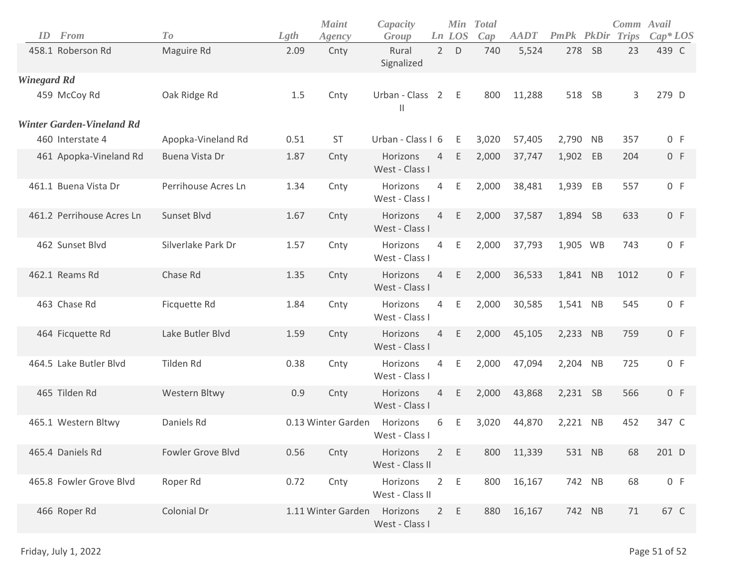| ID                 | From                             | To                  | Lgth | <b>Maint</b><br>Agency | Capacity<br>Group           |                | Min<br>Ln LOS | <b>T</b> otal<br>Cap | <b>AADT</b> | <b>PmPk PkDir Trips</b> |        | Comm Avail | $Cap^*LOS$ |
|--------------------|----------------------------------|---------------------|------|------------------------|-----------------------------|----------------|---------------|----------------------|-------------|-------------------------|--------|------------|------------|
|                    | 458.1 Roberson Rd                | Maguire Rd          | 2.09 | Cnty                   | Rural<br>Signalized         | $2^{\circ}$    | D             | 740                  | 5,524       | 278 SB                  |        | 23         | 439 C      |
| <b>Winegard Rd</b> |                                  |                     |      |                        |                             |                |               |                      |             |                         |        |            |            |
|                    | 459 McCoy Rd                     | Oak Ridge Rd        | 1.5  | Cnty                   | Urban - Class 2<br>Ш        |                | Ε             | 800                  | 11,288      | 518 SB                  |        | 3          | 279 D      |
|                    | <b>Winter Garden-Vineland Rd</b> |                     |      |                        |                             |                |               |                      |             |                         |        |            |            |
|                    | 460 Interstate 4                 | Apopka-Vineland Rd  | 0.51 | <b>ST</b>              | Urban - Class I 6           |                | Ε             | 3,020                | 57,405      | 2,790 NB                |        | 357        | 0 F        |
|                    | 461 Apopka-Vineland Rd           | Buena Vista Dr      | 1.87 | Cnty                   | Horizons<br>West - Class I  | 4              | Ε             | 2,000                | 37,747      | 1,902 EB                |        | 204        | 0 F        |
|                    | 461.1 Buena Vista Dr             | Perrihouse Acres Ln | 1.34 | Cnty                   | Horizons<br>West - Class I  | $\overline{4}$ | Ε             | 2,000                | 38,481      | 1,939                   | EB     | 557        | 0 F        |
|                    | 461.2 Perrihouse Acres Ln        | Sunset Blvd         | 1.67 | Cnty                   | Horizons<br>West - Class I  | $\overline{4}$ | Ε             | 2,000                | 37,587      | 1,894 SB                |        | 633        | 0 F        |
|                    | 462 Sunset Blvd                  | Silverlake Park Dr  | 1.57 | Cnty                   | Horizons<br>West - Class I  | 4              | Ε             | 2,000                | 37,793      | 1,905 WB                |        | 743        | 0 F        |
|                    | 462.1 Reams Rd                   | Chase Rd            | 1.35 | Cnty                   | Horizons<br>West - Class I  | $\overline{4}$ | Ε             | 2,000                | 36,533      | 1,841 NB                |        | 1012       | 0 F        |
|                    | 463 Chase Rd                     | Ficquette Rd        | 1.84 | Cnty                   | Horizons<br>West - Class I  | $\overline{4}$ | Ε             | 2,000                | 30,585      | 1,541 NB                |        | 545        | 0 F        |
|                    | 464 Ficquette Rd                 | Lake Butler Blvd    | 1.59 | Cnty                   | Horizons<br>West - Class I  | 4              | Ε             | 2,000                | 45,105      | 2,233 NB                |        | 759        | 0 F        |
|                    | 464.5 Lake Butler Blvd           | Tilden Rd           | 0.38 | Cnty                   | Horizons<br>West - Class I  | $\overline{4}$ | Ε             | 2,000                | 47,094      | 2,204 NB                |        | 725        | 0 F        |
|                    | 465 Tilden Rd                    | Western Bltwy       | 0.9  | Cnty                   | Horizons<br>West - Class I  | $\overline{4}$ | E             | 2,000                | 43,868      | 2,231 SB                |        | 566        | 0 F        |
|                    | 465.1 Western Bltwy              | Daniels Rd          |      | 0.13 Winter Garden     | Horizons<br>West - Class I  | 6              | Ε             | 3,020                | 44,870      | 2,221 NB                |        | 452        | 347 C      |
|                    | 465.4 Daniels Rd                 | Fowler Grove Blvd   | 0.56 | Cnty                   | Horizons<br>West - Class II |                | 2 E           | 800                  | 11,339      |                         | 531 NB | 68         | 201 D      |
|                    | 465.8 Fowler Grove Blvd          | Roper Rd            | 0.72 | Cnty                   | Horizons<br>West - Class II | $\overline{2}$ | E             | 800                  | 16,167      | 742 NB                  |        | 68         | 0 F        |
|                    | 466 Roper Rd                     | Colonial Dr         |      | 1.11 Winter Garden     | Horizons<br>West - Class I  | $\overline{2}$ | Ε             | 880                  | 16,167      | 742 NB                  |        | 71         | 67 C       |